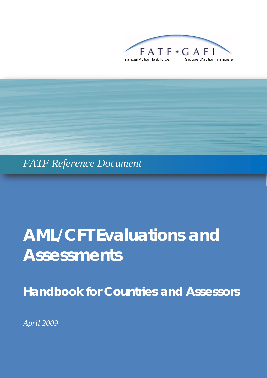



# **AML/CFT Evaluations and Assessments**

*Handbook for Countries and Assessors* 

*April 2009*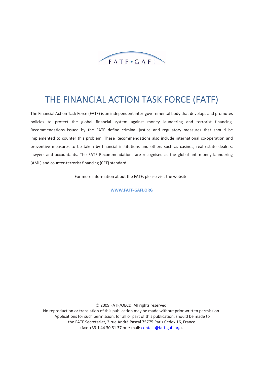

## THE FINANCIAL ACTION TASK FORCE (FATF)

The Financial Action Task Force (FATF) is an independent inter‐governmental body that develops and promotes policies to protect the global financial system against money laundering and terrorist financing. Recommendations issued by the FATF define criminal justice and regulatory measures that should be implemented to counter this problem. These Recommendations also include international co-operation and preventive measures to be taken by financial institutions and others such as casinos, real estate dealers, lawyers and accountants. The FATF Recommendations are recognised as the global anti-money laundering (AML) and counter‐terrorist financing (CFT) standard.

For more information about the FATF, please visit the website:

**WWW.FATF‐GAFI.ORG**

© 2009 FATF/OECD. All rights reserved. No reproduction or translation of this publication may be made without prior written permission. Applications for such permission, for all or part of this publication, should be made to the FATF Secretariat, 2 rue André Pascal 75775 Paris Cedex 16, France (fax: +33 1 44 30 61 37 or e‐mail: [contact@fatf](mailto:contact@fatf-gafi.org)‐gafi.org).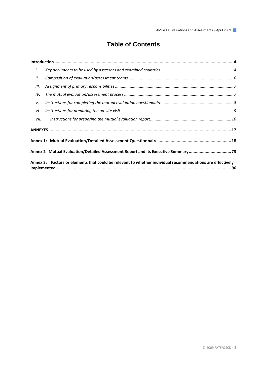## **Table of Contents**

| I.   |                                                                                                           |  |
|------|-----------------------------------------------------------------------------------------------------------|--|
| II.  |                                                                                                           |  |
| III. |                                                                                                           |  |
| IV.  |                                                                                                           |  |
| V.   |                                                                                                           |  |
| VI.  |                                                                                                           |  |
| VII. |                                                                                                           |  |
|      |                                                                                                           |  |
|      |                                                                                                           |  |
|      | Annex 2 Mutual Evaluation/Detailed Assessment Report and its Executive Summary73                          |  |
|      | Annex 3: Factors or elements that could be relevant to whether individual recommendations are effectively |  |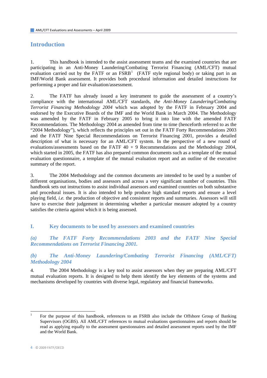## <span id="page-3-0"></span>**Introduction**

1. This handbook is intended to the assist assessment teams and the examined countries that are participating in an Anti-Money Laundering/Combating Terrorist Financing (AML/CFT) mutual evaluation carried out by the FATF or an  $FSRB<sup>1</sup>$  $FSRB<sup>1</sup>$  $FSRB<sup>1</sup>$  (FATF style regional body) or taking part in an IMF/World Bank assessment. It provides both procedural information and detailed instructions for performing a proper and fair evaluation/assessment.

2. The FATF has already issued a key instrument to guide the assessment of a country's compliance with the international AML/CFT standards, *the Anti-Money Laundering/Combating Terrorist Financing Methodology 2004* which was adopted by the FATF in February 2004 and endorsed by the Executive Boards of the IMF and the World Bank in March 2004. The Methodology was amended by the FATF in February 2005 to bring it into line with the amended FATF Recommendations. The Methodology 2004 as amended from time to time (henceforth referred to as the "2004 Methodology"), which reflects the principles set out in the FATF Forty Recommendations 2003 and the FATF Nine Special Recommendations on Terrorist Financing 2001, provides a detailed description of what is necessary for an AML/CFT system. In the perspective of a new round of evaluations/assessments based on the FATF  $40 + 9$  Recommendations and the Methodology 2004, which started in 2005, the FATF has also prepared common documents such as a template of the mutual evaluation questionnaire, a template of the mutual evaluation report and an outline of the executive summary of the report.

3. The 2004 Methodology and the common documents are intended to be used by a number of different organisations, bodies and assessors and across a very significant number of countries. This handbook sets out instructions to assist individual assessors and examined countries on both substantive and procedural issues. It is also intended to help produce high standard reports and ensure a level playing field, *i.e.* the production of objective and consistent reports and summaries. Assessors will still have to exercise their judgement in determining whether a particular measure adopted by a country satisfies the criteria against which it is being assessed.

#### **I. Key documents to be used by assessors and examined countries**

*(a) The FATF Forty Recommendations 2003 and the FATF Nine Special Recommendations on Terrorist Financing 2001.* 

## *(b) The Anti-Money Laundering/Combating Terrorist Financing (AML/CFT) Methodology 2004*

4. The 2004 Methodology is a key tool to assist assessors when they are preparing AML/CFT mutual evaluation reports. It is designed to help them identify the key elements of the systems and mechanisms developed by countries with diverse legal, regulatory and financial frameworks.

<span id="page-3-1"></span><sup>1</sup> For the purpose of this handbook, references to an FSRB also include the Offshore Group of Banking Supervisors (OGBS). All AML/CFT references to mutual evaluations questionnaires and reports should be read as applying equally to the assessment questionnaires and detailed assessment reports used by the IMF and the World Bank.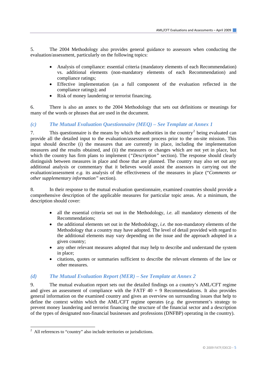5. The 2004 Methodology also provides general guidance to assessors when conducting the evaluation/assessment, particularly on the following topics:

- Analysis of compliance: essential criteria (mandatory elements of each Recommendation) vs. additional elements (non-mandatory elements of each Recommendation) and compliance ratings;
- Effective implementation (as a full component of the evaluation reflected in the compliance ratings); and
- Risk of money laundering or terrorist financing.

6. There is also an annex to the 2004 Methodology that sets out definitions or meanings for many of the words or phrases that are used in the document.

## *(c) The Mutual Evaluation Questionnaire (MEQ) – See Template at Annex 1*

7. This questionnaire is the means by which the authorities in the country<sup>[2](#page-4-0)</sup> being evaluated can provide all the detailed input to the evaluation/assessment process prior to the on-site mission. This input should describe (i) the measures that are currently in place, including the implementation measures and the results obtained, and (ii) the measures or changes which are not yet in place, but which the country has firm plans to implement *("Description"* section). The response should clearly distinguish between measures in place and those that are planned. The country may also set out any additional analysis or commentary that it believes would assist the assessors in carrying out the evaluation/assessment *e.g.* its analysis of the effectiveness of the measures in place ("*Comments or other supplementary information"* section).

8. In their response to the mutual evaluation questionnaire, examined countries should provide a comprehensive description of the applicable measures for particular topic areas. At a minimum, the description should cover:

- all the essential criteria set out in the Methodology, *i.e.* all mandatory elements of the Recommendations;
- the additional elements set out in the Methodology, *i.e.* the non-mandatory elements of the Methodology that a country may have adopted. The level of detail provided with regard to the additional elements may vary depending on the issue and the approach adopted in a given country;
- any other relevant measures adopted that may help to describe and understand the system in place;
- citations, quotes or summaries sufficient to describe the relevant elements of the law or other measures.

## *(d) The Mutual Evaluation Report (MER) – See Template at Annex 2*

9. The mutual evaluation report sets out the detailed findings on a country's AML/CFT regime and gives an assessment of compliance with the FATF  $40 + 9$  Recommendations. It also provides general information on the examined country and gives an overview on surrounding issues that help to define the context within which the AML/CFT regime operates (*e.g.* the government's strategy to prevent money laundering and terrorist financing the structure of the financial sector and a description of the types of designated non-financial businesses and professions (DNFBP) operating in the country).

<span id="page-4-0"></span> $2$  All references to "country" also include territories or jurisdictions.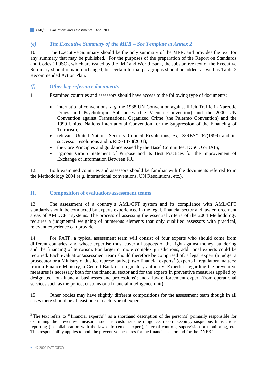## <span id="page-5-0"></span>*(e) The Executive Summary of the MER – See Template at Annex 2*

10. The Executive Summary should be the only summary of the MER, and provides the text for any summary that may be published. For the purposes of the preparation of the Report on Standards and Codes (ROSC), which are issued by the IMF and World Bank, the substantive text of the Executive Summary should remain unchanged, but certain formal paragraphs should be added, as well as Table 2 Recommended Action Plan.

## *(f) Other key reference documents*

11. Examined countries and assessors should have access to the following type of documents:

- international conventions, *e.g.* the 1988 UN Convention against Illicit Traffic in Narcotic Drugs and Psychotropic Substances (the Vienna Convention) and the 2000 UN Convention against Transnational Organized Crime (the Palermo Convention) and the 1999 United Nations International Convention for the Suppression of the Financing of Terrorism;
- relevant United Nations Security Council Resolutions, *e.g.* S/RES/1267(1999) and its successor resolutions and S/RES/1373(2001);
- the Core Principles and guidance issued by the Basel Committee, IOSCO or IAIS;
- Egmont Group Statement of Purpose and its Best Practices for the Improvement of Exchange of Information Between FIU.

12. Both examined countries and assessors should be familiar with the documents referred to in the Methodology 2004 (*e.g.* international conventions, UN Resolutions, etc.).

## **II. Composition of evaluation/assessment teams**

13. The assessment of a country's AML/CFT system and its compliance with AML/CFT standards should be conducted by experts experienced in the legal, financial sector and law enforcement areas of AML/CFT systems. The process of assessing the essential criteria of the 2004 Methodology requires a judgmental weighing of numerous elements that only qualified assessors with practical, relevant experience can provide.

14. For FATF, a typical assessment team will consist of four experts who should come from different countries, and whose expertise must cover all aspects of the fight against money laundering and the financing of terrorism. For larger or more complex jurisdictions, additional experts could be required. Each evaluation/assessment team should therefore be comprised of: a legal expert (a judge, a prosecutor or a Ministry of Justice representative); two financial experts<sup>[3](#page-5-1)</sup> (experts in regulatory matters: from a Finance Ministry, a Central Bank or a regulatory authority. Expertise regarding the preventive measures is necessary both for the financial sector and for the experts in preventive measures applied by designated non-financial businesses and professions); and a law enforcement expert (from operational services such as the police, customs or a financial intelligence unit).

15. Other bodies may have slightly different compositions for the assessment team though in all cases there should be at least one of each type of expert.

<span id="page-5-1"></span><sup>&</sup>lt;sup>3</sup> The text refers to "financial expert(s)" as a shorthand description of the person(s) primarily responsible for examining the preventive measures such as customer due diligence, record keeping, suspicious transactions reporting (in collaboration with the law enforcement expert), internal controls, supervision or monitoring, etc. This responsibility applies to both the preventive measures for the financial sector and for the DNFBP.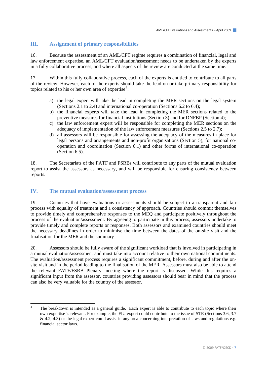## <span id="page-6-0"></span>**III. Assignment of primary responsibilities**

16. Because the assessment of an AML/CFT regime requires a combination of financial, legal and law enforcement expertise, an AML/CFT evaluation/assessment needs to be undertaken by the experts in a fully collaborative process, and where all aspects of the review are conducted at the same time.

17. Within this fully collaborative process, each of the experts is entitled to contribute to all parts of the review. However, each of the experts should take the lead on or take primary responsibility for topics related to his or her own area of expertise<sup>[4](#page-6-1)</sup>:

- a) the legal expert will take the lead in completing the MER sections on the legal system (Sections 2.1 to 2.4) and international co-operation (Sections 6.2 to 6.4);
- b) the financial experts will take the lead in completing the MER sections related to the preventive measures for financial institutions (Section 3) and for DNFBP (Section 4);
- c) the law enforcement expert will be responsible for completing the MER sections on the adequacy of implementation of the law enforcement measures (Sections 2.5 to 2.7);
- d) all assessors will be responsible for assessing the adequacy of the measures in place for legal persons and arrangements and non-profit organisations (Section 5); for national cooperation and coordination (Section 6.1) and other forms of international co-operation (Section 6.5).

18. The Secretariats of the FATF and FSRBs will contribute to any parts of the mutual evaluation report to assist the assessors as necessary, and will be responsible for ensuring consistency between reports.

## **IV. The mutual evaluation/assessment process**

 $\overline{a}$ 

19. Countries that have evaluations or assessments should be subject to a transparent and fair process with equality of treatment and a consistency of approach. Countries should commit themselves to provide timely and comprehensive responses to the MEQ and participate positively throughout the process of the evaluation/assessment. By agreeing to participate in this process, assessors undertake to provide timely and complete reports or responses. Both assessors and examined countries should meet the necessary deadlines in order to minimise the time between the dates of the on-site visit and the finalisation for the MER and the summary.

20. Assessors should be fully aware of the significant workload that is involved in participating in a mutual evaluation/assessment and must take into account relative to their own national commitments. The evaluation/assessment process requires a significant commitment, before, during and after the onsite visit and in the period leading to the finalisation of the MER. Assessors must also be able to attend the relevant FATF/FSRB Plenary meeting where the report is discussed. While this requires a significant input from the assessor, countries providing assessors should bear in mind that the process can also be very valuable for the country of the assessor.

<span id="page-6-1"></span><sup>4</sup> The breakdown is intended as a general guide. Each expert is able to contribute to each topic where their own expertise is relevant. For example, the FIU expert could contribute to the issue of STR (Sections 3.6, 3.7  $\&$  4.2, 4.3) or the legal expert could assist in any area concerning interpretation of laws and regulations e.g. financial sector laws.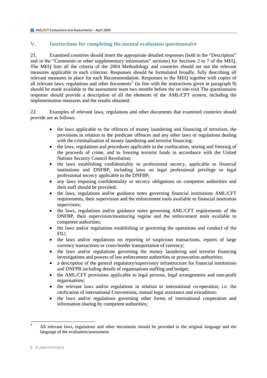## <span id="page-7-0"></span>**V. Instructions for completing the mutual evaluation questionnaire**

21. Examined countries should insert the appropriate detailed responses (both in the "Description" and in the "Comments or other supplementary information" sections) for Sections 2 to 7 of the MEQ. The MEQ lists all the criteria of the 2004 Methodology and countries should set out the relevant measures applicable to each criterion. Responses should be formulated broadly, fully describing all relevant measures in place for each Recommendation. Responses to the MEQ together with copies of all relevant laws, regulations and other documents<sup>[5](#page-7-1)</sup> (in line with the instructions given in paragraph 9) should be made available to the assessment team two months before the on site-visit The questionnaire response should provide a description of all the elements of the AML/CFT system, including the implementation measures and the results obtained.

22. Examples of relevant laws, regulations and other documents that examined countries should provide are as follows:

- the laws applicable to the offences of money laundering and financing of terrorism, the provisions in relation to the predicate offences and any other laws or regulations dealing with the criminalisation of money laundering and terrorist financing;
- the laws, regulations and procedures applicable to the confiscation, seizing and freezing of the proceeds of crime, and to freezing terrorist funds in accordance with the United Nations Security Council Resolution;
- the laws establishing confidentiality or professional secrecy, applicable to financial institutions and DNFBP, including laws on legal professional privilege or legal professional secrecy applicable to the DNFBP;
- any laws imposing confidentiality or secrecy obligations on competent authorities and their staff should be provided;
- the laws, regulations and/or guidance notes governing financial institutions AML/CFT requirements, their supervision and the enforcement tools available to financial institution supervisors;
- the laws, regulations and/or guidance notes governing AML/CFT requirements of the DNFBP, their supervision/monitoring regime and the enforcement tools available to competent authorities;
- the laws and/or regulations establishing or governing the operations and conduct of the FIU;
- the laws and/or regulations on reporting of suspicious transactions, reports of large currency transactions or cross-border transportation of currency;
- the laws and/or regulations governing the money laundering and terrorist financing investigations and powers of law enforcement authorities or prosecution authorities;
- a description of the general regulatory/supervisory infrastructure for financial institutions and DNFPB including details of organisations staffing and budget;
- the AML/CFT provisions applicable to legal persons, legal arrangements and non-profit organisations;
- the relevant laws and/or regulations in relation to international co-operation, *i.e.* the ratification of international Conventions, mutual legal assistance and extradition;
- the laws and/or regulations governing other forms of international cooperation and information sharing by competent authorities;

 $\overline{\phantom{a}}$ 

<span id="page-7-1"></span><sup>5</sup> All relevant laws, regulations and other documents should be provided in the original language and the language of the evaluation/assessment.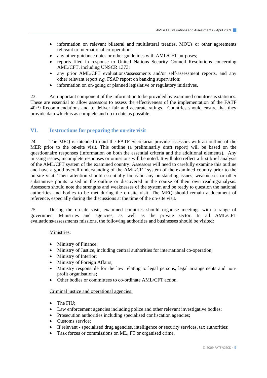- <span id="page-8-0"></span>information on relevant bilateral and multilateral treaties, MOUs or other agreements relevant to international co-operation;
- any other guidance notes or other guidelines with AML/CFT purposes;
- reports filed in response to United Nations Security Council Resolutions concerning AML/CFT, including UNSCR 1373;
- any prior AML/CFT evaluations/assessments and/or self-assessment reports, and any other relevant report *e.g.* FSAP report on banking supervision;
- information on on-going or planned legislative or regulatory initiatives.

23. An important component of the information to be provided by examined countries is statistics. These are essential to allow assessors to assess the effectiveness of the implementation of the FATF 40+9 Recommendations and to deliver fair and accurate ratings. Countries should ensure that they provide data which is as complete and up to date as possible.

### **VI. Instructions for preparing the on-site visit**

24. The MEQ is intended to aid the FATF Secretariat provide assessors with an outline of the MER prior to the on-site visit. This outline (a preliminarily draft report) will be based on the questionnaire responses (information on both the essential criteria and the additional elements). Any missing issues, incomplete responses or omissions will be noted. It will also reflect a first brief analysis of the AML/CFT system of the examined country. Assessors will need to carefully examine this outline and have a good overall understanding of the AML/CFT system of the examined country prior to the on-site visit. Their attention should essentially focus on any outstanding issues, weaknesses or other substantive points raised in the outline or discovered in the course of their own reading/analysis. Assessors should note the strengths and weaknesses of the system and be ready to question the national authorities and bodies to be met during the on-site visit. The MEQ should remain a document of reference, especially during the discussions at the time of the on-site visit.

25. During the on-site visit, examined countries should organise meetings with a range of government Ministries and agencies, as well as the private sector. In all AML/CFT evaluations/assessments missions, the following authorities and businesses should be visited:

#### Ministries:

- Ministry of Finance;
- Ministry of Justice, including central authorities for international co-operation;
- Ministry of Interior;
- Ministry of Foreign Affairs;
- Ministry responsible for the law relating to legal persons, legal arrangements and nonprofit organisations;
- Other bodies or committees to co-ordinate AML/CFT action.

#### Criminal justice and operational agencies:

- The FIU:
- Law enforcement agencies including police and other relevant investigative bodies;
- Prosecution authorities including specialised confiscation agencies;
- Customs service:
- If relevant specialised drug agencies, intelligence or security services, tax authorities;
- Task forces or commissions on ML, FT or organised crime.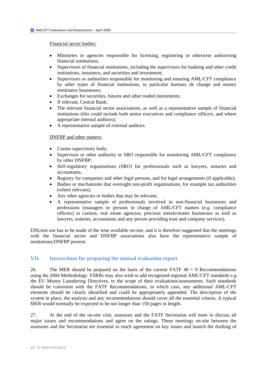#### <span id="page-9-0"></span>Financial sector bodies:

- Ministries or agencies responsible for licensing, registering or otherwise authorising financial institutions;
- Supervisors of financial institutions, including the supervisors for banking and other credit institutions, insurance, and securities and investment;
- Supervisors or authorities responsible for monitoring and ensuring AML/CFT compliance by other types of financial institutions, in particular bureaux de change and money remittance businesses;
- Exchanges for securities, futures and other traded instruments;
- If relevant, Central Bank;
- The relevant financial sector associations, as well as a representative sample of financial institutions (this could include both senior executives and compliance officers, and where appropriate internal auditors);
- A representative sample of external auditors.

#### DNFBP and other matters:

- Casino supervisory body;
- Supervisor or other authority or SRO responsible for monitoring AML/CFT compliance by other DNFBP;
- Self-regulatory organisations (SRO) for professionals such as lawyers, notaries and accountants;
- Registry for companies and other legal persons, and for legal arrangements (if applicable);
- Bodies or mechanisms that oversight non-profit organisations, for example tax authorities (where relevant);
- Any other agencies or bodies that may be relevant;
- A representative sample of professionals involved in non-financial businesses and professions (managers or persons in charge of AML/CFT matters (*e.g.* compliance officers) in casinos, real estate agencies, precious metals/stones businesses as well as lawyers, notaries, accountants and any person providing trust and company services).

Efficient use has to be made of the time available on-site, and it is therefore suggested that the meetings with the financial sector and DNFBP associations also have the representative sample of institutions/DNFBP present.

#### **VII. Instructions for preparing the mutual evaluation report**

26. The MER should be prepared on the basis of the current FATF  $40 + 9$  Recommendations using the 2004 Methodology. FSRBs may also wish to add recognised regional AML/CFT standards *e.g.* the EU Money Laundering Directives, to the scope of their evaluations/assessments. Such standards should be consistent with the FATF Recommendations, in which case, any additional AML/CFT elements should be clearly identified and could be appropriately appended. The description of the system in place, the analysis and any recommendations should cover all the essential criteria. A typical MER would normally be expected to be not longer than 150 pages in length.

27. At the end of the on-site visit, assessors and the FATF Secretariat will meet to discuss all major issues and recommendations and agree on the ratings. These meetings on-site between the assessors and the Secretariat are essential to reach agreement on key issues and launch the drafting of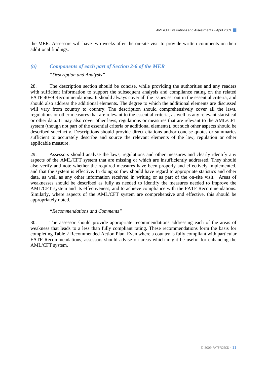the MER. Assessors will have two weeks after the on-site visit to provide written comments on their additional findings.

### *(a) Components of each part of Section 2-6 of the MER*

#### *"Description and Analysis"*

28. The description section should be concise, while providing the authorities and any readers with sufficient information to support the subsequent analysis and compliance rating on the related FATF 40+9 Recommendations. It should always cover all the issues set out in the essential criteria, and should also address the additional elements. The degree to which the additional elements are discussed will vary from country to country. The description should comprehensively cover all the laws, regulations or other measures that are relevant to the essential criteria, as well as any relevant statistical or other data. It may also cover other laws, regulations or measures that are relevant to the AML/CFT system (though not part of the essential criteria or additional elements), but such other aspects should be described succinctly. Descriptions should provide direct citations and/or concise quotes or summaries sufficient to accurately describe and source the relevant elements of the law, regulation or other applicable measure.

29. Assessors should analyse the laws, regulations and other measures and clearly identify any aspects of the AML/CFT system that are missing or which are insufficiently addressed. They should also verify and note whether the required measures have been properly and effectively implemented, and that the system is effective. In doing so they should have regard to appropriate statistics and other data, as well as any other information received in writing or as part of the on-site visit. Areas of weaknesses should be described as fully as needed to identify the measures needed to improve the AML/CFT system and its effectiveness, and to achieve compliance with the FATF Recommendations. Similarly, where aspects of the AML/CFT system are comprehensive and effective, this should be appropriately noted.

#### *"Recommendations and Comments"*

30. The assessor should provide appropriate recommendations addressing each of the areas of weakness that leads to a less than fully compliant rating. These recommendations form the basis for completing Table 2 Recommended Action Plan. Even where a country is fully compliant with particular FATF Recommendations, assessors should advise on areas which might be useful for enhancing the AML/CFT system.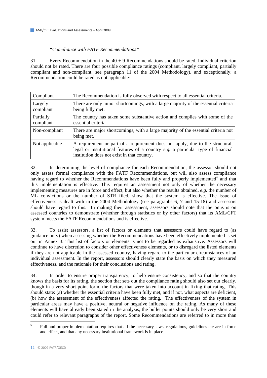#### *"Compliance with FATF Recommendations"*

31. Every Recommendation in the  $40 + 9$  Recommendations should be rated. Individual criterion should not be rated. There are four possible compliance ratings (compliant, largely compliant, partially compliant and non-compliant, see paragraph 11 of the 2004 Methodology), and exceptionally, a Recommendation could be rated as not applicable:

| Compliant              | The Recommendation is fully observed with respect to all essential criteria.                                                                                                                                     |
|------------------------|------------------------------------------------------------------------------------------------------------------------------------------------------------------------------------------------------------------|
| Largely<br>compliant   | There are only minor shortcomings, with a large majority of the essential criteria<br>being fully met.                                                                                                           |
| Partially<br>compliant | The country has taken some substantive action and complies with some of the<br>essential criteria.                                                                                                               |
| Non-compliant          | There are major shortcomings, with a large majority of the essential criteria not<br>being met.                                                                                                                  |
| Not applicable         | A requirement or part of a requirement does not apply, due to the structural,<br>legal or institutional features of a country e.g. a particular type of financial<br>institution does not exist in that country. |

32. In determining the level of compliance for each Recommendation, the assessor should not only assess formal compliance with the FATF Recommendations, but will also assess compliance having regard to whether the Recommendations have been fully and properly implemented<sup>[6](#page-11-0)</sup> and that this implementation is effective. This requires an assessment not only of whether the necessary implementing measures are in force and effect, but also whether the results obtained, *e.g.* the number of ML convictions or the number of STR filed, show that the system is effective. The issue of effectiveness is dealt with in the 2004 Methodology (see paragraphs 6, 7 and 15-18) and assessors should have regard to this. In making their assessment, assessors should note that the onus is on assessed countries to demonstrate (whether through statistics or by other factors) that its AML/CFT system meets the FATF Recommendations and is effective.

33. To assist assessors, a list of factors or elements that assessors could have regard to (as guidance only) when assessing whether the Recommendations have been effectively implemented is set out in Annex 3. This list of factors or elements is not to be regarded as exhaustive. Assessors will continue to have discretion to consider other effectiveness elements, or to disregard the listed elements if they are not applicable in the assessed country, having regard to the particular circumstances of an individual assessment. In the report, assessors should clearly state the basis on which they measured effectiveness, and the rationale for their conclusions and rating.

34. In order to ensure proper transparency, to help ensure consistency, and so that the country knows the basis for its rating, the section that sets out the compliance rating should also set out clearly, though in a very short point form, the factors that were taken into account in fixing that rating. This should state: (a) whether the essential criteria have been fully met, and if not, what aspects are deficient, (b) how the assessment of the effectiveness affected the rating. The effectiveness of the system in particular areas may have a positive, neutral or negative influence on the rating. As many of these elements will have already been stated in the analysis, the bullet points should only be very short and could refer to relevant paragraphs of the report. Some Recommendations are referred to in more than

<span id="page-11-0"></span> $\frac{1}{6}$  Full and proper implementation requires that all the necessary laws, regulations, guidelines etc are in force and effect, and that any necessary institutional framework is in place.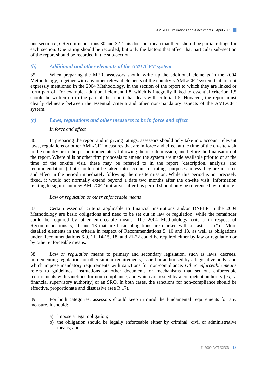one section *e.g.* Recommendations 30 and 32. This does not mean that there should be partial ratings for each section. One rating should be recorded, but only the factors that affect that particular sub-section of the report should be recorded in the sub-section.

## *(b) Additional and other elements of the AML/CFT system*

35. When preparing the MER, assessors should write up the additional elements in the 2004 Methodology, together with any other relevant elements of the country's AML/CFT system that are not expressly mentioned in the 2004 Methodology, in the section of the report to which they are linked or form part of. For example, additional element 1.8, which is integrally linked to essential criterion 1.5 should be written up in the part of the report that deals with criteria 1.5. However, the report must clearly delineate between the essential criteria and other non-mandatory aspects of the AML/CFT system.

## *(c) Laws, regulations and other measures to be in force and effect In force and effect*

36. In preparing the report and in giving ratings, assessors should only take into account relevant laws, regulations or other AML/CFT measures that are in force and effect at the time of the on-site visit to the country or in the period immediately following the on-site mission, and before the finalisation of the report. Where bills or other firm proposals to amend the system are made available prior to or at the time of the on-site visit, these may be referred to in the report (description, analysis and recommendations), but should not be taken into account for ratings purposes unless they are in force and effect in the period immediately following the on-site mission. While this period is not precisely fixed, it would not normally extend beyond a date two months after the on-site visit. Information relating to significant new AML/CFT initiatives after this period should only be referenced by footnote.

#### *Law or regulation or other enforceable means*

37. Certain essential criteria applicable to financial institutions and/or DNFBP in the 2004 Methodology are basic obligations and need to be set out in law or regulation, while the remainder could be required by other enforceable means. The 2004 Methodology criteria in respect of Recommendations 5, 10 and 13 that are basic obligations are marked with an asterisk (\*). More detailed elements in the criteria in respect of Recommendations 5, 10 and 13, as well as obligations under Recommendations 6-9, 11, 14-15, 18, and 21-22 could be required either by law or regulation or by other enforceable means.

38. *Law or regulation* means to primary and secondary legislation, such as laws, decrees, implementing regulations or other similar requirements, issued or authorised by a legislative body, and which impose mandatory requirements with sanctions for non-compliance. *Other enforceable means* refers to guidelines, instructions or other documents or mechanisms that set out enforceable requirements with sanctions for non-compliance, and which are issued by a competent authority (*e.g.* a financial supervisory authority) or an SRO. In both cases, the sanctions for non-compliance should be effective, proportionate and dissuasive (see R.17).

39. For both categories, assessors should keep in mind the fundamental requirements for any measure. It should:

- a) impose a legal obligation;
- b) the obligation should be legally enforceable either by criminal, civil or administrative means; and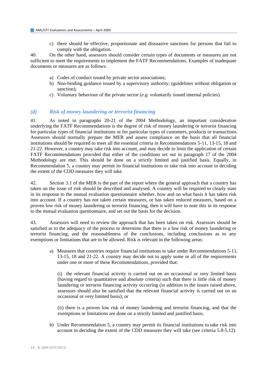c) there should be effective, proportionate and dissuasive sanctions for persons that fail to comply with the obligation.

40. On the other hand, assessors should consider certain types of documents or measures are not sufficient to meet the requirements to implement the FATF Recommendations. Examples of inadequate documents or measures are as follows:

- a) Codes of conduct issued by private sector associations;
- b) Non-binding guidance issued by a supervisory authority; (guidelines without obligation or sanction);
- c) Voluntary behaviour of the private sector (*e.g.* voluntarily issued internal policies).

#### *(d) Risk of money laundering or terrorist financing*

41. As noted in paragraphs 20-21 of the 2004 Methodology, an important consideration underlying the FATF Recommendations is the degree of risk of money laundering or terrorist financing for particular types of financial institutions or for particular types of customers, products or transactions. Assessors should normally prepare the MER and assess compliance on the basis that all financial institutions should be required to meet all the essential criteria in Recommendations 5-11, 13-15, 18 and 21-22. However, a country may take risk into account, and may decide to limit the application of certain FATF Recommendations provided that either of the conditions set out in paragraph 17 of the 2004 Methodology are met. This should be done on a strictly limited and justified basis. Equally, in Recommendation 5, a country may permit its financial institutions to take risk into account in deciding the extent of the CDD measures they will take.

42. Section 3.1 of the MER is the part of the report where the general approach that a country has taken on the issue of risk should be described and analysed. A country will be required to clearly state in its response to the mutual evaluation questionnaire whether, how and on what basis it has taken risk into account. If a country has not taken certain measures, or has taken reduced measures, based on a proven low risk of money laundering or terrorist financing, then it will have to note this in its response to the mutual evaluation questionnaire, and set out the basis for the decision.

43. Assessors will need to review the approach that has been taken on risk. Assessors should be satisfied as to the adequacy of the process to determine that there is a low risk of money laundering or terrorist financing, and the reasonableness of the conclusions, including conclusions as to any exemptions or limitations that are to be allowed. Risk is relevant in the following areas:

a) Measures that countries require financial institutions to take under Recommendations 5-11, 13-15, 18 and 21-22. A country may decide not to apply some or all of the requirements under one or more of these Recommendations, provided that:

(i) the relevant financial activity is carried out on an occasional or very limited basis (having regard to quantitative and absolute criteria) such that there is little risk of money laundering or terrorist financing activity occurring (in addition to the issues raised above, assessors should also be satisfied that the relevant financial activity is carried out on an occasional or very limited basis); or

(ii) there is a proven low risk of money laundering and terrorist financing, and that the exemptions or limitations are done on a strictly limited and justified basis.

b) Under Recommendation 5, a country may permit its financial institutions to take risk into account in deciding the extent of the CDD measures they will take (see criteria 5.8-5.12).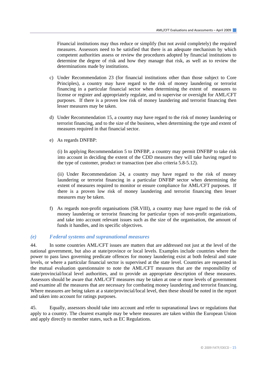Financial institutions may thus reduce or simplify (but not avoid completely) the required measures. Assessors need to be satisfied that there is an adequate mechanism by which competent authorities assess or review the procedures adopted by financial institutions to determine the degree of risk and how they manage that risk, as well as to review the determinations made by institutions.

- c) Under Recommendation 23 (for financial institutions other than those subject to Core Principles), a country may have regard to the risk of money laundering or terrorist financing in a particular financial sector when determining the extent of measures to license or register and appropriately regulate, and to supervise or oversight for AML/CFT purposes. If there is a proven low risk of money laundering and terrorist financing then lesser measures may be taken.
- d) Under Recommendation 15, a country may have regard to the risk of money laundering or terrorist financing, and to the size of the business, when determining the type and extent of measures required in that financial sector.
- e) As regards DNFBP:

(i) In applying Recommendation 5 to DNFBP, a country may permit DNFBP to take risk into account in deciding the extent of the CDD measures they will take having regard to the type of customer, product or transaction (see also criteria 5.8-5.12).

(ii) Under Recommendation 24, a country may have regard to the risk of money laundering or terrorist financing in a particular DNFBP sector when determining the extent of measures required to monitor or ensure compliance for AML/CFT purposes. If there is a proven low risk of money laundering and terrorist financing then lesser measures may be taken.

f) As regards non-profit organisations (SR.VIII), a country may have regard to the risk of money laundering or terrorist financing for particular types of non-profit organizations, and take into account relevant issues such as the size of the organisation, the amount of funds it handles, and its specific objectives.

## *(e) Federal systems and supranational measures*

44. In some countries AML/CFT issues are matters that are addressed not just at the level of the national government, but also at state/province or local levels. Examples include countries where the power to pass laws governing predicate offences for money laundering exist at both federal and state levels, or where a particular financial sector is supervised at the state level. Countries are requested in the mutual evaluation questionnaire to note the AML/CFT measures that are the responsibility of state/provincial/local level authorities, and to provide an appropriate description of these measures. Assessors should be aware that AML/CFT measures may be taken at one or more levels of government and examine all the measures that are necessary for combating money laundering and terrorist financing. Where measures are being taken at a state/provincial/local level, then these should be noted in the report and taken into account for ratings purposes.

45. Equally, assessors should take into account and refer to supranational laws or regulations that apply to a country. The clearest example may be where measures are taken within the European Union and apply directly to member states, such as EC Regulations.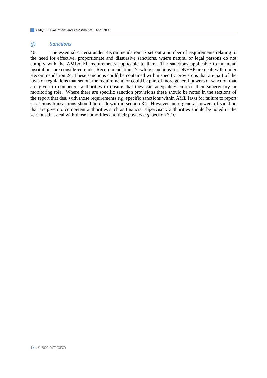#### *(f) Sanctions*

46. The essential criteria under Recommendation 17 set out a number of requirements relating to the need for effective, proportionate and dissuasive sanctions, where natural or legal persons do not comply with the AML/CFT requirements applicable to them. The sanctions applicable to financial institutions are considered under Recommendation 17, while sanctions for DNFBP are dealt with under Recommendation 24. These sanctions could be contained within specific provisions that are part of the laws or regulations that set out the requirement, or could be part of more general powers of sanction that are given to competent authorities to ensure that they can adequately enforce their supervisory or monitoring role. Where there are specific sanction provisions these should be noted in the sections of the report that deal with those requirements *e.g.* specific sanctions within AML laws for failure to report suspicious transactions should be dealt with in section 3.7. However more general powers of sanction that are given to competent authorities such as financial supervisory authorities should be noted in the sections that deal with those authorities and their powers *e.g.* section 3.10.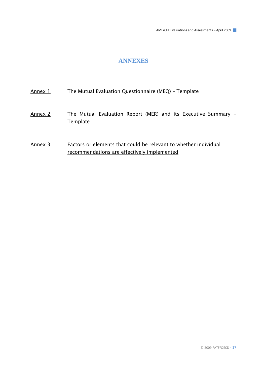## **ANNEXES**

<span id="page-16-0"></span>

| Annex 1 |  | The Mutual Evaluation Questionnaire (MEQ) - Template |  |
|---------|--|------------------------------------------------------|--|
|         |  |                                                      |  |

- Annex 2 The Mutual Evaluation Report (MER) and its Executive Summary -Template
- Annex 3 Factors or elements that could be relevant to whether individual recommendations are effectively implemented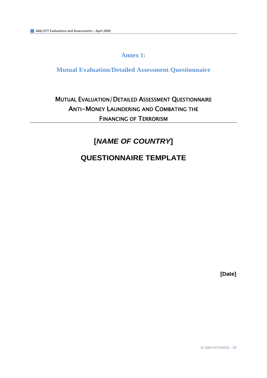## **Annex 1:**

## <span id="page-17-0"></span>**Mutual Evaluation/Detailed Assessment Questionnaire**

## MUTUAL EVALUATION/DETAILED ASSESSMENT QUESTIONNAIRE ANTI-MONEY LAUNDERING AND COMBATING THE FINANCING OF TERRORISM

## **[***NAME OF COUNTRY***]**

## **QUESTIONNAIRE TEMPLATE**

**[Date]** 

© 2009 FATF/OECD ‐ 18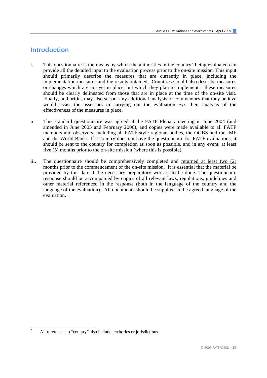## **Introduction**

- i. This questionnaire is the means by which the authorities in the country<sup>[7](#page-18-0)</sup> being evaluated can provide all the detailed input to the evaluation process prior to the on-site mission. This input should primarily describe the measures that are currently in place, including the implementation measures and the results obtained. Countries should also describe measures or changes which are not yet in place, but which they plan to implement – these measures should be clearly delineated from those that are in place at the time of the on-site visit. Finally, authorities may also set out any additional analysis or commentary that they believe would assist the assessors in carrying out the evaluation *e.g.* their analysis of the effectiveness of the measures in place.
- ii. This standard questionnaire was agreed at the FATF Plenary meeting in June 2004 (and amended in June 2005 and February 2006), and copies were made available to all FATF members and observers, including all FATF-style regional bodies, the OGBS and the IMF and the World Bank. If a country does not have the questionnaire for FATF evaluations, it should be sent to the country for completion as soon as possible, and in any event, at least five (5) months prior to the on-site mission (where this is possible).
- iii. The questionnaire should be comprehensively completed and returned at least two (2) months prior to the commencement of the on-site mission. It is essential that the material be provided by this date if the necessary preparatory work is to be done. The questionnaire response should be accompanied by copies of all relevant laws, regulations, guidelines and other material referenced in the response (both in the language of the country and the language of the evaluation). All documents should be supplied in the agreed language of the evaluation.

<span id="page-18-0"></span><sup>7</sup> All references to "country" also include territories or jurisdictions.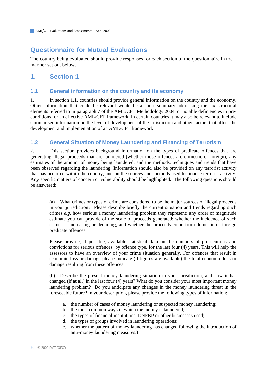## **Questionnaire for Mutual Evaluations**

The country being evaluated should provide responses for each section of the questionnaire in the manner set out below.

## **1. Section 1**

## **1.1 General information on the country and its economy**

1. In section 1.1, countries should provide general information on the country and the economy. Other information that could be relevant would be a short summary addressing the six structural elements referred to in paragraph 7 of the AML/CFT Methodology 2004, or notable deficiencies in preconditions for an effective AML/CFT framework. In certain countries it may also be relevant to include summarised information on the level of development of the jurisdiction and other factors that affect the development and implementation of an AML/CFT framework.

## **1.2 General Situation of Money Laundering and Financing of Terrorism**

2. This section provides background information on the types of predicate offences that are generating illegal proceeds that are laundered (whether those offences are domestic or foreign), any estimates of the amount of money being laundered, and the methods, techniques and trends that have been observed regarding the laundering. Information should also be provided on any terrorist activity that has occurred within the country, and on the sources and methods used to finance terrorist activity. Any specific matters of concern or vulnerability should be highlighted. The following questions should be answered:

(a) What crimes or types of crime are considered to be the major sources of illegal proceeds in your jurisdiction? Please describe briefly the current situation and trends regarding such crimes *e.g.* how serious a money laundering problem they represent; any order of magnitude estimate you can provide of the scale of proceeds generated; whether the incidence of such crimes is increasing or declining, and whether the proceeds come from domestic or foreign predicate offences.

 Please provide, if possible, available statistical data on the numbers of prosecutions and convictions for serious offences, by offence type, for the last four (4) years. This will help the assessors to have an overview of your crime situation generally. For offences that result in economic loss or damage please indicate (if figures are available) the total economic loss or damage resulting from these offences.

(b) Describe the present money laundering situation in your jurisdiction, and how it has changed (if at all) in the last four (4) years? What do you consider your most important money laundering problem? Do you anticipate any changes in the money laundering threat in the foreseeable future? In your description, please provide the following types of information:

- a. the number of cases of money laundering or suspected money laundering;
- b. the most common ways in which the money is laundered;
- c. the types of financial institutions, DNFBP or other businesses used;
- d. the types of groups involved in laundering operations;
- e. whether the pattern of money laundering has changed following the introduction of anti-money laundering measures.)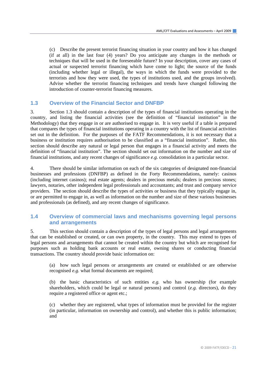(c) Describe the present terrorist financing situation in your country and how it has changed (if at all) in the last four (4) years? Do you anticipate any changes in the methods or techniques that will be used in the foreseeable future? In your description, cover any cases of actual or suspected terrorist financing which have come to light; the source of the funds (including whether legal or illegal), the ways in which the funds were provided to the terrorists and how they were used, the types of institutions used, and the groups involved). Advise whether the terrorist financing techniques and trends have changed following the introduction of counter-terrorist financing measures.

### **1.3 Overview of the Financial Sector and DNFBP**

3. Section 1.3 should contain a description of the types of financial institutions operating in the country, and listing the financial activities (see the definition of "financial institution" in the Methodology) that they engage in or are authorised to engage in. It is very useful if a table is prepared that compares the types of financial institutions operating in a country with the list of financial activities set out in the definition. For the purposes of the FATF Recommendations, it is not necessary that a business or institution requires authorisation to be classified as a "financial institution". Rather, this section should describe any natural or legal person that engages in a financial activity and meets the definition of "financial institution". The section should set out information on the number and size of financial institutions, and any recent changes of significance *e.g.* consolidation in a particular sector.

4. There should be similar information on each of the six categories of designated non-financial businesses and professions (DNFBP) as defined in the Forty Recommendations, namely: casinos (including internet casinos); real estate agents; dealers in precious metals; dealers in precious stones; lawyers, notaries, other independent legal professionals and accountants; and trust and company service providers. The section should describe the types of activities or business that they typically engage in, or are permitted to engage in, as well as information on the number and size of these various businesses and professionals (as defined), and any recent changes of significance.

## **1.4 Overview of commercial laws and mechanisms governing legal persons and arrangements**

5. This section should contain a description of the types of legal persons and legal arrangements that can be established or created, or can own property, in the country. This may extend to types of legal persons and arrangements that cannot be created within the country but which are recognised for purposes such as holding bank accounts or real estate, owning shares or conducting financial transactions. The country should provide basic information on:

(a) how such legal persons or arrangements are created or established or are otherwise recognised *e.g.* what formal documents are required;

(b) the basic characteristics of such entities *e.g.* who has ownership (for example shareholders, which could be legal or natural persons) and control (*e.g.* directors), do they require a registered office or agent etc.;

(c) whether they are registered, what types of information must be provided for the register (in particular, information on ownership and control), and whether this is public information; and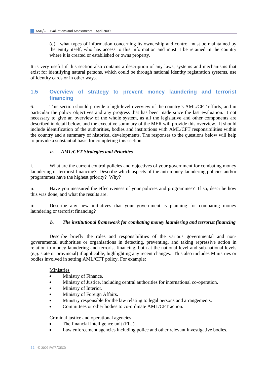(d) what types of information concerning its ownership and control must be maintained by the entity itself, who has access to this information and must it be retained in the country where it is created or established or owns property.

It is very useful if this section also contains a description of any laws, systems and mechanisms that exist for identifying natural persons, which could be through national identity registration systems, use of identity cards or in other ways.

## **1.5 Overview of strategy to prevent money laundering and terrorist financing**

6. This section should provide a high-level overview of the country's AML/CFT efforts, and in particular the policy objectives and any progress that has been made since the last evaluation. It not necessary to give an overview of the whole system, as all the legislative and other components are described in detail below, and the executive summary of the MER will provide this overview. It should include identification of the authorities, bodies and institutions with AML/CFT responsibilities within the country and a summary of historical developments. The responses to the questions below will help to provide a substantial basis for completing this section.

#### *a. AML/CFT Strategies and Priorities*

i. What are the current control policies and objectives of your government for combating money laundering or terrorist financing? Describe which aspects of the anti-money laundering policies and/or programmes have the highest priority? Why?

ii. Have you measured the effectiveness of your policies and programmes? If so, describe how this was done, and what the results are.

iii. Describe any new initiatives that your government is planning for combating money laundering or terrorist financing?

#### *b. The institutional framework for combating money laundering and terrorist financing*

 Describe briefly the roles and responsibilities of the various governmental and nongovernmental authorities or organisations in detecting, preventing, and taking repressive action in relation to money laundering and terrorist financing, both at the national level and sub-national levels (*e.g.* state or provincial) if applicable, highlighting any recent changes. This also includes Ministries or bodies involved in setting AML/CFT policy. For example:

#### Ministries

- Ministry of Finance.
- Ministry of Justice, including central authorities for international co-operation.
- Ministry of Interior.
- Ministry of Foreign Affairs.
- Ministry responsible for the law relating to legal persons and arrangements.
- Committees or other bodies to co-ordinate AML/CFT action.

#### Criminal justice and operational agencies

- The financial intelligence unit (FIU).
- Law enforcement agencies including police and other relevant investigative bodies.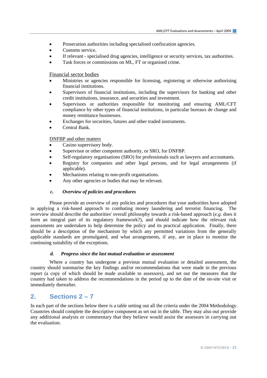- Prosecution authorities including specialised confiscation agencies.
- Customs service.
- If relevant specialised drug agencies, intelligence or security services, tax authorities.
- Task forces or commissions on ML, FT or organised crime.

Financial sector bodies

- Ministries or agencies responsible for licensing, registering or otherwise authorising financial institutions.
- Supervisors of financial institutions, including the supervisors for banking and other credit institutions, insurance, and securities and investment.
- Supervisors or authorities responsible for monitoring and ensuring AML/CFT compliance by other types of financial institutions, in particular bureaux de change and money remittance businesses.
- Exchanges for securities, futures and other traded instruments.
- Central Bank.

#### DNFBP and other matters

- Casino supervisory body.
- Supervisor or other competent authority, or SRO, for DNFBP.
- Self-regulatory organisations (SRO) for professionals such as lawyers and accountants.
- Registry for companies and other legal persons, and for legal arrangements (if applicable).
- Mechanisms relating to non-profit organisations.
- Any other agencies or bodies that may be relevant.

#### *c. Overview of policies and procedures*

Please provide an overview of any policies and procedures that your authorities have adopted in applying a risk-based approach to combating money laundering and terrorist financing. The overview should describe the authorities' overall philosophy towards a risk-based approach (*e.g.* does it form an integral part of its regulatory framework?), and should indicate how the relevant risk assessments are undertaken to help determine the policy and its practical application. Finally, there should be a description of the mechanism by which any permitted variations from the generally applicable standards are promulgated, and what arrangements, if any, are in place to monitor the continuing suitability of the exceptions.

#### *d. Progress since the last mutual evaluation or assessment*

 Where a country has undergone a previous mutual evaluation or detailed assessment, the country should summarise the key findings and/or recommendations that were made in the previous report (a copy of which should be made available to assessors), and set out the measures that the country had taken to address the recommendations in the period up to the date of the on-site visit or immediately thereafter.

## **2. Sections 2 – 7**

In each part of the sections below there is a table setting out all the criteria under the 2004 Methodology. Countries should complete the descriptive component as set out in the table. They may also out provide any additional analysis or commentary that they believe would assist the assessors in carrying out the evaluation.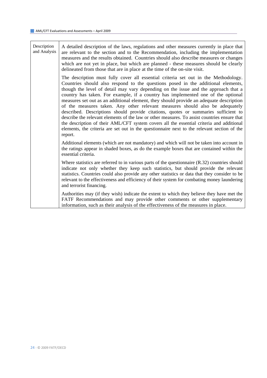Description and Analysis A detailed description of the laws, regulations and other measures currently in place that are relevant to the section and to the Recommendation, including the implementation measures and the results obtained. Countries should also describe measures or changes which are not yet in place, but which are planned - these measures should be clearly delineated from those that are in place at the time of the on-site visit. The description must fully cover all essential criteria set out in the Methodology. Countries should also respond to the questions posed in the additional elements, though the level of detail may vary depending on the issue and the approach that a country has taken. For example, if a country has implemented one of the optional measures set out as an additional element, they should provide an adequate description of the measures taken. Any other relevant measures should also be adequately described. Descriptions should provide citations, quotes or summaries sufficient to describe the relevant elements of the law or other measures. To assist countries ensure that the description of their AML/CFT system covers all the essential criteria and additional elements, the criteria are set out in the questionnaire next to the relevant section of the report. Additional elements (which are not mandatory) and which will not be taken into account in the ratings appear in shaded boxes, as do the example boxes that are contained within the essential criteria. Where statistics are referred to in various parts of the questionnaire (R.32) countries should indicate not only whether they keep such statistics, but should provide the relevant statistics. Countries could also provide any other statistics or data that they consider to be relevant to the effectiveness and efficiency of their system for combating money laundering and terrorist financing.

Authorities may (if they wish) indicate the extent to which they believe they have met the FATF Recommendations and may provide other comments or other supplementary information, such as their analysis of the effectiveness of the measures in place.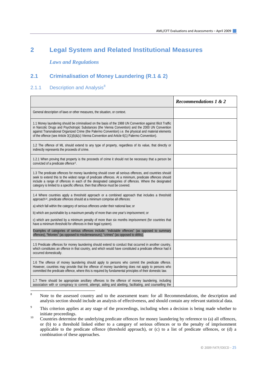## **2 Legal System and Related Institutional Measures**

 *Laws and Regulations* 

## **2.1 Criminalisation of Money Laundering (R.1 & 2)**

## 2.1.1 Description and Analysis $8$

|                                                                                                                                                                                                                                                                                                                                                                                                                             | <b>Recommendations 1 &amp; 2</b> |
|-----------------------------------------------------------------------------------------------------------------------------------------------------------------------------------------------------------------------------------------------------------------------------------------------------------------------------------------------------------------------------------------------------------------------------|----------------------------------|
| General description of laws or other measures, the situation, or context.                                                                                                                                                                                                                                                                                                                                                   |                                  |
| 1.1 Money laundering should be criminalised on the basis of the 1988 UN Convention against Illicit Traffic<br>in Narcotic Drugs and Psychotropic Substances (the Vienna Convention) and the 2000 UN Convention<br>against Transnational Organized Crime (the Palermo Convention) i.e. the physical and material elements<br>of the offence (see Article 3(1)(b)&(c) Vienna Convention and Article 6(1) Palermo Convention). |                                  |
| 1.2 The offence of ML should extend to any type of property, regardless of its value, that directly or<br>indirectly represents the proceeds of crime.                                                                                                                                                                                                                                                                      |                                  |
| 1.2.1 When proving that property is the proceeds of crime it should not be necessary that a person be<br>convicted of a predicate offence <sup>9</sup> .                                                                                                                                                                                                                                                                    |                                  |
| 1.3 The predicate offences for money laundering should cover all serious offences, and countries should<br>seek to extend this to the widest range of predicate offences. At a minimum, predicate offences should<br>include a range of offences in each of the designated categories of offences. Where the designated<br>category is limited to a specific offence, then that offence must be covered.                    |                                  |
| 1.4 Where countries apply a threshold approach or a combined approach that includes a threshold<br>approach <sup>10</sup> , predicate offences should at a minimum comprise all offences:                                                                                                                                                                                                                                   |                                  |
| a) which fall within the category of serious offences under their national law; or                                                                                                                                                                                                                                                                                                                                          |                                  |
| b) which are punishable by a maximum penalty of more than one year's imprisonment; or                                                                                                                                                                                                                                                                                                                                       |                                  |
| c) which are punished by a minimum penalty of more than six months imprisonment (for countries that<br>have a minimum threshold for offences in their legal system).                                                                                                                                                                                                                                                        |                                  |
| Examples of categories of serious offences include: "indictable offences" (as opposed to summary<br>offences), "felonies" (as opposed to misdemeanours); "crimes" (as opposed to délits).                                                                                                                                                                                                                                   |                                  |
| 1.5 Predicate offences for money laundering should extend to conduct that occurred in another country,<br>which constitutes an offence in that country, and which would have constituted a predicate offence had it<br>occurred domestically.                                                                                                                                                                               |                                  |
| 1.6 The offence of money laundering should apply to persons who commit the predicate offence.<br>However, countries may provide that the offence of money laundering does not apply to persons who<br>committed the predicate offence, where this is required by fundamental principles of their domestic law.                                                                                                              |                                  |
| 1.7 There should be appropriate ancillary offences to the offence of money laundering, including<br>association with or conspiracy to commit, attempt, aiding and abetting, facilitating, and counselling the                                                                                                                                                                                                               |                                  |

<span id="page-24-0"></span> $\overline{\mathbf{x}}$ Note to the assessed country and to the assessment team: for all Recommendations, the description and analysis section should include an analysis of effectiveness, and should contain any relevant statistical data.

<span id="page-24-1"></span> $\alpha$  This criterion applies at any stage of the proceedings, including when a decision is being made whether to initiate proceedings.<br>Countries determine the underlying predicate offences for money laundering by reference to (a) all offences,

<span id="page-24-2"></span>or (b) to a threshold linked either to a category of serious offences or to the penalty of imprisonment applicable to the predicate offence (threshold approach), or (c) to a list of predicate offences, or (d) a combination of these approaches.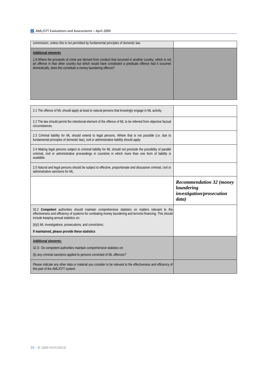$\Gamma$ 

| commission, unless this is not permitted by fundamental principles of domestic law.                                                                                                                                                                                                                              |  |
|------------------------------------------------------------------------------------------------------------------------------------------------------------------------------------------------------------------------------------------------------------------------------------------------------------------|--|
|                                                                                                                                                                                                                                                                                                                  |  |
| <b>Additional elements</b><br>1.8 Where the proceeds of crime are derived from conduct that occurred in another country, which is not<br>an offence in that other country but which would have constituted a predicate offence had it occurred<br>domestically, does this constitute a money laundering offence? |  |
|                                                                                                                                                                                                                                                                                                                  |  |
|                                                                                                                                                                                                                                                                                                                  |  |
|                                                                                                                                                                                                                                                                                                                  |  |

 $\overline{\phantom{0}}$ 

٦

| 2.1 The offence of ML should apply at least to natural persons that knowingly engage in ML activity.                                                                                                                                                   |                                               |
|--------------------------------------------------------------------------------------------------------------------------------------------------------------------------------------------------------------------------------------------------------|-----------------------------------------------|
| 2.2 The law should permit the intentional element of the offence of ML to be inferred from objective factual<br>circumstances.                                                                                                                         |                                               |
| 2.3 Criminal liability for ML should extend to legal persons. Where that is not possible (i.e. due to<br>fundamental principles of domestic law), civil or administrative liability should apply.                                                      |                                               |
| 2.4 Making legal persons subject to criminal liability for ML should not preclude the possibility of parallel<br>criminal, civil or administrative proceedings in countries in which more than one form of liability is<br>available.                  |                                               |
| 2.5 Natural and legal persons should be subject to effective, proportionate and dissuasive criminal, civil or<br>administrative sanctions for ML.                                                                                                      |                                               |
|                                                                                                                                                                                                                                                        | <b>Recommendation 32 (money</b><br>laundering |
|                                                                                                                                                                                                                                                        | investigation/prosecution<br>data)            |
| 32.2 Competent authorities should maintain comprehensive statistics on matters relevant to the<br>effectiveness and efficiency of systems for combating money laundering and terrorist financing. This should<br>include keeping annual statistics on: |                                               |
| (b)(i) ML investigations, prosecutions, and convictions;                                                                                                                                                                                               |                                               |
| If maintained, please provide these statistics                                                                                                                                                                                                         |                                               |
| <b>Additional elements:</b>                                                                                                                                                                                                                            |                                               |
| 32.3: Do competent authorities maintain comprehensive statistics on:                                                                                                                                                                                   |                                               |
| (b) any criminal sanctions applied to persons convicted of ML offences?                                                                                                                                                                                |                                               |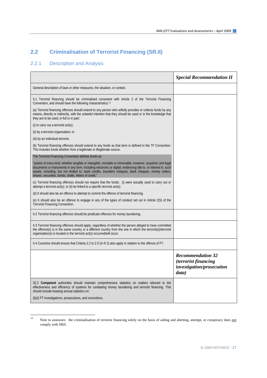## **2.2 Criminalisation of Terrorist Financing (SR.II)**

## 2.2.1 Description and Analysis

|                                                                                                                                                                                                                                                                                                                                                                                                 | <b>Special Recommendation II</b>                                                       |
|-------------------------------------------------------------------------------------------------------------------------------------------------------------------------------------------------------------------------------------------------------------------------------------------------------------------------------------------------------------------------------------------------|----------------------------------------------------------------------------------------|
| General description of laws or other measures, the situation, or context.                                                                                                                                                                                                                                                                                                                       |                                                                                        |
| II.1 Terrorist financing should be criminalised consistent with Article 2 of the Terrorist Financing<br>Convention, and should have the following characteristics:11                                                                                                                                                                                                                            |                                                                                        |
| (a) Terrorist financing offences should extend to any person who wilfully provides or collects funds by any<br>means, directly or indirectly, with the unlawful intention that they should be used or in the knowledge that<br>they are to be used, in full or in part:                                                                                                                         |                                                                                        |
| (i) to carry out a terrorist $act(s)$ ;                                                                                                                                                                                                                                                                                                                                                         |                                                                                        |
| (ii) by a terrorist organisation; or                                                                                                                                                                                                                                                                                                                                                            |                                                                                        |
| (iii) by an individual terrorist.                                                                                                                                                                                                                                                                                                                                                               |                                                                                        |
| (b) Terrorist financing offences should extend to any <i>funds</i> as that term is defined in the TF Convention.<br>This includes funds whether from a legitimate or illegitimate source.                                                                                                                                                                                                       |                                                                                        |
| The Terrorist Financing Convention defines <i>funds</i> as:                                                                                                                                                                                                                                                                                                                                     |                                                                                        |
| assets of every kind, whether tangible or intangible, movable or immovable, however, acquired, and legal"<br>documents or instruments in any form, including electronic or digital, evidencing title to, or interest in, such<br>assets, including, but not limited to, bank credits, travellers cheques, bank cheques, money orders,<br>shares, securities, bonds, drafts, letters of credit." |                                                                                        |
| (c) Terrorist financing offences should not require that the funds: (i) were actually used to carry out or<br>attempt a terrorist $act(s)$ ; or (ii) be linked to a specific terrorist $act(s)$ .                                                                                                                                                                                               |                                                                                        |
| (d) It should also be an offence to attempt to commit the offence of terrorist financing.                                                                                                                                                                                                                                                                                                       |                                                                                        |
| (e) It should also be an offence to engage in any of the types of conduct set out in Article 2(5) of the<br>Terrorist Financing Convention.                                                                                                                                                                                                                                                     |                                                                                        |
| II.2 Terrorist financing offences should be predicate offences for money laundering.                                                                                                                                                                                                                                                                                                            |                                                                                        |
| II.3 Terrorist financing offences should apply, regardless of whether the person alleged to have committed<br>the offence(s) is in the same country or a different country from the one in which the terrorist(s)/terrorist<br>organisation(s) is located or the terrorist act(s) occurred/will occur.                                                                                          |                                                                                        |
| II.4 Countries should ensure that Criteria 2.2 to 2.5 (in R.2) also apply in relation to the offence of FT.                                                                                                                                                                                                                                                                                     |                                                                                        |
|                                                                                                                                                                                                                                                                                                                                                                                                 | <b>Recommendation 32</b><br>(terrorist financing<br>investigation/prosecution<br>data) |
| 32.2 Competent authorities should maintain comprehensive statistics on matters relevant to the<br>effectiveness and efficiency of systems for combating money laundering and terrorist financing. This<br>should include keeping annual statistics on:                                                                                                                                          |                                                                                        |
| (b)(i) FT investigations, prosecutions, and convictions.                                                                                                                                                                                                                                                                                                                                        |                                                                                        |

<span id="page-26-0"></span> $\overline{11}$ <sup>11</sup> Note to assessors: the criminalisation of terrorist financing solely on the basis of aiding and abetting, attempt, or conspiracy does not comply with SRII.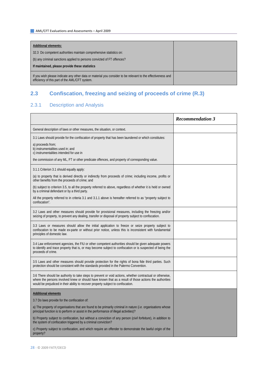| <b>Additional elements:</b>                                                                                                                                   |  |
|---------------------------------------------------------------------------------------------------------------------------------------------------------------|--|
| 32.3 Do competent authorities maintain comprehensive statistics on:                                                                                           |  |
| (b) any criminal sanctions applied to persons convicted of FT offences?                                                                                       |  |
| If maintained, please provide these statistics                                                                                                                |  |
| If you wish please indicate any other data or material you consider to be relevant to the effectiveness and<br>efficiency of this part of the AML/CFT system. |  |

## **2.3 Confiscation, freezing and seizing of proceeds of crime (R.3)**

## 2.3.1 Description and Analysis

|                                                                                                                                                                                                                                                                                                          | <b>Recommendation 3</b> |
|----------------------------------------------------------------------------------------------------------------------------------------------------------------------------------------------------------------------------------------------------------------------------------------------------------|-------------------------|
| General description of laws or other measures, the situation, or context.                                                                                                                                                                                                                                |                         |
| 3.1 Laws should provide for the confiscation of property that has been laundered or which constitutes:                                                                                                                                                                                                   |                         |
| a) proceeds from;<br>b) instrumentalities used in; and<br>c) instrumentalities intended for use in                                                                                                                                                                                                       |                         |
| the commission of any ML, FT or other predicate offences, and property of corresponding value.                                                                                                                                                                                                           |                         |
| 3.1.1 Criterion 3.1 should equally apply:                                                                                                                                                                                                                                                                |                         |
| (a) to property that is derived directly or indirectly from proceeds of crime; including income, profits or<br>other benefits from the proceeds of crime; and                                                                                                                                            |                         |
| (b) subject to criterion 3.5, to all the property referred to above, regardless of whether it is held or owned<br>by a criminal defendant or by a third party.                                                                                                                                           |                         |
| All the property referred to in criteria 3.1 and 3.1.1 above is hereafter referred to as "property subject to<br>confiscation".                                                                                                                                                                          |                         |
| 3.2 Laws and other measures should provide for provisional measures, including the freezing and/or<br>seizing of property, to prevent any dealing, transfer or disposal of property subject to confiscation.                                                                                             |                         |
| 3.3 Laws or measures should allow the initial application to freeze or seize property subject to<br>confiscation to be made ex-parte or without prior notice, unless this is inconsistent with fundamental<br>principles of domestic law.                                                                |                         |
| 3.4 Law enforcement agencies, the FIU or other competent authorities should be given adequate powers<br>to identify and trace property that is, or may become subject to confiscation or is suspected of being the<br>proceeds of crime.                                                                 |                         |
| 3.5 Laws and other measures should provide protection for the rights of bona fide third parties. Such<br>protection should be consistent with the standards provided in the Palermo Convention.                                                                                                          |                         |
| 3.6 There should be authority to take steps to prevent or void actions, whether contractual or otherwise,<br>where the persons involved knew or should have known that as a result of those actions the authorities<br>would be prejudiced in their ability to recover property subject to confiscation. |                         |
| <b>Additional elements</b>                                                                                                                                                                                                                                                                               |                         |
| 3.7 Do laws provide for the confiscation of:                                                                                                                                                                                                                                                             |                         |
| a) The property of organisations that are found to be primarily criminal in nature ( <i>i.e.</i> organisations whose<br>principal function is to perform or assist in the performance of illegal activities)?                                                                                            |                         |
| b) Property subject to confiscation, but without a conviction of any person (civil forfeiture), in addition to<br>the system of confiscation triggered by a criminal conviction?                                                                                                                         |                         |
| c) Property subject to confiscation, and which require an offender to demonstrate the lawful origin of the<br>property?                                                                                                                                                                                  |                         |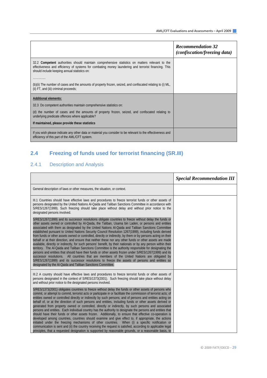|                                                                                                                                                                                                                                                        | <b>Recommendation 32</b><br><i>(confiscation/freezing data)</i> |
|--------------------------------------------------------------------------------------------------------------------------------------------------------------------------------------------------------------------------------------------------------|-----------------------------------------------------------------|
| 32.2 Competent authorities should maintain comprehensive statistics on matters relevant to the<br>effectiveness and efficiency of systems for combating money laundering and terrorist financing. This<br>should include keeping annual statistics on: |                                                                 |
| .                                                                                                                                                                                                                                                      |                                                                 |
| (b)(ii) The number of cases and the amounts of property frozen, seized, and confiscated relating to (i) ML,<br>(ii) FT, and (iii) criminal proceeds;                                                                                                   |                                                                 |
| <b>Additional elements:</b>                                                                                                                                                                                                                            |                                                                 |
| 32.3 Do competent authorities maintain comprehensive statistics on:                                                                                                                                                                                    |                                                                 |
| (d) the number of cases and the amounts of property frozen, seized, and confiscated relating to<br>underlying predicate offences where applicable?                                                                                                     |                                                                 |
| If maintained, please provide these statistics                                                                                                                                                                                                         |                                                                 |
| If you wish please indicate any other data or material you consider to be relevant to the effectiveness and<br>efficiency of this part of the AML/CFT system.                                                                                          |                                                                 |

## **2.4 Freezing of funds used for terrorist financing (SR.III)**

## 2.4.1 Description and Analysis

|                                                                                                                                                                                                                                                                                                                                                                                                                                                                                                                                                                                                                                                                                                                                                                                                                                                                                                                                                                                                                                                                                                                                                                                                                                                                     | <b>Special Recommendation III</b> |
|---------------------------------------------------------------------------------------------------------------------------------------------------------------------------------------------------------------------------------------------------------------------------------------------------------------------------------------------------------------------------------------------------------------------------------------------------------------------------------------------------------------------------------------------------------------------------------------------------------------------------------------------------------------------------------------------------------------------------------------------------------------------------------------------------------------------------------------------------------------------------------------------------------------------------------------------------------------------------------------------------------------------------------------------------------------------------------------------------------------------------------------------------------------------------------------------------------------------------------------------------------------------|-----------------------------------|
| General description of laws or other measures, the situation, or context.                                                                                                                                                                                                                                                                                                                                                                                                                                                                                                                                                                                                                                                                                                                                                                                                                                                                                                                                                                                                                                                                                                                                                                                           |                                   |
| III.1 Countries should have effective laws and procedures to freeze terrorist funds or other assets of<br>persons designated by the United Nations Al-Qaida and Taliban Sanctions Committee in accordance with<br>S/RES/1267(1999). Such freezing should take place without delay and without prior notice to the<br>designated persons involved.                                                                                                                                                                                                                                                                                                                                                                                                                                                                                                                                                                                                                                                                                                                                                                                                                                                                                                                   |                                   |
| S/RES/1267(1999) and its successor resolutions obligate countries to freeze without delay the funds or<br>other assets owned or controlled by Al-Qaida, the Taliban, Usama bin Laden, or persons and entities<br>associated with them as designated by the United Nations Al-Qaida and Taliban Sanctions Committee<br>established pursuant to United Nations Security Council Resolution 1267(1999), including funds derived<br>from funds or other assets owned or controlled, directly or indirectly, by them or by persons acting on their<br>behalf or at their direction, and ensure that neither these nor any other funds or other assets are made<br>available, directly or indirectly, for such persons' benefit, by their nationals or by any person within their<br>territory. The Al-Qaida and Taliban Sanctions Committee is the authority responsible for designating the<br>persons and entities that should have their funds or other assets frozen under S/RES/1267(1999) and its<br>successor resolutions. All countries that are members of the United Nations are obligated by<br>S/RES/1267(1999) and its successor resolutions to freeze the assets of persons and entities so<br>designated by the Al-Qaida and Taliban Sanctions Committee. |                                   |
| III.2 A country should have effective laws and procedures to freeze terrorist funds or other assets of<br>persons designated in the context of S/RES/1373(2001). Such freezing should take place without delay<br>and without prior notice to the designated persons involved.                                                                                                                                                                                                                                                                                                                                                                                                                                                                                                                                                                                                                                                                                                                                                                                                                                                                                                                                                                                      |                                   |
| S/RES/1373(2001) obligates countries to freeze without delay the funds or other assets of persons who<br>commit, or attempt to commit, terrorist acts or participate in or facilitate the commission of terrorist acts; of<br>entities owned or controlled directly or indirectly by such persons; and of persons and entities acting on<br>behalf of, or at the direction of such persons and entities, including funds or other assets derived or<br>generated from property owned or controlled, directly or indirectly, by such persons and associated<br>persons and entities. Each individual country has the authority to designate the persons and entities that<br>should have their funds or other assets frozen. Additionally, to ensure that effective co-operation is<br>developed among countries, countries should examine and give effect to, if appropriate, the actions<br>initiated under the freezing mechanisms of other countries. When (i) a specific notification or<br>communication is sent and (ii) the country receiving the request is satisfied, according to applicable legal<br>principles, that a requested designation is supported by reasonable grounds, or a reasonable basis, to                                              |                                   |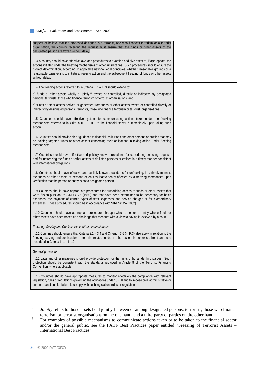| suspect or believe that the proposed designee is a terrorist, one who finances terrorism or a terrorist<br>organisation, the country receiving the request must ensure that the funds or other assets of the<br>designated person are frozen without delay.                                                                                                                                                                                                           |  |
|-----------------------------------------------------------------------------------------------------------------------------------------------------------------------------------------------------------------------------------------------------------------------------------------------------------------------------------------------------------------------------------------------------------------------------------------------------------------------|--|
| III.3 A country should have effective laws and procedures to examine and give effect to, if appropriate, the<br>actions initiated under the freezing mechanisms of other jurisdictions. Such procedures should ensure the<br>prompt determination, according to applicable national legal principles, whether reasonable grounds or a<br>reasonable basis exists to initiate a freezing action and the subsequent freezing of funds or other assets<br>without delay. |  |
| III.4 The freezing actions referred to in Criteria III.1 - III.3 should extend to:                                                                                                                                                                                                                                                                                                                                                                                    |  |
| a) funds or other assets wholly or jointly <sup>12</sup> owned or controlled, directly or indirectly, by designated<br>persons, terrorists, those who finance terrorism or terrorist organisations; and                                                                                                                                                                                                                                                               |  |
| b) funds or other assets derived or generated from funds or other assets owned or controlled directly or<br>indirectly by designated persons, terrorists, those who finance terrorism or terrorist organisations.                                                                                                                                                                                                                                                     |  |
| III.5 Countries should have effective systems for communicating actions taken under the freezing<br>mechanisms referred to in Criteria III.1 - III.3 to the financial sector <sup>13</sup> immediately upon taking such<br>action.                                                                                                                                                                                                                                    |  |
| III.6 Countries should provide clear guidance to financial institutions and other persons or entities that may<br>be holding targeted funds or other assets concerning their obligations in taking action under freezing<br>mechanisms.                                                                                                                                                                                                                               |  |
| III.7 Countries should have effective and publicly-known procedures for considering de-listing requests<br>and for unfreezing the funds or other assets of de-listed persons or entities in a timely manner consistent<br>with international obligations.                                                                                                                                                                                                             |  |
| III.8 Countries should have effective and publicly-known procedures for unfreezing, in a timely manner,<br>the funds or other assets of persons or entities inadvertently affected by a freezing mechanism upon<br>verification that the person or entity is not a designated person.                                                                                                                                                                                 |  |
| III.9 Countries should have appropriate procedures for authorising access to funds or other assets that<br>were frozen pursuant to S/RES/1267(1999) and that have been determined to be necessary for basic<br>expenses, the payment of certain types of fees, expenses and service charges or for extraordinary<br>expenses. These procedures should be in accordance with S/RES/1452(2002).                                                                         |  |
| III.10 Countries should have appropriate procedures through which a person or entity whose funds or<br>other assets have been frozen can challenge that measure with a view to having it reviewed by a court.                                                                                                                                                                                                                                                         |  |
| Freezing, Seizing and Confiscation in other circumstances                                                                                                                                                                                                                                                                                                                                                                                                             |  |
| III.11 Countries should ensure that Criteria 3.1 – 3.4 and Criterion 3.6 (in R.3) also apply in relation to the<br>freezing, seizing and confiscation of terrorist-related funds or other assets in contexts other than those<br>described in Criteria III.1 - III.10.                                                                                                                                                                                                |  |
| General provisions                                                                                                                                                                                                                                                                                                                                                                                                                                                    |  |
| III.12 Laws and other measures should provide protection for the rights of bona fide third parties. Such<br>protection should be consistent with the standards provided in Article 8 of the Terrorist Financing<br>Convention, where applicable.                                                                                                                                                                                                                      |  |
| III.13 Countries should have appropriate measures to monitor effectively the compliance with relevant<br>legislation, rules or regulations governing the obligations under SR III and to impose civil, administrative or<br>criminal sanctions for failure to comply with such legislation, rules or regulations.                                                                                                                                                     |  |

<span id="page-29-0"></span><sup>12</sup> *Jointly* refers to those assets held jointly between or among designated persons, terrorists, those who finance

<span id="page-29-1"></span>terrorism or terrorist organisations on the one hand, and a third party or parties on the other hand.<br><sup>13</sup> For examples of possible mechanisms to communicate actions taken or to be taken to the financial sector and/or the general public, see the FATF Best Practices paper entitled "Freezing of Terrorist Assets – International Best Practices".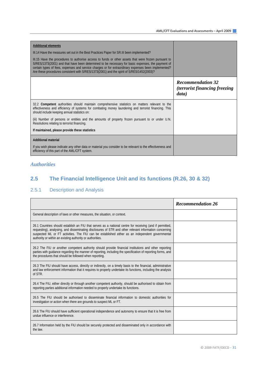| <b>Additional elements</b>                                                                                                                                                                                                                                                                                                                                                                                    |                                                                           |
|---------------------------------------------------------------------------------------------------------------------------------------------------------------------------------------------------------------------------------------------------------------------------------------------------------------------------------------------------------------------------------------------------------------|---------------------------------------------------------------------------|
| III.14 Have the measures set out in the Best Practices Paper for SR.III been implemented?                                                                                                                                                                                                                                                                                                                     |                                                                           |
| III.15 Have the procedures to authorise access to funds or other assets that were frozen pursuant to<br>S/RES/1373(2001) and that have been determined to be necessary for basic expenses, the payment of<br>certain types of fees, expenses and service charges or for extraordinary expenses been implemented?<br>Are these procedures consistent with S/RES/1373(2001) and the spirit of S/RES/1452(2003)? |                                                                           |
|                                                                                                                                                                                                                                                                                                                                                                                                               | <b>Recommendation 32</b><br><i>(terrorist financing freezing</i><br>data) |
| 32.2 Competent authorities should maintain comprehensive statistics on matters relevant to the<br>effectiveness and efficiency of systems for combating money laundering and terrorist financing. This<br>should include keeping annual statistics on:                                                                                                                                                        |                                                                           |
| (iii) Number of persons or entities and the amounts of property frozen pursuant to or under U.N.<br>Resolutions relating to terrorist financing.                                                                                                                                                                                                                                                              |                                                                           |
| If maintained, please provide these statistics                                                                                                                                                                                                                                                                                                                                                                |                                                                           |
| <b>Additional material</b>                                                                                                                                                                                                                                                                                                                                                                                    |                                                                           |
| If you wish please indicate any other data or material you consider to be relevant to the effectiveness and<br>efficiency of this part of the AML/CFT system.                                                                                                                                                                                                                                                 |                                                                           |

## *Authorities*

## **2.5 The Financial Intelligence Unit and its functions (R.26, 30 & 32)**

## 2.5.1 Description and Analysis

|                                                                                                                                                                                                                                                                                                                                                                                    | <b>Recommendation 26</b> |
|------------------------------------------------------------------------------------------------------------------------------------------------------------------------------------------------------------------------------------------------------------------------------------------------------------------------------------------------------------------------------------|--------------------------|
| General description of laws or other measures, the situation, or context.                                                                                                                                                                                                                                                                                                          |                          |
| 26.1 Countries should establish an FIU that serves as a national centre for receiving (and if permitted,<br>requesting), analysing, and disseminating disclosures of STR and other relevant information concerning<br>suspected ML or FT activities. The FIU can be established either as an independent governmental<br>authority or within an existing authority or authorities. |                          |
| 26.2 The FIU or another competent authority should provide financial institutions and other reporting<br>parties with guidance regarding the manner of reporting, including the specification of reporting forms, and<br>the procedures that should be followed when reporting.                                                                                                    |                          |
| 26.3 The FIU should have access, directly or indirectly, on a timely basis to the financial, administrative<br>and law enforcement information that it requires to properly undertake its functions, including the analysis<br>of STR.                                                                                                                                             |                          |
| 26.4 The FIU, either directly or through another competent authority, should be authorised to obtain from<br>reporting parties additional information needed to properly undertake its functions.                                                                                                                                                                                  |                          |
| 26.5 The FIU should be authorised to disseminate financial information to domestic authorities for<br>investigation or action when there are grounds to suspect ML or FT.                                                                                                                                                                                                          |                          |
| 26.6 The FIU should have sufficient operational independence and autonomy to ensure that it is free from<br>undue influence or interference.                                                                                                                                                                                                                                       |                          |
| 26.7 Information held by the FIU should be securely protected and disseminated only in accordance with<br>the law.                                                                                                                                                                                                                                                                 |                          |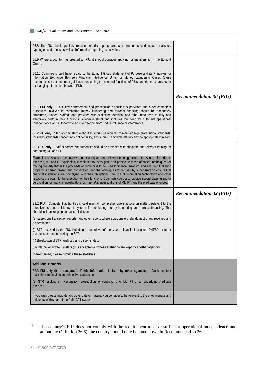| 26.8 The FIU should publicly release periodic reports, and such reports should include statistics,<br>typologies and trends as well as information regarding its activities.                                                                                                                                                                                                                                                                                                                                                                           |                                |
|--------------------------------------------------------------------------------------------------------------------------------------------------------------------------------------------------------------------------------------------------------------------------------------------------------------------------------------------------------------------------------------------------------------------------------------------------------------------------------------------------------------------------------------------------------|--------------------------------|
| 26.9 Where a country has created an FIU, it should consider applying for membership in the Egmont<br>Group.                                                                                                                                                                                                                                                                                                                                                                                                                                            |                                |
| 26.10 Countries should have regard to the Egmont Group Statement of Purpose and its Principles for<br>Information Exchange Between Financial Intelligence Units for Money Laundering Cases (these<br>documents set out important guidance concerning the role and functions of FIUs, and the mechanisms for<br>exchanging information between FIU).                                                                                                                                                                                                    |                                |
|                                                                                                                                                                                                                                                                                                                                                                                                                                                                                                                                                        | <b>Recommendation 30 (FIU)</b> |
| 30.1 FIU only: FIUs, law enforcement and prosecution agencies, supervisors and other competent<br>authorities involved in combating money laundering and terrorist financing should be adequately<br>structured, funded, staffed, and provided with sufficient technical and other resources to fully and<br>effectively perform their functions. Adequate structuring includes the need for sufficient operational<br>independence and autonomy to ensure freedom from undue influence or interference. <sup>14</sup>                                 |                                |
| 30.2 FIU only: Staff of competent authorities should be required to maintain high professional standards,<br>including standards concerning confidentiality, and should be of high integrity and be appropriately skilled.                                                                                                                                                                                                                                                                                                                             |                                |
| 30.3 FIU only: Staff of competent authorities should be provided with adequate and relevant training for<br>combating ML and FT.                                                                                                                                                                                                                                                                                                                                                                                                                       |                                |
| Examples of issues to be covered under adequate and relevant training include: the scope of predicate<br>offences, ML and FT typologies, techniques to investigate and prosecute these offences, techniques for<br>tracing property that is the proceeds of crime or is to be used to finance terrorism, and ensuring that such<br>property is seized, frozen and confiscated, and the techniques to be used by supervisors to ensure that<br>financial institutions are complying with their obligations; the use of information technology and other |                                |
| resources relevant to the execution of their functions. Countries could also provide special training and/or<br>certification for financial investigators for, <i>inter alia</i> , investigations of ML, FT, and the predicate offences.                                                                                                                                                                                                                                                                                                               |                                |
|                                                                                                                                                                                                                                                                                                                                                                                                                                                                                                                                                        | <b>Recommendation 32 (FIU)</b> |
| 32.2 FIU: Competent authorities should maintain comprehensive statistics on matters relevant to the<br>effectiveness and efficiency of systems for combating money laundering and terrorist financing. This<br>should include keeping annual statistics on:                                                                                                                                                                                                                                                                                            |                                |
| (a) suspicious transaction reports, and other reports where appropriate under domestic law, received and<br>disseminated-                                                                                                                                                                                                                                                                                                                                                                                                                              |                                |
| (i) STR received by the FIU, including a breakdown of the type of financial institution, DNFBP, or other<br>business or person making the STR;                                                                                                                                                                                                                                                                                                                                                                                                         |                                |
| (ii) Breakdown of STR analysed and disseminated;                                                                                                                                                                                                                                                                                                                                                                                                                                                                                                       |                                |
| (iii) international wire transfers (It is acceptable if these statistics are kept by another agency).                                                                                                                                                                                                                                                                                                                                                                                                                                                  |                                |
| If maintained, please provide these statistics                                                                                                                                                                                                                                                                                                                                                                                                                                                                                                         |                                |
| <b>Additional elements</b>                                                                                                                                                                                                                                                                                                                                                                                                                                                                                                                             |                                |
| 32.3 FIU only (It is acceptable if this information is kept by other agencies): Do competent<br>authorities maintain comprehensive statistics on:                                                                                                                                                                                                                                                                                                                                                                                                      |                                |
| (a) STR resulting in investigation, prosecution, or convictions for ML, FT or an underlying predicate<br>offence?                                                                                                                                                                                                                                                                                                                                                                                                                                      |                                |

<span id="page-31-0"></span> $14$ If a country's FIU does not comply with the requirement to have sufficient operational independence and autonomy (Criterion 26.6), the country should only be rated down in Recommendation 26.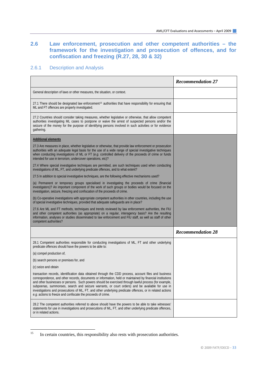## **2.6 Law enforcement, prosecution and other competent authorities – the framework for the investigation and prosecution of offences, and for confiscation and freezing (R.27, 28, 30 & 32)**

## 2.6.1 Description and Analysis

|                                                                                                                                                                                                                                                                                                                                                                                                                                                                                                                                                                                                             | <b>Recommendation 27</b> |
|-------------------------------------------------------------------------------------------------------------------------------------------------------------------------------------------------------------------------------------------------------------------------------------------------------------------------------------------------------------------------------------------------------------------------------------------------------------------------------------------------------------------------------------------------------------------------------------------------------------|--------------------------|
| General description of laws or other measures, the situation, or context.                                                                                                                                                                                                                                                                                                                                                                                                                                                                                                                                   |                          |
| 27.1 There should be designated law enforcement <sup>15</sup> authorities that have responsibility for ensuring that<br>ML and FT offences are properly investigated.                                                                                                                                                                                                                                                                                                                                                                                                                                       |                          |
| 27.2 Countries should consider taking measures, whether legislative or otherwise, that allow competent<br>authorities investigating ML cases to postpone or waive the arrest of suspected persons and/or the<br>seizure of the money for the purpose of identifying persons involved in such activities or for evidence<br>gathering.                                                                                                                                                                                                                                                                       |                          |
| <b>Additional elements</b>                                                                                                                                                                                                                                                                                                                                                                                                                                                                                                                                                                                  |                          |
| 27.3 Are measures in place, whether legislative or otherwise, that provide law enforcement or prosecution<br>authorities with an adequate legal basis for the use of a wide range of special investigative techniques<br>when conducting investigations of ML or FT ( $e.g.$ controlled delivery of the proceeds of crime or funds<br>intended for use in terrorism, undercover operations, etc)?                                                                                                                                                                                                           |                          |
| 27.4 Where special investigative techniques are permitted, are such techniques used when conducting<br>investigations of ML, FT, and underlying predicate offences, and to what extent?                                                                                                                                                                                                                                                                                                                                                                                                                     |                          |
| 27.5 In addition to special investigative techniques, are the following effective mechanisms used?                                                                                                                                                                                                                                                                                                                                                                                                                                                                                                          |                          |
| (a) Permanent or temporary groups specialised in investigating the proceeds of crime (financial<br>investigators)? An important component of the work of such groups or bodies would be focused on the<br>investigation, seizure, freezing and confiscation of the proceeds of crime.                                                                                                                                                                                                                                                                                                                       |                          |
| (b) Co-operative investigations with appropriate competent authorities in other countries, including the use<br>of special investigative techniques, provided that adequate safeguards are in place?                                                                                                                                                                                                                                                                                                                                                                                                        |                          |
| 27.6 Are ML and FT methods, techniques and trends reviewed by law enforcement authorities, the FIU<br>and other competent authorities (as appropriate) on a regular, interagency basis? Are the resulting<br>information, analyses or studies disseminated to law enforcement and FIU staff, as well as staff of other<br>competent authorities?                                                                                                                                                                                                                                                            |                          |
|                                                                                                                                                                                                                                                                                                                                                                                                                                                                                                                                                                                                             | <b>Recommendation 28</b> |
| 28.1 Competent authorities responsible for conducting investigations of ML, FT and other underlying<br>predicate offences should have the powers to be able to:                                                                                                                                                                                                                                                                                                                                                                                                                                             |                          |
| (a) compel production of,                                                                                                                                                                                                                                                                                                                                                                                                                                                                                                                                                                                   |                          |
| (b) search persons or premises for, and                                                                                                                                                                                                                                                                                                                                                                                                                                                                                                                                                                     |                          |
| (c) seize and obtain                                                                                                                                                                                                                                                                                                                                                                                                                                                                                                                                                                                        |                          |
| transaction records, identification data obtained through the CDD process, account files and business<br>correspondence, and other records, documents or information, held or maintained by financial institutions<br>and other businesses or persons. Such powers should be exercised through lawful process (for example,<br>subpoenas, summonses, search and seizure warrants, or court orders) and be available for use in<br>investigations and prosecutions of ML, FT, and other underlying predicate offences, or in related actions<br>e.g. actions to freeze and confiscate the proceeds of crime. |                          |
| 28.2 The competent authorities referred to above should have the powers to be able to take witnesses'<br>statements for use in investigations and prosecutions of ML, FT, and other underlying predicate offences,<br>or in related actions.                                                                                                                                                                                                                                                                                                                                                                |                          |

<span id="page-32-0"></span> $15$ 15 In certain countries, this responsibility also rests with prosecution authorities.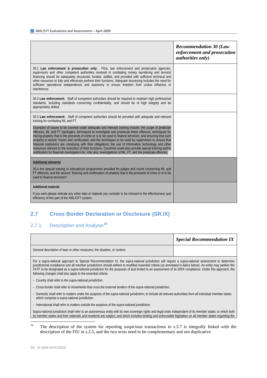|                                                                                                                                                                                                                                                                                                                                                                                                                                                                                                                                                                                                                                                                                                                                                                                                    | <b>Recommendation 30 (Law</b><br>enforcement and prosecution<br><i>authorities only)</i> |
|----------------------------------------------------------------------------------------------------------------------------------------------------------------------------------------------------------------------------------------------------------------------------------------------------------------------------------------------------------------------------------------------------------------------------------------------------------------------------------------------------------------------------------------------------------------------------------------------------------------------------------------------------------------------------------------------------------------------------------------------------------------------------------------------------|------------------------------------------------------------------------------------------|
| 30.1 Law enforcement & prosecution only: FIUs, law enforcement and prosecution agencies,<br>supervisors and other competent authorities involved in combating money laundering and terrorist<br>financing should be adequately structured, funded, staffed, and provided with sufficient technical and<br>other resources to fully and effectively perform their functions. Adequate structuring includes the need for<br>sufficient operational independence and autonomy to ensure freedom from undue influence or<br>interference.                                                                                                                                                                                                                                                              |                                                                                          |
| 30.2 Law enforcement: Staff of competent authorities should be required to maintain high professional<br>standards, including standards concerning confidentiality, and should be of high integrity and be<br>appropriately skilled.                                                                                                                                                                                                                                                                                                                                                                                                                                                                                                                                                               |                                                                                          |
| 30.3 Law enforcement: Staff of competent authorities should be provided with adequate and relevant<br>training for combating ML and FT.                                                                                                                                                                                                                                                                                                                                                                                                                                                                                                                                                                                                                                                            |                                                                                          |
| Examples of issues to be covered under adequate and relevant training include: the scope of predicate<br>offences, ML and FT typologies, techniques to investigate and prosecute these offences, techniques for<br>tracing property that is the proceeds of crime or is to be used to finance terrorism, and ensuring that such<br>property is seized, frozen and confiscated, and the techniques to be used by supervisors to ensure that<br>financial institutions are complying with their obligations; the use of information technology and other<br>resources relevant to the execution of their functions. Countries could also provide special training and/or<br>certification for financial investigators for, <i>inter alia</i> , investigations of ML, FT, and the predicate offences. |                                                                                          |
| <b>Additional elements</b>                                                                                                                                                                                                                                                                                                                                                                                                                                                                                                                                                                                                                                                                                                                                                                         |                                                                                          |
| 30.4 Are special training or educational programmes provided for judges and courts concerning ML and<br>FT offences, and the seizure, freezing and confiscation of property that is the proceeds of crime or is to be<br>used to finance terrorism?                                                                                                                                                                                                                                                                                                                                                                                                                                                                                                                                                |                                                                                          |
| <b>Additional material</b>                                                                                                                                                                                                                                                                                                                                                                                                                                                                                                                                                                                                                                                                                                                                                                         |                                                                                          |
| If you wish please indicate any other data or material you consider to be relevant to the effectiveness and<br>efficiency of this part of the AML/CFT system.                                                                                                                                                                                                                                                                                                                                                                                                                                                                                                                                                                                                                                      |                                                                                          |

## **2.7 Cross Border Declaration or Disclosure (SR.IX)**

## 2.7.1 Description and Analysis**[16](#page-33-0)**

|                                                                                                                                                                                                                                                                                                                                                                                                                                                                                                                                                                                                                | <b>Special Recommendation IX</b> |
|----------------------------------------------------------------------------------------------------------------------------------------------------------------------------------------------------------------------------------------------------------------------------------------------------------------------------------------------------------------------------------------------------------------------------------------------------------------------------------------------------------------------------------------------------------------------------------------------------------------|----------------------------------|
| General description of laws or other measures, the situation, or context.                                                                                                                                                                                                                                                                                                                                                                                                                                                                                                                                      |                                  |
| For a supra-national approach to Special Recommendation IX, the supra-national jurisdiction will require a supra-national assessment to determine<br>jurisdictional compliance and all member jurisdictions should adhere to modified essential criteria (as annotated in italics below). An entity may petition the<br>FATF to be designated as a supra-national jurisdiction for the purposes of and limited to an assessment of its SRIX compliance. Under this approach, the<br>following changes shall also apply to the essential criteria:<br>- Country shall refer to the supra-national jurisdiction. |                                  |

- Cross-border shall refer to movements that cross the external borders of the supra-national jurisdiction.
- Domestic shall refer to matters under the auspices of the supra-national jurisdiction, to include all relevant authorities from all individual member states which comprise a supra-national jurisdiction.
- International shall refer to matters outside the auspices of the supra-national jurisdiction.

Supra-national jurisdiction shall refer to an autonomous entity with its own sovereign rights and legal order independent of its member states, to which both its member states and their nationals and residents are subject, and which includes binding and enforceable legislation on all member states regarding the

<span id="page-33-0"></span> $16$ The description of the system for reporting suspicious transactions in s.3.7 is integrally linked with the description of the FIU in s.2.5, and the two texts need to be complementary and not duplicative.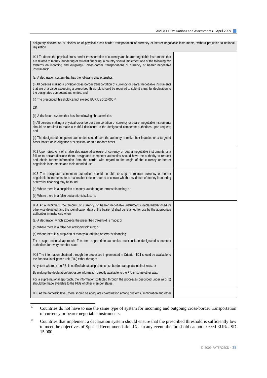| obligatory declaration or disclosure of physical cross-border transportation of currency or bearer negotiable instruments, without prejudice to national<br>legislation                                                                                                                                                                                                     |  |
|-----------------------------------------------------------------------------------------------------------------------------------------------------------------------------------------------------------------------------------------------------------------------------------------------------------------------------------------------------------------------------|--|
| IX.1 To detect the physical cross-border transportation of currency and bearer negotiable instruments that<br>are related to money laundering or terrorist financing, a country should implement one of the following two<br>systems on incoming and outgoing <sup>17</sup> cross-border transportations of currency or bearer negotiable<br>instruments:                   |  |
| (a) A declaration system that has the following characteristics:                                                                                                                                                                                                                                                                                                            |  |
| (i) All persons making a physical cross-border transportation of currency or bearer negotiable instruments<br>that are of a value exceeding a prescribed threshold should be required to submit a truthful declaration to<br>the designated competent authorities; and                                                                                                      |  |
| (ii) The prescribed threshold cannot exceed EUR/USD 15,00018                                                                                                                                                                                                                                                                                                                |  |
| 0R                                                                                                                                                                                                                                                                                                                                                                          |  |
| (b) A disclosure system that has the following characteristics:                                                                                                                                                                                                                                                                                                             |  |
| (i) All persons making a physical cross-border transportation of currency or bearer negotiable instruments<br>should be required to make a truthful disclosure to the designated competent authorities upon request;<br>and                                                                                                                                                 |  |
| (ii) The designated competent authorities should have the authority to make their inquiries on a targeted<br>basis, based on intelligence or suspicion, or on a random basis.                                                                                                                                                                                               |  |
| IX.2 Upon discovery of a false declaration/disclosure of currency or bearer negotiable instruments or a<br>failure to declare/disclose them, designated competent authorities should have the authority to request<br>and obtain further information from the carrier with regard to the origin of the currency or bearer<br>negotiable instruments and their intended use. |  |
| IX.3 The designated competent authorities should be able to stop or restrain currency or bearer<br>negotiable instruments for a reasonable time in order to ascertain whether evidence of money laundering<br>or terrorist financing may be found:                                                                                                                          |  |
| (a) Where there is a suspicion of money laundering or terrorist financing; or                                                                                                                                                                                                                                                                                               |  |
| (b) Where there is a false declaration/disclosure.                                                                                                                                                                                                                                                                                                                          |  |
| IX.4 At a minimum, the amount of currency or bearer negotiable instruments declared/disclosed or<br>otherwise detected, and the identification data of the bearer(s) shall be retained for use by the appropriate<br>authorities in instances when:                                                                                                                         |  |
| (a) A declaration which exceeds the prescribed threshold is made; or                                                                                                                                                                                                                                                                                                        |  |
| (b) Where there is a false declaration/disclosure; or                                                                                                                                                                                                                                                                                                                       |  |
| (c) Where there is a suspicion of money laundering or terrorist financing.                                                                                                                                                                                                                                                                                                  |  |
| For a supra-national approach: The term appropriate authorities must include designated competent<br>authorities for every member state                                                                                                                                                                                                                                     |  |
| IX.5 The information obtained through the processes implemented in Criterion IX.1 should be available to<br>the financial intelligence unit (FIU) either through:                                                                                                                                                                                                           |  |
| A system whereby the FIU is notified about suspicious cross-border transportation incidents; or                                                                                                                                                                                                                                                                             |  |
| By making the declaration/disclosure information directly available to the FIU in some other way.                                                                                                                                                                                                                                                                           |  |
| For a supra-national approach, the information collected through the processes described under a) or b)<br>should be made available to the FIUs of other member states.                                                                                                                                                                                                     |  |
| IX.6 At the domestic level, there should be adequate co-ordination among customs, immigration and other                                                                                                                                                                                                                                                                     |  |

<span id="page-34-0"></span> $\frac{17}{2}$ 17 Countries do not have to use the same type of system for incoming and outgoing cross-border transportation of currency or bearer negotiable instruments.

<span id="page-34-1"></span><sup>&</sup>lt;sup>18</sup> Countries that implement a declaration system should ensure that the prescribed threshold is sufficiently low to meet the objectives of Special Recommendation IX. In any event, the threshold cannot exceed EUR/USD 15,000.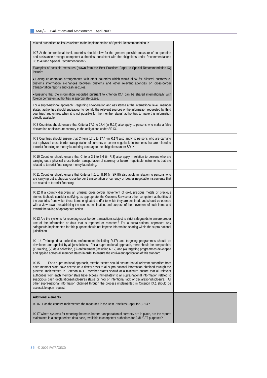| related authorities on issues related to the implementation of Special Recommendation IX.                                                                                                                                                                                                                                                                                                                                                                                                                                                                                                                                                                                           |  |
|-------------------------------------------------------------------------------------------------------------------------------------------------------------------------------------------------------------------------------------------------------------------------------------------------------------------------------------------------------------------------------------------------------------------------------------------------------------------------------------------------------------------------------------------------------------------------------------------------------------------------------------------------------------------------------------|--|
| IX.7 At the international level, countries should allow for the greatest possible measure of co-operation<br>and assistance amongst competent authorities, consistent with the obligations under Recommendations<br>35 to 40 and Special Recommendation V.                                                                                                                                                                                                                                                                                                                                                                                                                          |  |
| Examples of possible measures (drawn from the Best Practices Paper to Special Recommendation IX)<br>include:                                                                                                                                                                                                                                                                                                                                                                                                                                                                                                                                                                        |  |
| . Having co-operation arrangements with other countries which would allow for bilateral customs-to-<br>customs information exchanges between customs and other relevant agencies on cross-border<br>transportation reports and cash seizures.                                                                                                                                                                                                                                                                                                                                                                                                                                       |  |
| . Ensuring that the information recorded pursuant to criterion IX.4 can be shared internationally with<br>foreign competent authorities in appropriate cases.                                                                                                                                                                                                                                                                                                                                                                                                                                                                                                                       |  |
| For a supra-national approach: Regarding co-operation and assistance at the international level, member<br>states' authorities should endeavour to identify the relevant sources of the information requested by third<br>countries' authorities, when it is not possible for the member states' authorities to make this information<br>directly available.                                                                                                                                                                                                                                                                                                                        |  |
| IX.8 Countries should ensure that Criteria 17.1 to 17.4 (in R.17) also apply to persons who make a false<br>declaration or disclosure contrary to the obligations under SR IX.                                                                                                                                                                                                                                                                                                                                                                                                                                                                                                      |  |
| IX.9 Countries should ensure that Criteria 17.1 to 17.4 (in R.17) also apply to persons who are carrying<br>out a physical cross-border transportation of currency or bearer negotiable instruments that are related to<br>terrorist financing or money laundering contrary to the obligations under SR IX.                                                                                                                                                                                                                                                                                                                                                                         |  |
| IX.10 Countries should ensure that Criteria 3.1 to 3.6 (in R.3) also apply in relation to persons who are<br>carrying out a physical cross-border transportation of currency or bearer negotiable instruments that are<br>related to terrorist financing or money laundering.                                                                                                                                                                                                                                                                                                                                                                                                       |  |
| IX.11 Countries should ensure that Criteria III.1 to III.10 (in SR.III) also apply in relation to persons who<br>are carrying out a physical cross-border transportation of currency or bearer negotiable instruments that<br>are related to terrorist financing.                                                                                                                                                                                                                                                                                                                                                                                                                   |  |
| IX.12 If a country discovers an unusual cross-border movement of gold, precious metals or precious<br>stones, it should consider notifying, as appropriate, the Customs Service or other competent authorities of<br>the countries from which these items originated and/or to which they are destined, and should co-operate<br>with a view toward establishing the source, destination, and purpose of the movement of such items and<br>toward the taking of appropriate action.                                                                                                                                                                                                 |  |
| IX.13 Are the systems for reporting cross border transactions subject to strict safeguards to ensure proper<br>use of the information or data that is reported or recorded? For a supra-national approach: Any<br>safeguards implemented for this purpose should not impede information sharing within the supra-national<br>jurisdiction.                                                                                                                                                                                                                                                                                                                                          |  |
| IX. 14 Training, data collection, enforcement (including R.17) and targeting programmes should be<br>developed and applied by all jurisdictions. For a supra-national approach, there should be comparable:<br>(1) training, (2) data collection, (3) enforcement (including R.17) and (4) targeting programmes developed<br>and applied across all member states in order to ensure the equivalent application of this standard.                                                                                                                                                                                                                                                   |  |
| IX.15<br>For a supra-national approach, member states should ensure that all relevant authorities from<br>each member state have access on a timely basis to all supra-national information obtained through the<br>process implemented in Criterion IX.1. Member states should at a minimum ensure that all relevant<br>authorities from each member state have access immediately to all supra-national information related to<br>suspicious cash declarations/disclosures (false or not) or intentional lack of declaration/disclosure. All<br>other supra-national information obtained through the process implemented in Criterion IX.1 should be<br>accessible upon request. |  |
| <b>Additional elements</b>                                                                                                                                                                                                                                                                                                                                                                                                                                                                                                                                                                                                                                                          |  |
| IX.16 Has the country implemented the measures in the Best Practices Paper for SR.IX?                                                                                                                                                                                                                                                                                                                                                                                                                                                                                                                                                                                               |  |
| IX.17 Where systems for reporting the cross border transportation of currency are in place, are the reports<br>maintained in a computerised data base, available to competent authorities for AML/CFT purposes?                                                                                                                                                                                                                                                                                                                                                                                                                                                                     |  |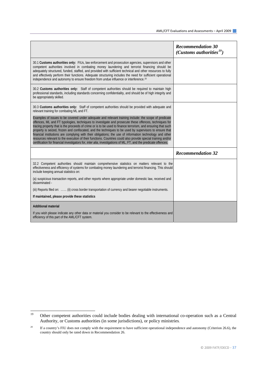|                                                                                                                                                                                                                                                                                                                                                                                                                                                                                                                                                                                                                                                                                                                                                                                            | <b>Recommendation 30</b><br>(Customs authorities <sup>19</sup> ) |
|--------------------------------------------------------------------------------------------------------------------------------------------------------------------------------------------------------------------------------------------------------------------------------------------------------------------------------------------------------------------------------------------------------------------------------------------------------------------------------------------------------------------------------------------------------------------------------------------------------------------------------------------------------------------------------------------------------------------------------------------------------------------------------------------|------------------------------------------------------------------|
| 30.1 Customs authorities only: FIUs, law enforcement and prosecution agencies, supervisors and other<br>competent authorities involved in combating money laundering and terrorist financing should be<br>adequately structured, funded, staffed, and provided with sufficient technical and other resources to fully<br>and effectively perform their functions. Adequate structuring includes the need for sufficient operational<br>independence and autonomy to ensure freedom from undue influence or interference. <sup>20</sup>                                                                                                                                                                                                                                                     |                                                                  |
| 30.2 Customs authorities only: Staff of competent authorities should be required to maintain high<br>professional standards, including standards concerning confidentiality, and should be of high integrity and<br>be appropriately skilled.                                                                                                                                                                                                                                                                                                                                                                                                                                                                                                                                              |                                                                  |
| 30.3 Customs authorities only: Staff of competent authorities should be provided with adequate and<br>relevant training for combating ML and FT.                                                                                                                                                                                                                                                                                                                                                                                                                                                                                                                                                                                                                                           |                                                                  |
| Examples of issues to be covered under adequate and relevant training include: the scope of predicate<br>offences, ML and FT typologies, techniques to investigate and prosecute these offences, techniques for<br>tracing property that is the proceeds of crime or is to be used to finance terrorism, and ensuring that such<br>property is seized, frozen and confiscated, and the techniques to be used by supervisors to ensure that<br>financial institutions are complying with their obligations; the use of information technology and other<br>resources relevant to the execution of their functions. Countries could also provide special training and/or<br>certification for financial investigators for, inter alia, investigations of ML, FT, and the predicate offences. |                                                                  |
|                                                                                                                                                                                                                                                                                                                                                                                                                                                                                                                                                                                                                                                                                                                                                                                            | <b>Recommendation 32</b>                                         |
| 32.2 Competent authorities should maintain comprehensive statistics on matters relevant to the<br>effectiveness and efficiency of systems for combating money laundering and terrorist financing. This should<br>include keeping annual statistics on:                                                                                                                                                                                                                                                                                                                                                                                                                                                                                                                                     |                                                                  |
| (a) suspicious transaction reports, and other reports where appropriate under domestic law, received and<br>disseminated -                                                                                                                                                                                                                                                                                                                                                                                                                                                                                                                                                                                                                                                                 |                                                                  |
| (iii) Reports filed on:  (ii) cross border transportation of currency and bearer negotiable instruments.                                                                                                                                                                                                                                                                                                                                                                                                                                                                                                                                                                                                                                                                                   |                                                                  |
| If maintained, please provide these statistics                                                                                                                                                                                                                                                                                                                                                                                                                                                                                                                                                                                                                                                                                                                                             |                                                                  |
| <b>Additional material</b>                                                                                                                                                                                                                                                                                                                                                                                                                                                                                                                                                                                                                                                                                                                                                                 |                                                                  |
| If you wish please indicate any other data or material you consider to be relevant to the effectiveness and<br>efficiency of this part of the AML/CFT system.                                                                                                                                                                                                                                                                                                                                                                                                                                                                                                                                                                                                                              |                                                                  |

<span id="page-36-0"></span><sup>19</sup> Other competent authorities could include bodies dealing with international co-operation such as a Central Authority, or Customs authorities (in some jurisdictions), or policy ministries.

<span id="page-36-1"></span><sup>&</sup>lt;sup>20</sup> If a country's FIU does not comply with the requirement to have sufficient operational independence and autonomy (Criterion 26.6), the country should only be rated down in Recommendation 26.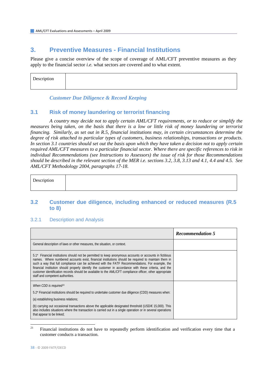## **3. Preventive Measures - Financial Institutions**

Please give a concise overview of the scope of coverage of AML/CFT preventive measures as they apply to the financial sector *i.e.* what sectors are covered and to what extent.

| $\mathbf{D}$<br>horin<br>$+$ $ -$<br>дон |  |
|------------------------------------------|--|
|                                          |  |

 *Customer Due Diligence & Record Keeping* 

### **3.1 Risk of money laundering or terrorist financing**

 *A country may decide not to apply certain AML/CFT requirements, or to reduce or simplify the measures being taken, on the basis that there is a low or little risk of money laundering or terrorist financing. Similarly, as set out in R.5, financial institutions may, in certain circumstances determine the degree of risk attached to particular types of customers, business relationships, transactions or products. In section 3.1 countries should set out the basis upon which they have taken a decision not to apply certain required AML/CFT measures to a particular financial sector. Where there are specific references to risk in individual Recommendations (see Instructions to Assessors) the issue of risk for those Recommendations should be described in the relevant section of the MER i.e. sections 3.2, 3.8, 3.13 and 4.1, 4.4 and 4.5. See AML/CFT Methodology 2004, paragraphs 17-18.* 

| Description |  |
|-------------|--|
|             |  |

### **3.2 Customer due diligence, including enhanced or reduced measures (R.5 to 8)**

#### 3.2.1 Description and Analysis

|                                                                                                                                                                                                                                                                                                                                                                                                                                                                                                                                                                              | <b>Recommendation 5</b> |
|------------------------------------------------------------------------------------------------------------------------------------------------------------------------------------------------------------------------------------------------------------------------------------------------------------------------------------------------------------------------------------------------------------------------------------------------------------------------------------------------------------------------------------------------------------------------------|-------------------------|
| General description of laws or other measures, the situation, or context.                                                                                                                                                                                                                                                                                                                                                                                                                                                                                                    |                         |
| 5.1* Financial institutions should not be permitted to keep anonymous accounts or accounts in fictitious<br>names. Where numbered accounts exist, financial institutions should be required to maintain them in<br>such a way that full compliance can be achieved with the FATF Recommendations. For example, the<br>financial institution should properly identify the customer in accordance with these criteria, and the<br>customer identification records should be available to the AML/CFT compliance officer, other appropriate<br>staff and competent authorities. |                         |
| When CDD is required <sup>21</sup>                                                                                                                                                                                                                                                                                                                                                                                                                                                                                                                                           |                         |
| 5.2* Financial institutions should be required to undertake customer due diligence (CDD) measures when:                                                                                                                                                                                                                                                                                                                                                                                                                                                                      |                         |
| (a) establishing business relations;                                                                                                                                                                                                                                                                                                                                                                                                                                                                                                                                         |                         |
| (b) carrying out occasional transactions above the applicable designated threshold (USD/ $\epsilon$ 15,000). This<br>also includes situations where the transaction is carried out in a single operation or in several operations<br>that appear to be linked;                                                                                                                                                                                                                                                                                                               |                         |

<span id="page-37-0"></span> $21$ 21 Financial institutions do not have to repeatedly perform identification and verification every time that a customer conducts a transaction.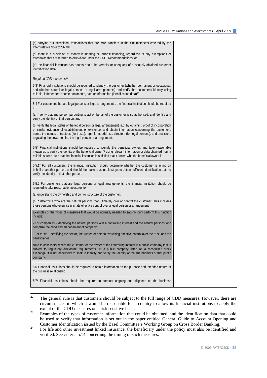| (c) carrying out occasional transactions that are wire transfers in the circumstances covered by the<br>Interpretative Note to SR VII;                                                                                                                                                                                                                                                                 |  |
|--------------------------------------------------------------------------------------------------------------------------------------------------------------------------------------------------------------------------------------------------------------------------------------------------------------------------------------------------------------------------------------------------------|--|
| (d) there is a suspicion of money laundering or terrorist financing, regardless of any exemptions or<br>thresholds that are referred to elsewhere under the FATF Recommendations; or                                                                                                                                                                                                                   |  |
| (e) the financial institution has doubts about the veracity or adequacy of previously obtained customer<br>identification data.                                                                                                                                                                                                                                                                        |  |
| Required CDD measures <sup>22</sup>                                                                                                                                                                                                                                                                                                                                                                    |  |
| 5.3* Financial institutions should be required to identify the customer (whether permanent or occasional,<br>and whether natural or legal persons or legal arrangements) and verify that customer's identity using<br>reliable, independent source documents, data or information (identification data) <sup>23</sup> .                                                                                |  |
| 5.4 For customers that are legal persons or legal arrangements, the financial institution should be required<br>to:                                                                                                                                                                                                                                                                                    |  |
| (a) * verify that any person purporting to act on behalf of the customer is so authorised, and identify and<br>verify the identity of that person; and                                                                                                                                                                                                                                                 |  |
| (b) verify the legal status of the legal person or legal arrangement, e.g. by obtaining proof of incorporation<br>or similar evidence of establishment or existence, and obtain information concerning the customer's<br>name, the names of trustees (for trusts), legal form, address, directors (for legal persons), and provisions<br>regulating the power to bind the legal person or arrangement. |  |
| 5.5* Financial institutions should be required to identify the beneficial owner, and take reasonable<br>measures to verify the identity of the beneficial owner <sup>24</sup> using relevant information or data obtained from a<br>reliable source such that the financial institution is satisfied that it knows who the beneficial owner is.                                                        |  |
| 5.5.1* For all customers, the financial institution should determine whether the customer is acting on<br>behalf of another person, and should then take reasonable steps to obtain sufficient identification data to<br>verify the identity of that other person.                                                                                                                                     |  |
| 5.5.2 For customers that are legal persons or legal arrangements, the financial institution should be<br>required to take reasonable measures to:                                                                                                                                                                                                                                                      |  |
| (a) understand the ownership and control structure of the customer;                                                                                                                                                                                                                                                                                                                                    |  |
| (b) * determine who are the natural persons that ultimately own or control the customer. This includes<br>those persons who exercise ultimate effective control over a legal person or arrangement.                                                                                                                                                                                                    |  |
| Examples of the types of measures that would be normally needed to satisfactorily perform this function<br>include:                                                                                                                                                                                                                                                                                    |  |
| - For companies - identifying the natural persons with a controlling interest and the natural persons who<br>comprise the mind and management of company.                                                                                                                                                                                                                                              |  |
| - For trusts - identifying the settlor, the trustee or person exercising effective control over the trust, and the<br>beneficiaries.                                                                                                                                                                                                                                                                   |  |
| Note to assessors: where the customer or the owner of the controlling interest is a public company that is<br>subject to regulatory disclosure requirements i.e. a public company listed on a recognised stock<br>exchange, it is not necessary to seek to identify and verify the identity of the shareholders of that public<br>company.                                                             |  |
| 5.6 Financial institutions should be required to obtain information on the purpose and intended nature of<br>the business relationship.                                                                                                                                                                                                                                                                |  |
| 5.7* Financial institutions should be required to conduct ongoing due diligence on the business                                                                                                                                                                                                                                                                                                        |  |

<span id="page-38-0"></span><sup>22</sup> 22 The general rule is that customers should be subject to the full range of CDD measures. However, there are circumstances in which it would be reasonable for a country to allow its financial institutions to apply the

<span id="page-38-1"></span>extent of the CDD measures on a risk sensitive basis.<br><sup>23</sup> Examples of the types of customer information that could be obtained, and the identification data that could be used to verify that information is set out in the paper entitled General Guide to Account Opening and

<span id="page-38-2"></span>Customer Identification issued by the Basel Committee's Working Group on Cross Border Banking. 24 For life and other investment linked insurance, the beneficiary under the policy must also be identified and verified. See criteria 5.14 concerning the timing of such measures.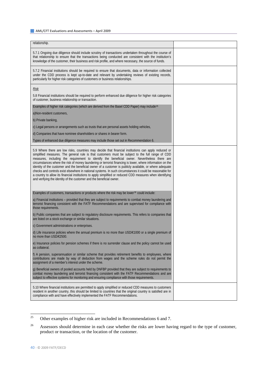| relationship.                                                                                                                                                                                                                                                                                                                                                                                                                                                                                                                                                                                                                                                                                                                                                                                                                         |  |
|---------------------------------------------------------------------------------------------------------------------------------------------------------------------------------------------------------------------------------------------------------------------------------------------------------------------------------------------------------------------------------------------------------------------------------------------------------------------------------------------------------------------------------------------------------------------------------------------------------------------------------------------------------------------------------------------------------------------------------------------------------------------------------------------------------------------------------------|--|
| 5.7.1 Ongoing due diligence should include scrutiny of transactions undertaken throughout the course of<br>that relationship to ensure that the transactions being conducted are consistent with the institution's<br>knowledge of the customer, their business and risk profile, and where necessary, the source of funds.                                                                                                                                                                                                                                                                                                                                                                                                                                                                                                           |  |
| 5.7.2 Financial institutions should be required to ensure that documents, data or information collected<br>under the CDD process is kept up-to-date and relevant by undertaking reviews of existing records,<br>particularly for higher risk categories of customers or business relationships.                                                                                                                                                                                                                                                                                                                                                                                                                                                                                                                                       |  |
| <u>Risk</u>                                                                                                                                                                                                                                                                                                                                                                                                                                                                                                                                                                                                                                                                                                                                                                                                                           |  |
| 5.8 Financial institutions should be required to perform enhanced due diligence for higher risk categories<br>of customer, business relationship or transaction.                                                                                                                                                                                                                                                                                                                                                                                                                                                                                                                                                                                                                                                                      |  |
| Examples of higher risk categories (which are derived from the Basel CDD Paper) may include <sup>25</sup>                                                                                                                                                                                                                                                                                                                                                                                                                                                                                                                                                                                                                                                                                                                             |  |
| a) Non-resident customers,                                                                                                                                                                                                                                                                                                                                                                                                                                                                                                                                                                                                                                                                                                                                                                                                            |  |
| b) Private banking,                                                                                                                                                                                                                                                                                                                                                                                                                                                                                                                                                                                                                                                                                                                                                                                                                   |  |
| c) Legal persons or arrangements such as trusts that are personal assets holding vehicles,                                                                                                                                                                                                                                                                                                                                                                                                                                                                                                                                                                                                                                                                                                                                            |  |
| d) Companies that have nominee shareholders or shares in bearer form.                                                                                                                                                                                                                                                                                                                                                                                                                                                                                                                                                                                                                                                                                                                                                                 |  |
| Types of enhanced due diligence measures may include those set out in Recommendation 6.                                                                                                                                                                                                                                                                                                                                                                                                                                                                                                                                                                                                                                                                                                                                               |  |
| 5.9 Where there are low risks, countries may decide that financial institutions can apply reduced or<br>simplified measures. The general rule is that customers must be subject to the full range of CDD<br>measures, including the requirement to identify the beneficial owner. Nevertheless there are<br>circumstances where the risk of money laundering or terrorist financing is lower, where information on the<br>identity of the customer and the beneficial owner of a customer is publicly available, or where adequate<br>checks and controls exist elsewhere in national systems. In such circumstances it could be reasonable for<br>a country to allow its financial institutions to apply simplified or reduced CDD measures when identifying<br>and verifying the identity of the customer and the beneficial owner. |  |
| Examples of customers, transactions or products where the risk may be lower <sup>26</sup> could include:                                                                                                                                                                                                                                                                                                                                                                                                                                                                                                                                                                                                                                                                                                                              |  |
| a) Financial institutions – provided that they are subject to requirements to combat money laundering and<br>terrorist financing consistent with the FATF Recommendations and are supervised for compliance with<br>those requirements.                                                                                                                                                                                                                                                                                                                                                                                                                                                                                                                                                                                               |  |
| b) Public companies that are subject to regulatory disclosure requirements. This refers to companies that<br>are listed on a stock exchange or similar situations.                                                                                                                                                                                                                                                                                                                                                                                                                                                                                                                                                                                                                                                                    |  |
| c) Government administrations or enterprises.                                                                                                                                                                                                                                                                                                                                                                                                                                                                                                                                                                                                                                                                                                                                                                                         |  |
| d) Life insurance policies where the annual premium is no more than $USD/\epsilon$ 1000 or a single premium of<br>no more than USD/€2500.                                                                                                                                                                                                                                                                                                                                                                                                                                                                                                                                                                                                                                                                                             |  |
| e) Insurance policies for pension schemes if there is no surrender clause and the policy cannot be used<br>as collateral.                                                                                                                                                                                                                                                                                                                                                                                                                                                                                                                                                                                                                                                                                                             |  |
| f) A pension, superannuation or similar scheme that provides retirement benefits to employees, where<br>contributions are made by way of deduction from wages and the scheme rules do not permit the<br>assignment of a member's interest under the scheme.                                                                                                                                                                                                                                                                                                                                                                                                                                                                                                                                                                           |  |
| g) Beneficial owners of pooled accounts held by DNFBP provided that they are subject to requirements to<br>combat money laundering and terrorist financing consistent with the FATF Recommendations and are<br>subject to effective systems for monitoring and ensuring compliance with those requirements.                                                                                                                                                                                                                                                                                                                                                                                                                                                                                                                           |  |
| 5.10 Where financial institutions are permitted to apply simplified or reduced CDD measures to customers<br>resident in another country, this should be limited to countries that the original country is satisfied are in<br>compliance with and have effectively implemented the FATF Recommendations.                                                                                                                                                                                                                                                                                                                                                                                                                                                                                                                              |  |

<span id="page-39-0"></span> $25$ Other examples of higher risk are included in Recommendations 6 and 7.

<span id="page-39-1"></span><sup>&</sup>lt;sup>26</sup> Assessors should determine in each case whether the risks are lower having regard to the type of customer, product or transaction, or the location of the customer.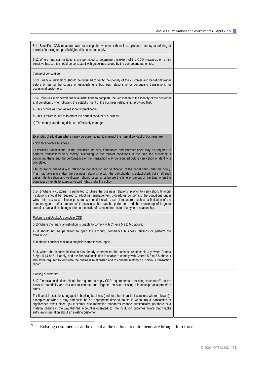| 5.11 Simplified CDD measures are not acceptable whenever there is suspicion of money laundering or<br>terrorist financing or specific higher risk scenarios apply.                                                                                                                                                                                                                                                                                                                                                              |  |
|---------------------------------------------------------------------------------------------------------------------------------------------------------------------------------------------------------------------------------------------------------------------------------------------------------------------------------------------------------------------------------------------------------------------------------------------------------------------------------------------------------------------------------|--|
| 5.12 Where financial institutions are permitted to determine the extent of the CDD measures on a risk<br>sensitive basis, this should be consistent with guidelines issued by the competent authorities.                                                                                                                                                                                                                                                                                                                        |  |
| Timing of verification                                                                                                                                                                                                                                                                                                                                                                                                                                                                                                          |  |
| 5.13 Financial institutions should be required to verify the identity of the customer and beneficial owner<br>before or during the course of establishing a business relationship or conducting transactions for<br>occasional customers.                                                                                                                                                                                                                                                                                       |  |
| 5.14 Countries may permit financial institutions to complete the verification of the identity of the customer<br>and beneficial owner following the establishment of the business relationship, provided that:                                                                                                                                                                                                                                                                                                                  |  |
| a) This occurs as soon as reasonably practicable.                                                                                                                                                                                                                                                                                                                                                                                                                                                                               |  |
| b) This is essential not to interrupt the normal conduct of business.                                                                                                                                                                                                                                                                                                                                                                                                                                                           |  |
| c) The money laundering risks are effectively managed.                                                                                                                                                                                                                                                                                                                                                                                                                                                                          |  |
|                                                                                                                                                                                                                                                                                                                                                                                                                                                                                                                                 |  |
| Examples of situations where it may be essential not to interrupt the normal conduct of business are:                                                                                                                                                                                                                                                                                                                                                                                                                           |  |
| - Non face-to-face business.                                                                                                                                                                                                                                                                                                                                                                                                                                                                                                    |  |
| Securities transactions. In the securities industry, companies and intermediaries may be required to<br>perform transactions very rapidly, according to the market conditions at the time the customer is<br>contacting them, and the performance of the transaction may be required before verification of identity is<br>completed.                                                                                                                                                                                           |  |
| Life insurance business – in relation to identification and verification of the beneficiary under the policy.<br>This may take place after the business relationship with the policyholder is established, but in all such<br>cases, identification and verification should occur at or before the time of payout or the time when the<br>beneficiary intends to exercise vested rights under the policy.                                                                                                                       |  |
| 5.14.1 Where a customer is permitted to utilise the business relationship prior to verification, financial<br>institutions should be required to adopt risk management procedures concerning the conditions under<br>which this may occur. These procedures should include a set of measures such as a limitation of the<br>number, types and/or amount of transactions that can be performed and the monitoring of large or<br>complex transactions being carried out outside of expected norms for that type of relationship. |  |
| Failure to satisfactorily complete CDD                                                                                                                                                                                                                                                                                                                                                                                                                                                                                          |  |
| 5.15 Where the financial institution is unable to comply with Criteria 5.3 to 5.5 above:                                                                                                                                                                                                                                                                                                                                                                                                                                        |  |
| a) it should not be permitted to open the account, commence business relations or perform the<br>transaction;                                                                                                                                                                                                                                                                                                                                                                                                                   |  |
| b) it should consider making a suspicious transaction report.                                                                                                                                                                                                                                                                                                                                                                                                                                                                   |  |
| 5.16 Where the financial institution has already commenced the business relationship e.g. when Criteria<br>5.2(e), 5.14 or 5.17 apply, and the financial institution is unable to comply with Criteria 5.3 to 5.5 above it<br>should be required to terminate the business relationship and to consider making a suspicious transaction<br>report.                                                                                                                                                                              |  |
| <b>Existing customers</b>                                                                                                                                                                                                                                                                                                                                                                                                                                                                                                       |  |
| 5.17 Financial institutions should be required to apply CDD requirements to existing customers <sup>27</sup> on the<br>basis of materiality and risk and to conduct due diligence on such existing relationships at appropriate<br>times.                                                                                                                                                                                                                                                                                       |  |
| For financial institutions engaged in banking business (and for other financial institutions where relevant) -<br>examples of when it may otherwise be an appropriate time to do so is when: (a) a transaction of<br>significance takes place, (b) customer documentation standards change substantially, (c) there is a<br>material change in the way that the account is operated, (d) the institution becomes aware that it lacks<br>sufficient information about an existing customer.                                      |  |

<span id="page-40-0"></span> $\overline{27}$ Existing customers as at the date that the national requirements are brought into force.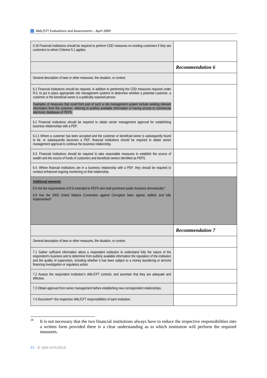| 5.18 Financial institutions should be required to perform CDD measures on existing customers if they are<br>customers to whom Criterion 5.1 applies.                                                                                                                                                                                                                                |                         |
|-------------------------------------------------------------------------------------------------------------------------------------------------------------------------------------------------------------------------------------------------------------------------------------------------------------------------------------------------------------------------------------|-------------------------|
|                                                                                                                                                                                                                                                                                                                                                                                     | <b>Recommendation 6</b> |
| General description of laws or other measures, the situation, or context.                                                                                                                                                                                                                                                                                                           |                         |
| 6.1 Financial institutions should be required, in addition to performing the CDD measures required under<br>R.5, to put in place appropriate risk management systems to determine whether a potential customer, a<br>customer or the beneficial owner is a politically exposed person.                                                                                              |                         |
| Examples of measures that could form part of such a risk management system include seeking relevant<br>information from the customer, referring to publicly available information or having access to commercial<br>electronic databases of PEPS.                                                                                                                                   |                         |
| 6.2 Financial institutions should be required to obtain senior management approval for establishing<br>business relationships with a PEP.                                                                                                                                                                                                                                           |                         |
| 6.2.1 Where a customer has been accepted and the customer or beneficial owner is subsequently found<br>to be, or subsequently becomes a PEP, financial institutions should be required to obtain senior<br>management approval to continue the business relationship.                                                                                                               |                         |
| 6.3. Financial institutions should be required to take reasonable measures to establish the source of<br>wealth and the source of funds of customers and beneficial owners identified as PEPS.                                                                                                                                                                                      |                         |
| 6.4. Where financial institutions are in a business relationship with a PEP, they should be required to<br>conduct enhanced ongoing monitoring on that relationship.                                                                                                                                                                                                                |                         |
| <b>Additional elements</b>                                                                                                                                                                                                                                                                                                                                                          |                         |
| 6.5 Are the requirements of R.6 extended to PEPS who hold prominent public functions domestically?                                                                                                                                                                                                                                                                                  |                         |
| 6.6 Has the 2003 United Nations Convention against Corruption been signed, ratified, and fully<br>implemented?                                                                                                                                                                                                                                                                      |                         |
|                                                                                                                                                                                                                                                                                                                                                                                     |                         |
|                                                                                                                                                                                                                                                                                                                                                                                     |                         |
|                                                                                                                                                                                                                                                                                                                                                                                     | <b>Recommendation 7</b> |
| General description of laws or other measures, the situation, or context.                                                                                                                                                                                                                                                                                                           |                         |
| 7.1 Gather sufficient information about a respondent institution to understand fully the nature of the<br>respondent's business and to determine from publicly available information the reputation of the institution<br>and the quality of supervision, including whether it has been subject to a money laundering or terrorist<br>financing investigation or regulatory action. |                         |
| 7.2 Assess the respondent institution's AML/CFT controls, and ascertain that they are adequate and<br>effective.                                                                                                                                                                                                                                                                    |                         |
| 7.3 Obtain approval from senior management before establishing new correspondent relationships.                                                                                                                                                                                                                                                                                     |                         |
| 7.4 Document <sup>28</sup> the respective AML/CFT responsibilities of each institution.                                                                                                                                                                                                                                                                                             |                         |

<span id="page-41-0"></span><sup>28</sup> It is not necessary that the two financial institutions always have to reduce the respective responsibilities into a written form provided there is a clear understanding as to which institution will perform the required measures.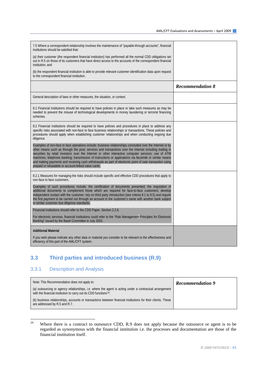| 7.5 Where a correspondent relationship involves the maintenance of "payable-through accounts", financial<br>institutions should be satisfied that:                                                                                                                                                                                                                                                                                                                                            |                         |
|-----------------------------------------------------------------------------------------------------------------------------------------------------------------------------------------------------------------------------------------------------------------------------------------------------------------------------------------------------------------------------------------------------------------------------------------------------------------------------------------------|-------------------------|
| (a) their customer (the respondent financial institution) has performed all the normal CDD obligations set<br>out in R.5 on those of its customers that have direct access to the accounts of the correspondent financial<br>institution: and                                                                                                                                                                                                                                                 |                         |
| (b) the respondent financial institution is able to provide relevant customer identification data upon request<br>to the correspondent financial institution.                                                                                                                                                                                                                                                                                                                                 |                         |
|                                                                                                                                                                                                                                                                                                                                                                                                                                                                                               | <b>Recommendation 8</b> |
| General description of laws or other measures, the situation, or context.                                                                                                                                                                                                                                                                                                                                                                                                                     |                         |
| 8.1 Financial institutions should be required to have policies in place or take such measures as may be<br>needed to prevent the misuse of technological developments in money laundering or terrorist financing<br>schemes.                                                                                                                                                                                                                                                                  |                         |
| 8.2 Financial institutions should be required to have policies and procedures in place to address any<br>specific risks associated with non-face to face business relationships or transactions. These policies and<br>procedures should apply when establishing customer relationships and when conducting ongoing due<br>diligence.<br>Examples of non-face to face operations include: business relationships concluded over the Internet or by                                            |                         |
| other means such as through the post; services and transactions over the Internet including trading in<br>securities by retail investors over the Internet or other interactive computer services; use of ATM<br>machines; telephone banking; transmission of instructions or applications via facsimile or similar means<br>and making payments and receiving cash withdrawals as part of electronic point of sale transaction using<br>prepaid or reloadable or account-linked value cards. |                         |
| 8.2.1 Measures for managing the risks should include specific and effective CDD procedures that apply to<br>non-face to face customers.                                                                                                                                                                                                                                                                                                                                                       |                         |
| Examples of such procedures include: the certification of documents presented; the requisition of<br>additional documents to complement those which are required for face-to-face customers; develop<br>independent contact with the customer; rely on third party introduction (see criteria 9.1 to 9.5) and require<br>the first payment to be carried out through an account in the customer's name with another bank subject<br>to similar customer due diligence standards.              |                         |
| Financial institutions should refer to the CDD Paper, Section 2.2.6.                                                                                                                                                                                                                                                                                                                                                                                                                          |                         |
| For electronic services, financial institutions could refer to the "Risk Management Principles for Electronic<br>Banking" issued by the Basel Committee in July 2003.                                                                                                                                                                                                                                                                                                                         |                         |
| <b>Additional Material</b>                                                                                                                                                                                                                                                                                                                                                                                                                                                                    |                         |
| If you wish please indicate any other data or material you consider to be relevant to the effectiveness and<br>efficiency of this part of the AML/CFT system.                                                                                                                                                                                                                                                                                                                                 |                         |

### **3.3 Third parties and introduced business (R.9)**

### 3.3.1 Description and Analysis

| Note: This Recommendation does not apply to:                                                                                                                                                    | <b>Recommendation 9</b> |
|-------------------------------------------------------------------------------------------------------------------------------------------------------------------------------------------------|-------------------------|
| (a) outsourcing or agency relationships, <i>i.e.</i> where the agent is acting under a contractual arrangement<br>with the financial institution to carry out its CDD functions <sup>29</sup> : |                         |
| (b) business relationships, accounts or transactions between financial institutions for their clients. These<br>are addressed by R.5 and R.7.                                                   |                         |

<span id="page-42-0"></span><sup>29</sup> Where there is a contract to outsource CDD, R.9 does not apply because the outsource or agent is to be regarded as synonymous with the financial institution *i.e.* the processes and documentation are those of the financial institution itself.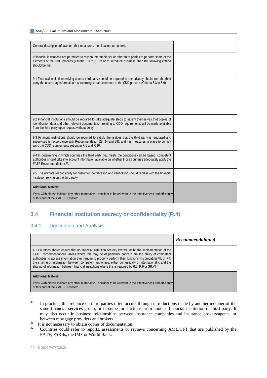| General description of laws or other measures, the situation, or context.                                                                                                                                                                                                 |  |
|---------------------------------------------------------------------------------------------------------------------------------------------------------------------------------------------------------------------------------------------------------------------------|--|
| If financial institutions are permitted to rely on intermediaries or other third parties to perform some of the<br>elements of the CDD process (Criteria 5.3 to $5.6$ ) <sup>30</sup> or to introduce business, then the following criteria<br>should be met.             |  |
| 9.1 Financial institutions relying upon a third party should be required to immediately obtain from the third<br>party the necessary information <sup>31</sup> concerning certain elements of the CDD process (Criteria 5.3 to 5.6).                                      |  |
| 9.2 Financial institutions should be required to take adequate steps to satisfy themselves that copies of<br>identification data and other relevant documentation relating to CDD requirements will be made available<br>from the third party upon request without delay. |  |
| 9.3 Financial institutions should be required to satisfy themselves that the third party is requlated and<br>supervised (in accordance with Recommendation 23, 24 and 29), and has measures in place to comply<br>with, the CDD requirements set out in R.5 and R.10.     |  |
| 9.4 In determining in which countries the third party that meets the conditions can be based, competent<br>authorities should take into account information available on whether those countries adequately apply the<br>FATF Recommendations <sup>32</sup> .             |  |
| 9.5 The ultimate responsibility for customer identification and verification should remain with the financial<br>institution relying on the third party.                                                                                                                  |  |
| <b>Additional Material</b><br>If you wish please indicate any other material you consider to be relevant to the effectiveness and efficiency<br>of this part of the AML/CFT system.                                                                                       |  |

# **3.4 Financial institution secrecy or confidentiality (R.4)**

### 3.4.1 Description and Analysis

|                                                                                                                                                                                                                                                                                                                                                                                                                                                                                                                                                   | <b>Recommendation 4</b> |
|---------------------------------------------------------------------------------------------------------------------------------------------------------------------------------------------------------------------------------------------------------------------------------------------------------------------------------------------------------------------------------------------------------------------------------------------------------------------------------------------------------------------------------------------------|-------------------------|
| 4.1 Countries should ensure that no financial institution secrecy law will inhibit the implementation of the<br>FATF Recommendations. Areas where this may be of particular concern are the ability of competent<br>authorities to access information they require to properly perform their functions in combating ML or FT;<br>the sharing of information between competent authorities, either domestically or internationally; and the<br>sharing of information between financial institutions where this is required by R.7, R.9 or SR.VII. |                         |
| <b>Additional Material</b><br>If you wish please indicate any other material you consider to be relevant to the effectiveness and efficiency<br>of this part of the AML/CFT system.                                                                                                                                                                                                                                                                                                                                                               |                         |

- <span id="page-43-0"></span>30 In practice, this reliance on third parties often occurs through introductions made by another member of the same financial services group, or in some jurisdictions from another financial institution or third party. It may also occur in business relationships between insurance companies and insurance brokers/agents, or
- <span id="page-43-2"></span>
- <span id="page-43-1"></span>between mortgage providers and brokers.<br><sup>31</sup> It is not necessary to obtain copies of documentation.<br><sup>32</sup> Countries could refer to reports, assessments or reviews concerning AML/CFT that are published by the FATF, FSRBs, the IMF or World Bank.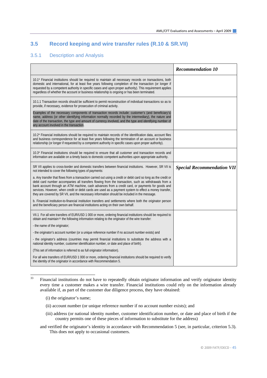### **3.5 Record keeping and wire transfer rules (R.10 & SR.VII)**

#### 3.5.1 Description and Analysis

|                                                                                                                                                                                                                                                                                                                                                                                                                                                                                                                                       | <b>Recommendation 10</b>          |
|---------------------------------------------------------------------------------------------------------------------------------------------------------------------------------------------------------------------------------------------------------------------------------------------------------------------------------------------------------------------------------------------------------------------------------------------------------------------------------------------------------------------------------------|-----------------------------------|
| 10.1* Financial institutions should be required to maintain all necessary records on transactions, both<br>domestic and international, for at least five years following completion of the transaction (or longer if<br>requested by a competent authority in specific cases and upon proper authority). This requirement applies<br>regardless of whether the account or business relationship is ongoing or has been terminated.                                                                                                    |                                   |
| 10.1.1 Transaction records should be sufficient to permit reconstruction of individual transactions so as to<br>provide, if necessary, evidence for prosecution of criminal activity.                                                                                                                                                                                                                                                                                                                                                 |                                   |
| Examples of the necessary components of transaction records include: customer's (and beneficiary's)<br>name, address (or other identifying information normally recorded by the intermediary), the nature and<br>date of the transaction, the type and amount of currency involved, and the type and identifying number of<br>any account involved in the transaction.                                                                                                                                                                |                                   |
| 10.2* Financial institutions should be required to maintain records of the identification data, account files<br>and business correspondence for at least five years following the termination of an account or business<br>relationship (or longer if requested by a competent authority in specific cases upon proper authority).                                                                                                                                                                                                   |                                   |
| 10.3* Financial institutions should be required to ensure that all customer and transaction records and<br>information are available on a timely basis to domestic competent authorities upon appropriate authority.                                                                                                                                                                                                                                                                                                                  |                                   |
| SR VII applies to cross-border and domestic transfers between financial institutions. However, SR VII is<br>not intended to cover the following types of payments:                                                                                                                                                                                                                                                                                                                                                                    | <b>Special Recommendation VII</b> |
| a. Any transfer that flows from a transaction carried out using a credit or debit card so long as the credit or<br>debit card number accompanies all transfers flowing from the transaction, such as withdrawals from a<br>bank account through an ATM machine, cash advances from a credit card, or payments for goods and<br>services. However, when credit or debit cards are used as a payment system to effect a money transfer,<br>they are covered by SR VII, and the necessary information should be included in the message. |                                   |
| b. Financial institution-to-financial institution transfers and settlements where both the originator person<br>and the beneficiary person are financial institutions acting on their own behalf.                                                                                                                                                                                                                                                                                                                                     |                                   |
| VII.1 For all wire transfers of EUR/USD 1 000 or more, ordering financial institutions should be required to<br>obtain and maintain <sup>33</sup> the following information relating to the originator of the wire transfer:                                                                                                                                                                                                                                                                                                          |                                   |
| - the name of the originator;                                                                                                                                                                                                                                                                                                                                                                                                                                                                                                         |                                   |
| - the originator's account number (or a unique reference number if no account number exists) and                                                                                                                                                                                                                                                                                                                                                                                                                                      |                                   |
| - the originator's address (countries may permit financial institutions to substitute the address with a<br>national identity number, customer identification number, or date and place of birth).                                                                                                                                                                                                                                                                                                                                    |                                   |
| (This set of information is referred to as full originator information).                                                                                                                                                                                                                                                                                                                                                                                                                                                              |                                   |
| For all wire transfers of EUR/USD 1 000 or more, ordering financial institutions should be required to verify<br>the identity of the originator in accordance with Recommendation 5.                                                                                                                                                                                                                                                                                                                                                  |                                   |

<span id="page-44-0"></span> $33$ 33 Financial institutions do not have to repeatedly obtain originator information and verify originator identity every time a customer makes a wire transfer. Financial institutions could rely on the information already available if, as part of the customer due diligence process, they have obtained:

- (i) the originator's name;
- (ii) account number (or unique reference number if no account number exists); and
- (iii) address (or national identity number, customer identification number, or date and place of birth if the country permits one of these pieces of information to substitute for the address)
- and verified the originator's identity in accordance with Recommendation 5 (see, in particular, criterion 5.3). This does not apply to occasional customers.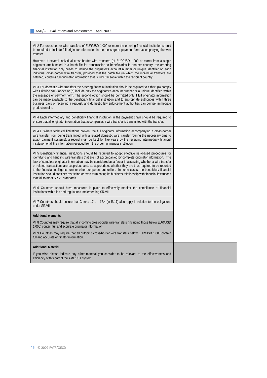| VII.2 For cross-border wire transfers of EUR/USD 1 000 or more the ordering financial institution should<br>be required to include full originator information in the message or payment form accompanying the wire<br>transfer.                                                                                                                                                                                                                                                                                                                                                                                                                                                                                           |  |
|----------------------------------------------------------------------------------------------------------------------------------------------------------------------------------------------------------------------------------------------------------------------------------------------------------------------------------------------------------------------------------------------------------------------------------------------------------------------------------------------------------------------------------------------------------------------------------------------------------------------------------------------------------------------------------------------------------------------------|--|
| However, if several individual cross-border wire transfers (of EUR/USD 1 000 or more) from a single<br>originator are bundled in a batch file for transmission to beneficiaries in another country, the ordering<br>financial institution only needs to include the originator's account number or unique identifier on each<br>individual cross-border wire transfer, provided that the batch file (in which the individual transfers are<br>batched) contains full originator information that is fully traceable within the recipient country.                                                                                                                                                                          |  |
| VII.3 For domestic wire transfers the ordering financial institution should be required to either: (a) comply<br>with Criterion VII.2 above or (b) include only the originator's account number or a unique identifier, within<br>the message or payment form. The second option should be permitted only if full originator information<br>can be made available to the beneficiary financial institution and to appropriate authorities within three<br>business days of receiving a request, and domestic law enforcement authorities can compel immediate<br>production of it.                                                                                                                                         |  |
| VII.4 Each intermediary and beneficiary financial institution in the payment chain should be required to<br>ensure that all originator information that accompanies a wire transfer is transmitted with the transfer.                                                                                                                                                                                                                                                                                                                                                                                                                                                                                                      |  |
| VII.4.1. Where technical limitations prevent the full originator information accompanying a cross-border<br>wire transfer from being transmitted with a related domestic wire transfer (during the necessary time to<br>adapt payment systems), a record must be kept for five years by the receiving intermediary financial<br>institution of all the information received from the ordering financial institution.                                                                                                                                                                                                                                                                                                       |  |
| VII.5 Beneficiary financial institutions should be required to adopt effective risk-based procedures for<br>identifying and handling wire transfers that are not accompanied by complete originator information. The<br>lack of complete originator information may be considered as a factor in assessing whether a wire transfer<br>or related transactions are suspicious and, as appropriate, whether they are thus required to be reported<br>to the financial intelligence unit or other competent authorities. In some cases, the beneficiary financial<br>institution should consider restricting or even terminating its business relationship with financial institutions<br>that fail to meet SR.VII standards. |  |
| VII.6 Countries should have measures in place to effectively monitor the compliance of financial<br>institutions with rules and regulations implementing SR.VII.                                                                                                                                                                                                                                                                                                                                                                                                                                                                                                                                                           |  |
| VII.7 Countries should ensure that Criteria 17.1 – 17.4 (in R.17) also apply in relation to the obligations<br>under SR.VII.                                                                                                                                                                                                                                                                                                                                                                                                                                                                                                                                                                                               |  |
| <b>Additional elements</b>                                                                                                                                                                                                                                                                                                                                                                                                                                                                                                                                                                                                                                                                                                 |  |
| VII.8 Countries may require that all incoming cross-border wire transfers (including those below EUR/USD<br>1 000) contain full and accurate originator information.                                                                                                                                                                                                                                                                                                                                                                                                                                                                                                                                                       |  |
| VII.9 Countries may require that all outgoing cross-border wire transfers below EUR/USD 1 000 contain<br>full and accurate originator information.                                                                                                                                                                                                                                                                                                                                                                                                                                                                                                                                                                         |  |
| <b>Additional Material</b>                                                                                                                                                                                                                                                                                                                                                                                                                                                                                                                                                                                                                                                                                                 |  |
| If you wish please indicate any other material you consider to be relevant to the effectiveness and<br>efficiency of this part of the AML/CFT system.                                                                                                                                                                                                                                                                                                                                                                                                                                                                                                                                                                      |  |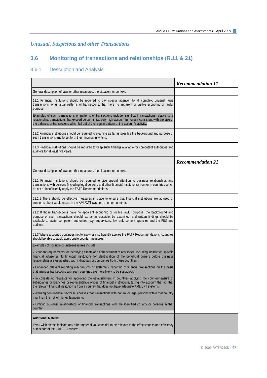## *Unusual, Suspicious and other Transactions*

# **3.6 Monitoring of transactions and relationships (R.11 & 21)**

## 3.6.1 Description and Analysis

|                                                                                                                                                                                                                                                                                                                                     | <b>Recommendation 11</b> |
|-------------------------------------------------------------------------------------------------------------------------------------------------------------------------------------------------------------------------------------------------------------------------------------------------------------------------------------|--------------------------|
| General description of laws or other measures, the situation, or context.                                                                                                                                                                                                                                                           |                          |
| 11.1 Financial institutions should be required to pay special attention to all complex, unusual large<br>transactions, or unusual patterns of transactions, that have no apparent or visible economic or lawful<br>purpose.                                                                                                         |                          |
| Examples of such transactions or patterns of transactions include: significant transactions relative to a<br>relationship, transactions that exceed certain limits, very high account turnover inconsistent with the size of<br>the balance, or transactions which fall out of the regular pattern of the account's activity.       |                          |
| 11.2 Financial institutions should be required to examine as far as possible the background and purpose of<br>such transactions and to set forth their findings in writing.                                                                                                                                                         |                          |
| 11.3 Financial institutions should be required to keep such findings available for competent authorities and<br>auditors for at least five years.                                                                                                                                                                                   |                          |
|                                                                                                                                                                                                                                                                                                                                     | <b>Recommendation 21</b> |
| General description of laws or other measures, the situation, or context.                                                                                                                                                                                                                                                           |                          |
| 21.1 Financial institutions should be required to give special attention to business relationships and<br>transactions with persons (including legal persons and other financial institutions) from or in countries which<br>do not or insufficiently apply the FATF Recommendations.                                               |                          |
| 21.1.1 There should be effective measures in place to ensure that financial institutions are advised of<br>concerns about weaknesses in the AML/CFT systems of other countries.                                                                                                                                                     |                          |
| 21.2 If those transactions have no apparent economic or visible lawful purpose, the background and<br>purpose of such transactions should, as far as possible, be examined, and written findings should be<br>available to assist competent authorities $(e.g.$ supervisors, law enforcement agencies and the FIU) and<br>auditors. |                          |
| 21.3 Where a country continues not to apply or insufficiently applies the FATF Recommendations, countries<br>should be able to apply appropriate counter-measures.                                                                                                                                                                  |                          |
| Examples of possible counter-measures include:                                                                                                                                                                                                                                                                                      |                          |
| - Stringent requirements for identifying clients and enhancement of advisories, including jurisdiction-specific<br>financial advisories, to financial institutions for identification of the beneficial owners before business<br>relationships are established with individuals or companies from these countries;                 |                          |
| - Enhanced relevant reporting mechanisms or systematic reporting of financial transactions on the basis<br>that financial transactions with such countries are more likely to be suspicious;                                                                                                                                        |                          |
| - In considering requests for approving the establishment in countries applying the countermeasure of<br>subsidiaries or branches or representative offices of financial institutions, taking into account the fact that<br>the relevant financial institution is from a country that does not have adequate AML/CFT systems;       |                          |
| - Warning non-financial sector businesses that transactions with natural or legal persons within that country<br>might run the risk of money laundering;                                                                                                                                                                            |                          |
| - Limiting business relationships or financial transactions with the identified country or persons in that<br>country.                                                                                                                                                                                                              |                          |
| <b>Additional Material</b>                                                                                                                                                                                                                                                                                                          |                          |
| If you wish please indicate any other material you consider to be relevant to the effectiveness and efficiency<br>of this part of the AML/CFT system.                                                                                                                                                                               |                          |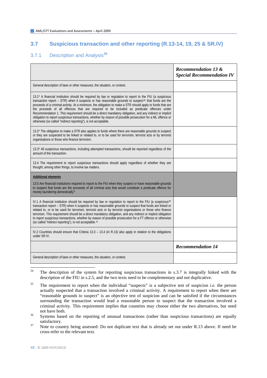### **3.7 Suspicious transaction and other reporting (R.13-14, 19, 25 & SR.IV)**

### 3.7.1 Description and Analysis**[34](#page-47-0)**

|                                                                                                                                                                                                                                                                                                                                                                                                                                                                                                                                                                                                                                                                                                                                      | <b>Recommendation 13 &amp;</b><br><b>Special Recommendation IV</b> |
|--------------------------------------------------------------------------------------------------------------------------------------------------------------------------------------------------------------------------------------------------------------------------------------------------------------------------------------------------------------------------------------------------------------------------------------------------------------------------------------------------------------------------------------------------------------------------------------------------------------------------------------------------------------------------------------------------------------------------------------|--------------------------------------------------------------------|
| General description of laws or other measures, the situation, or context.                                                                                                                                                                                                                                                                                                                                                                                                                                                                                                                                                                                                                                                            |                                                                    |
| 13.1* A financial institution should be required by law or regulation to report to the FIU (a suspicious<br>transaction report - STR) when it suspects or has reasonable grounds to suspect <sup>35</sup> that funds are the<br>proceeds of a criminal activity. At a minimum, the obligation to make a STR should apply to funds that are<br>the proceeds of all offences that are required to be included as predicate offences under<br>Recommendation 1. This requirement should be a direct mandatory obligation, and any indirect or implicit<br>obligation to report suspicious transactions, whether by reason of possible prosecution for a ML offence or<br>otherwise (so called "indirect reporting"), is not acceptable. |                                                                    |
| 13.2* The obligation to make a STR also applies to funds where there are reasonable grounds to suspect<br>or they are suspected to be linked or related to, or to be used for terrorism, terrorist acts or by terrorist<br>organisations or those who finance terrorism.                                                                                                                                                                                                                                                                                                                                                                                                                                                             |                                                                    |
| 13.3* All suspicious transactions, including attempted transactions, should be reported regardless of the<br>amount of the transaction.                                                                                                                                                                                                                                                                                                                                                                                                                                                                                                                                                                                              |                                                                    |
| 13.4 The requirement to report suspicious transactions should apply regardless of whether they are<br>thought, among other things, to involve tax matters.                                                                                                                                                                                                                                                                                                                                                                                                                                                                                                                                                                           |                                                                    |
| <b>Additional elements</b>                                                                                                                                                                                                                                                                                                                                                                                                                                                                                                                                                                                                                                                                                                           |                                                                    |
| 13.5 Are financial institutions required to report to the FIU when they suspect or have reasonable grounds<br>to suspect that funds are the proceeds of all criminal acts that would constitute a predicate offence for<br>money laundering domestically?                                                                                                                                                                                                                                                                                                                                                                                                                                                                            |                                                                    |
| IV.1 A financial institution should be required by law or regulation to report to the FIU (a suspicious <sup>36</sup><br>transaction report - STR) when it suspects or has reasonable grounds to suspect that funds are linked or<br>related to, or to be used for terrorism, terrorist acts or by terrorist organisations or those who finance<br>terrorism. This requirement should be a direct mandatory obligation, and any indirect or implicit obligation<br>to report suspicious transactions, whether by reason of possible prosecution for a FT offence or otherwise<br>(so called "indirect reporting"), is not acceptable. 37                                                                                             |                                                                    |
| IV.2 Countries should ensure that Criteria 13.3 – 13.4 (in R.13) also apply in relation to the obligations<br>under SR IV.                                                                                                                                                                                                                                                                                                                                                                                                                                                                                                                                                                                                           |                                                                    |
|                                                                                                                                                                                                                                                                                                                                                                                                                                                                                                                                                                                                                                                                                                                                      | <b>Recommendation 14</b>                                           |
| General description of laws or other measures, the situation, or context.                                                                                                                                                                                                                                                                                                                                                                                                                                                                                                                                                                                                                                                            |                                                                    |

<span id="page-47-0"></span> $34$ 34 The description of the system for reporting suspicious transactions in s.3.7 is integrally linked with the description of the FIU in s.2.5, and the two texts need to be complementary and not duplicative.

<span id="page-47-1"></span>35 The requirement to report when the individual "suspects" is a subjective test of suspicion *i.e.* the person actually suspected that a transaction involved a criminal activity. A requirement to report when there are "reasonable grounds to suspect" is an objective test of suspicion and can be satisfied if the circumstances surrounding the transaction would lead a reasonable person to suspect that the transaction involved a criminal activity. This requirement implies that countries may choose either the two alternatives, but need not have both.<br><sup>36</sup> Systems based on the reporting of unusual transactions (rather than suspicious transactions) are equally

<span id="page-47-2"></span>satisfactory.<br><sup>37</sup> Note to country being assessed: Do not duplicate text that is already set out under R.13 above. If need be

<span id="page-47-3"></span>cross-refer to the relevant text.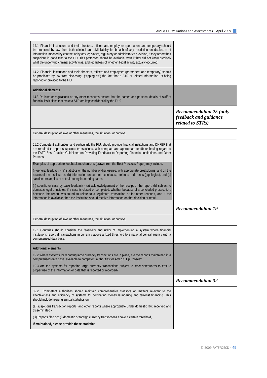| 14.1. Financial institutions and their directors, officers and employees (permanent and temporary) should<br>be protected by law from both criminal and civil liability for breach of any restriction on disclosure of<br>information imposed by contract or by any legislative, regulatory or administrative provision, if they report their<br>suspicions in good faith to the FIU. This protection should be available even if they did not know precisely<br>what the underlying criminal activity was, and regardless of whether illegal activity actually occurred. |                                                                             |
|---------------------------------------------------------------------------------------------------------------------------------------------------------------------------------------------------------------------------------------------------------------------------------------------------------------------------------------------------------------------------------------------------------------------------------------------------------------------------------------------------------------------------------------------------------------------------|-----------------------------------------------------------------------------|
| 14.2. Financial institutions and their directors, officers and employees (permanent and temporary) should<br>be prohibited by law from disclosing ("tipping off") the fact that a STR or related information is being<br>reported or provided to the FIU.                                                                                                                                                                                                                                                                                                                 |                                                                             |
| <b>Additional elements</b>                                                                                                                                                                                                                                                                                                                                                                                                                                                                                                                                                |                                                                             |
| 14.3 Do laws or regulations or any other measures ensure that the names and personal details of staff of<br>financial institutions that make a STR are kept confidential by the FIU?                                                                                                                                                                                                                                                                                                                                                                                      |                                                                             |
|                                                                                                                                                                                                                                                                                                                                                                                                                                                                                                                                                                           | <b>Recommendation 25 (only</b><br>feedback and guidance<br>related to STRs) |
| General description of laws or other measures, the situation, or context.                                                                                                                                                                                                                                                                                                                                                                                                                                                                                                 |                                                                             |
| 25.2 Competent authorities, and particularly the FIU, should provide financial institutions and DNFBP that<br>are required to report suspicious transactions, with adequate and appropriate feedback having regard to<br>the FATF Best Practice Guidelines on Providing Feedback to Reporting Financial Institutions and Other<br>Persons.                                                                                                                                                                                                                                |                                                                             |
| Examples of appropriate feedback mechanisms (drawn from the Best Practices Paper) may include:                                                                                                                                                                                                                                                                                                                                                                                                                                                                            |                                                                             |
| (i) general feedback - (a) statistics on the number of disclosures, with appropriate breakdowns, and on the<br>results of the disclosures; (b) information on current techniques, methods and trends (typologies); and (c)<br>sanitised examples of actual money laundering cases.                                                                                                                                                                                                                                                                                        |                                                                             |
| (ii) specific or case by case feedback - (a) acknowledgement of the receipt of the report; (b) subject to<br>domestic legal principles, if a case is closed or completed, whether because of a concluded prosecution,<br>because the report was found to relate to a legitimate transaction or for other reasons, and if the<br>information is available, then the institution should receive information on that decision or result.                                                                                                                                     |                                                                             |
|                                                                                                                                                                                                                                                                                                                                                                                                                                                                                                                                                                           | <b>Recommendation 19</b>                                                    |
| General description of laws or other measures, the situation, or context.                                                                                                                                                                                                                                                                                                                                                                                                                                                                                                 |                                                                             |
| 19.1 Countries should consider the feasibility and utility of implementing a system where financial<br>institutions report all transactions in currency above a fixed threshold to a national central agency with a<br>computerised data base.                                                                                                                                                                                                                                                                                                                            |                                                                             |
| <b>Additional elements</b>                                                                                                                                                                                                                                                                                                                                                                                                                                                                                                                                                |                                                                             |
| 19.2 Where systems for reporting large currency transactions are in place, are the reports maintained in a<br>computerised data base, available to competent authorities for AML/CFT purposes?                                                                                                                                                                                                                                                                                                                                                                            |                                                                             |
| 19.3 Are the systems for reporting large currency transactions subject to strict safeguards to ensure<br>proper use of the information or data that is reported or recorded?                                                                                                                                                                                                                                                                                                                                                                                              |                                                                             |
|                                                                                                                                                                                                                                                                                                                                                                                                                                                                                                                                                                           | <b>Recommendation 32</b>                                                    |
| Competent authorities should maintain comprehensive statistics on matters relevant to the<br>32.2<br>effectiveness and efficiency of systems for combating money laundering and terrorist financing. This<br>should include keeping annual statistics on:                                                                                                                                                                                                                                                                                                                 |                                                                             |
| (a) suspicious transaction reports, and other reports where appropriate under domestic law, received and<br>disseminated -                                                                                                                                                                                                                                                                                                                                                                                                                                                |                                                                             |
| (iii) Reports filed on: (i) domestic or foreign currency transactions above a certain threshold,                                                                                                                                                                                                                                                                                                                                                                                                                                                                          |                                                                             |
| If maintained, please provide these statistics                                                                                                                                                                                                                                                                                                                                                                                                                                                                                                                            |                                                                             |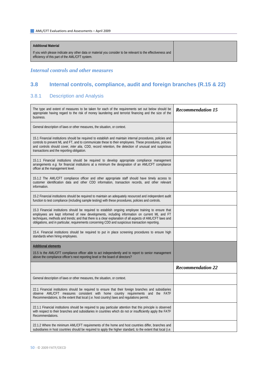| <b>Additional Material</b>                                                                                                                                    |  |
|---------------------------------------------------------------------------------------------------------------------------------------------------------------|--|
| If you wish please indicate any other data or material you consider to be relevant to the effectiveness and<br>efficiency of this part of the AML/CFT system. |  |

### *Internal controls and other measures*

## **3.8 Internal controls, compliance, audit and foreign branches (R.15 & 22)**

### 3.8.1 Description and Analysis

| The type and extent of measures to be taken for each of the requirements set out below should be<br>appropriate having regard to the risk of money laundering and terrorist financing and the size of the<br>business.                                                                                                                                                                                               | <b>Recommendation 15</b> |
|----------------------------------------------------------------------------------------------------------------------------------------------------------------------------------------------------------------------------------------------------------------------------------------------------------------------------------------------------------------------------------------------------------------------|--------------------------|
| General description of laws or other measures, the situation, or context.                                                                                                                                                                                                                                                                                                                                            |                          |
| 15.1 Financial institutions should be required to establish and maintain internal procedures, policies and<br>controls to prevent ML and FT, and to communicate these to their employees. These procedures, policies<br>and controls should cover, <i>inter alia</i> , CDD, record retention, the detection of unusual and suspicious<br>transactions and the reporting obligation.                                  |                          |
| 15.1.1 Financial institutions should be required to develop appropriate compliance management<br>arrangements $e.g.$ for financial institutions at a minimum the designation of an AML/CFT compliance<br>officer at the management level.                                                                                                                                                                            |                          |
| 15.1.2 The AML/CFT compliance officer and other appropriate staff should have timely access to<br>customer identification data and other CDD information, transaction records, and other relevant<br>information.                                                                                                                                                                                                    |                          |
| 15.2 Financial institutions should be required to maintain an adequately resourced and independent audit<br>function to test compliance (including sample testing) with these procedures, policies and controls.                                                                                                                                                                                                     |                          |
| 15.3 Financial institutions should be required to establish ongoing employee training to ensure that<br>employees are kept informed of new developments, including information on current ML and FT<br>techniques, methods and trends; and that there is a clear explanation of all aspects of AML/CFT laws and<br>obligations, and in particular, requirements concerning CDD and suspicious transaction reporting. |                          |
| 15.4. Financial institutions should be required to put in place screening procedures to ensure high<br>standards when hiring employees.                                                                                                                                                                                                                                                                              |                          |
| <b>Additional elements</b>                                                                                                                                                                                                                                                                                                                                                                                           |                          |
| 15.5 Is the AML/CFT compliance officer able to act independently and to report to senior management<br>above the compliance officer's next reporting level or the board of directors?                                                                                                                                                                                                                                |                          |
|                                                                                                                                                                                                                                                                                                                                                                                                                      | <b>Recommendation 22</b> |
| General description of laws or other measures, the situation, or context.                                                                                                                                                                                                                                                                                                                                            |                          |
| 22.1 Financial institutions should be required to ensure that their foreign branches and subsidiaries<br>observe AML/CFT measures consistent with home country requirements and the FATF<br>Recommendations, to the extent that local (i.e. host country) laws and regulations permit.                                                                                                                               |                          |
| 22.1.1 Financial institutions should be required to pay particular attention that this principle is observed<br>with respect to their branches and subsidiaries in countries which do not or insufficiently apply the FATF<br>Recommendations.                                                                                                                                                                       |                          |
| 22.1.2 Where the minimum AML/CFT requirements of the home and host countries differ, branches and<br>subsidiaries in host countries should be required to apply the higher standard, to the extent that local <i>(i.e.</i>                                                                                                                                                                                           |                          |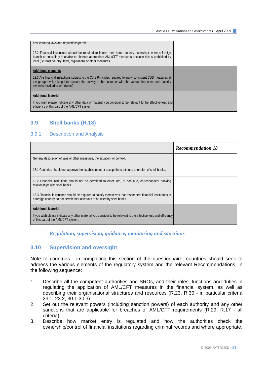| host country) laws and regulations permit.                                                                                                                                                                                                                                      |  |
|---------------------------------------------------------------------------------------------------------------------------------------------------------------------------------------------------------------------------------------------------------------------------------|--|
|                                                                                                                                                                                                                                                                                 |  |
| 22.2 Financial institutions should be required to inform their home country supervisor when a foreign<br>branch or subsidiary is unable to observe appropriate AML/CFT measures because this is prohibited by<br>local (i.e. host country) laws, regulations or other measures. |  |
| <b>Additional elements</b>                                                                                                                                                                                                                                                      |  |
| 22.3 Are financial institutions subject to the Core Principles required to apply consistent CDD measures at<br>the group level, taking into account the activity of the customer with the various branches and majority<br>owned subsidiaries worldwide?                        |  |
| <b>Additional Material</b>                                                                                                                                                                                                                                                      |  |
| If you wish please indicate any other data or material you consider to be relevant to the effectiveness and<br>efficiency of this part of the AML/CFT system.                                                                                                                   |  |

### **3.9 Shell banks (R.18)**

#### 3.9.1 Description and Analysis

|                                                                                                                                                                                             | <b>Recommendation 18</b> |
|---------------------------------------------------------------------------------------------------------------------------------------------------------------------------------------------|--------------------------|
| General description of laws or other measures, the situation, or context.                                                                                                                   |                          |
| 18.1 Countries should not approve the establishment or accept the continued operation of shell banks.                                                                                       |                          |
| 18.2 Financial institutions should not be permitted to enter into, or continue, correspondent banking<br>relationships with shell banks.                                                    |                          |
| 18.3 Financial institutions should be required to satisfy themselves that respondent financial institutions in<br>a foreign country do not permit their accounts to be used by shell banks. |                          |
| <b>Additional Material</b>                                                                                                                                                                  |                          |
| If you wish please indicate any other material you consider to be relevant to the effectiveness and efficiency<br>of this part of the AML/CFT system.                                       |                          |

### *Regulation, supervision, guidance, monitoring and sanctions*

### **3.10 Supervision and oversight**

Note to countries - in completing this section of the questionnaire, countries should seek to address the various elements of the regulatory system and the relevant Recommendations, in the following sequence:

- 1. Describe all the competent authorities and SROs, and their roles, functions and duties in regulating the application of AML/CFT measures in the financial system, as well as describing their organisational structures and resources (R.23, R.30 - in particular criteria 23.1, 23.2, 30.1-30.3).
- 2. Set out the relevant powers (including sanction powers) of each authority and any other sanctions that are applicable for breaches of AML/CFT requirements (R.29, R.17 - all criteria).
- 3. Describe how market entry is regulated and how the authorities check the ownership/control of financial institutions regarding criminal records and where appropriate,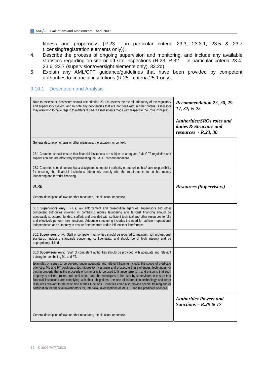fitness and properness (R.23 - in particular criteria 23.3, 23.3.1, 23.5 & 23.7 (licensing/registration elements only)).

- 4. Describe the process of ongoing supervision and monitoring, and include any available statistics regarding on-site or off-site inspections (R.23, R.32 - in particular criteria 23.4, 23.6, 23.7 (supervision/oversight elements only), 32.2d).
- 5. Explain any AML/CFT guidance/guidelines that have been provided by competent authorities to financial institutions (R.25 - criteria 25.1 only).

### 3.10.1 Description and Analysis

| Note to assessors: Assessors should use criterion 23.1 to assess the overall adequacy of the regulatory<br>and supervisory system, and to note any deficiencies that are not dealt with in other criteria. Assessors<br>may also wish to have regard to matters raised in assessments made with respect to the Core Principles.                                                                                                                                                                                                                                                                                                                                                                                                                                                            | Recommendation 23, 30, 29,<br>17, 32, & 25                                            |
|--------------------------------------------------------------------------------------------------------------------------------------------------------------------------------------------------------------------------------------------------------------------------------------------------------------------------------------------------------------------------------------------------------------------------------------------------------------------------------------------------------------------------------------------------------------------------------------------------------------------------------------------------------------------------------------------------------------------------------------------------------------------------------------------|---------------------------------------------------------------------------------------|
|                                                                                                                                                                                                                                                                                                                                                                                                                                                                                                                                                                                                                                                                                                                                                                                            | <b>Authorities/SROs roles and</b><br>duties & Structure and<br>$resources - R.23, 30$ |
| General description of laws or other measures, the situation, or context.                                                                                                                                                                                                                                                                                                                                                                                                                                                                                                                                                                                                                                                                                                                  |                                                                                       |
| 23.1 Countries should ensure that financial institutions are subject to adequate AML/CFT regulation and<br>supervision and are effectively implementing the FATF Recommendations.                                                                                                                                                                                                                                                                                                                                                                                                                                                                                                                                                                                                          |                                                                                       |
| 23.2 Countries should ensure that a designated competent authority or authorities has/have responsibility<br>for ensuring that financial institutions adequately comply with the requirements to combat money<br>laundering and terrorist financing.                                                                                                                                                                                                                                                                                                                                                                                                                                                                                                                                       |                                                                                       |
| R.30                                                                                                                                                                                                                                                                                                                                                                                                                                                                                                                                                                                                                                                                                                                                                                                       | <b>Resources</b> (Supervisors)                                                        |
| General description of laws or other measures, the situation, or context.                                                                                                                                                                                                                                                                                                                                                                                                                                                                                                                                                                                                                                                                                                                  |                                                                                       |
| 30.1 Supervisors only: FIUs, law enforcement and prosecution agencies, supervisors and other<br>competent authorities involved in combating money laundering and terrorist financing should be<br>adequately structured, funded, staffed, and provided with sufficient technical and other resources to fully<br>and effectively perform their functions. Adequate structuring includes the need for sufficient operational<br>independence and autonomy to ensure freedom from undue influence or interference.                                                                                                                                                                                                                                                                           |                                                                                       |
| 30.2 Supervisors only: Staff of competent authorities should be required to maintain high professional<br>standards, including standards concerning confidentiality, and should be of high integrity and be<br>appropriately skilled.                                                                                                                                                                                                                                                                                                                                                                                                                                                                                                                                                      |                                                                                       |
| 30.3 Supervisors only: Staff of competent authorities should be provided with adequate and relevant<br>training for combating ML and FT.                                                                                                                                                                                                                                                                                                                                                                                                                                                                                                                                                                                                                                                   |                                                                                       |
| Examples of issues to be covered under adequate and relevant training include: the scope of predicate<br>offences, ML and FT typologies, techniques to investigate and prosecute these offences, techniques for<br>tracing property that is the proceeds of crime or is to be used to finance terrorism, and ensuring that such<br>property is seized, frozen and confiscated, and the techniques to be used by supervisors to ensure that<br>financial institutions are complying with their obligations; the use of information technology and other<br>resources relevant to the execution of their functions. Countries could also provide special training and/or<br>certification for financial investigators for, inter alia, investigations of ML, FT, and the predicate offences. |                                                                                       |
|                                                                                                                                                                                                                                                                                                                                                                                                                                                                                                                                                                                                                                                                                                                                                                                            | <b>Authorities Powers and</b><br>Sanctions - $R.29 \& 17$                             |
| General description of laws or other measures, the situation, or context.                                                                                                                                                                                                                                                                                                                                                                                                                                                                                                                                                                                                                                                                                                                  |                                                                                       |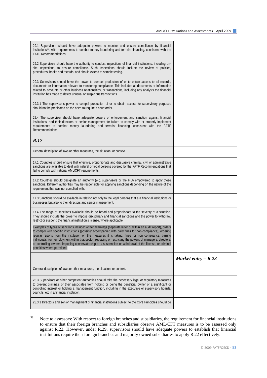| 29.1 Supervisors should have adequate powers to monitor and ensure compliance by financial<br>institutions <sup>38</sup> , with requirements to combat money laundering and terrorist financing, consistent with the<br><b>FATF Recommendations.</b>                                                                                                                                                                                                                                                                                                                                        |                       |
|---------------------------------------------------------------------------------------------------------------------------------------------------------------------------------------------------------------------------------------------------------------------------------------------------------------------------------------------------------------------------------------------------------------------------------------------------------------------------------------------------------------------------------------------------------------------------------------------|-----------------------|
| 29.2 Supervisors should have the authority to conduct inspections of financial institutions, including on-<br>site inspections, to ensure compliance. Such inspections should include the review of policies,<br>procedures, books and records, and should extend to sample testing.                                                                                                                                                                                                                                                                                                        |                       |
| 29.3 Supervisors should have the power to compel production of or to obtain access to all records,<br>documents or information relevant to monitoring compliance. This includes all documents or information<br>related to accounts or other business relationships, or transactions, including any analysis the financial<br>institution has made to detect unusual or suspicious transactions.                                                                                                                                                                                            |                       |
| 29.3.1 The supervisor's power to compel production of or to obtain access for supervisory purposes<br>should not be predicated on the need to require a court order.                                                                                                                                                                                                                                                                                                                                                                                                                        |                       |
| 29.4 The supervisor should have adequate powers of enforcement and sanction against financial<br>institutions, and their directors or senior management for failure to comply with or properly implement<br>requirements to combat money laundering and terrorist financing, consistent with the FATF<br>Recommendations.                                                                                                                                                                                                                                                                   |                       |
| R.17                                                                                                                                                                                                                                                                                                                                                                                                                                                                                                                                                                                        |                       |
| General description of laws or other measures, the situation, or context.                                                                                                                                                                                                                                                                                                                                                                                                                                                                                                                   |                       |
| 17.1 Countries should ensure that effective, proportionate and dissuasive criminal, civil or administrative<br>sanctions are available to deal with natural or legal persons covered by the FATF Recommendations that<br>fail to comply with national AML/CFT requirements.                                                                                                                                                                                                                                                                                                                 |                       |
| 17.2 Countries should designate an authority (e.g. supervisors or the FIU) empowered to apply these<br>sanctions. Different authorities may be responsible for applying sanctions depending on the nature of the<br>requirement that was not complied with.                                                                                                                                                                                                                                                                                                                                 |                       |
| 17.3 Sanctions should be available in relation not only to the legal persons that are financial institutions or<br>businesses but also to their directors and senior management.                                                                                                                                                                                                                                                                                                                                                                                                            |                       |
| 17.4 The range of sanctions available should be broad and proportionate to the severity of a situation.<br>They should include the power to impose disciplinary and financial sanctions and the power to withdraw,<br>restrict or suspend the financial institution's license, where applicable.                                                                                                                                                                                                                                                                                            |                       |
|                                                                                                                                                                                                                                                                                                                                                                                                                                                                                                                                                                                             |                       |
| Examples of types of sanctions include: written warnings (separate letter or within an audit report), orders<br>to comply with specific instructions (possibly accompanied with daily fines for non-compliance), ordering<br>regular reports from the institution on the measures it is taking, fines for non compliance, barring<br>individuals from employment within that sector, replacing or restricting the powers of managers, directors,<br>or controlling owners, imposing conservatorship or a suspension or withdrawal of the license, or criminal<br>penalties where permitted. |                       |
|                                                                                                                                                                                                                                                                                                                                                                                                                                                                                                                                                                                             | Market entry $- R.23$ |
| General description of laws or other measures, the situation, or context.                                                                                                                                                                                                                                                                                                                                                                                                                                                                                                                   |                       |
| 23.3 Supervisors or other competent authorities should take the necessary legal or regulatory measures<br>to prevent criminals or their associates from holding or being the beneficial owner of a significant or<br>controlling interest or holding a management function, including in the executive or supervisory boards,<br>councils, etc in a financial institution.                                                                                                                                                                                                                  |                       |

<span id="page-52-0"></span><sup>38</sup> Note to assessors: With respect to foreign branches and subsidiaries, the requirement for financial institutions to ensure that their foreign branches and subsidiaries observe AML/CFT measures is to be assessed only against R.22. However, under R.29, supervisors should have adequate powers to establish that financial institutions require their foreign branches and majority owned subsidiaries to apply R.22 effectively.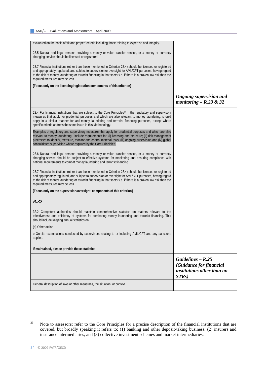| evaluated on the basis of "fit and proper" criteria including those relating to expertise and integrity.                                                                                                                                                                                                                                                                                               |                                                                                       |
|--------------------------------------------------------------------------------------------------------------------------------------------------------------------------------------------------------------------------------------------------------------------------------------------------------------------------------------------------------------------------------------------------------|---------------------------------------------------------------------------------------|
| 23.5 Natural and legal persons providing a money or value transfer service, or a money or currency<br>changing service should be licensed or registered.                                                                                                                                                                                                                                               |                                                                                       |
| 23.7 Financial institutions (other than those mentioned in Criterion 23.4) should be licensed or registered<br>and appropriately regulated, and subject to supervision or oversight for AML/CFT purposes, having regard<br>to the risk of money laundering or terrorist financing in that sector <i>i.e.</i> if there is a proven low risk then the<br>required measures may be less.                  |                                                                                       |
| [Focus only on the licensing/registration components of this criterion]                                                                                                                                                                                                                                                                                                                                |                                                                                       |
|                                                                                                                                                                                                                                                                                                                                                                                                        | <b>Ongoing supervision and</b><br>monitoring $- R.23 & 32$                            |
| 23.4 For financial institutions that are subject to the Core Principles <sup>39</sup> the regulatory and supervisory<br>measures that apply for prudential purposes and which are also relevant to money laundering, should<br>apply in a similar manner for anti-money laundering and terrorist financing purposes, except where<br>specific criteria address the same issue in this Methodology.     |                                                                                       |
| Examples of regulatory and supervisory measures that apply for prudential purposes and which are also<br>relevant to money laundering, include requirements for: (i) licensing and structure; (ii) risk management<br>processes to identify, measure, monitor and control material risks; (iii) ongoing supervision and (iv) global<br>consolidated supervision where required by the Core Principles. |                                                                                       |
| 23.6 Natural and legal persons providing a money or value transfer service, or a money or currency<br>changing service should be subject to effective systems for monitoring and ensuring compliance with<br>national requirements to combat money laundering and terrorist financing.                                                                                                                 |                                                                                       |
| 23.7 Financial institutions (other than those mentioned in Criterion 23.4) should be licensed or registered<br>and appropriately regulated, and subject to supervision or oversight for AML/CFT purposes, having regard<br>to the risk of money laundering or terrorist financing in that sector <i>i.e.</i> if there is a proven low risk then the<br>required measures may be less.                  |                                                                                       |
| [Focus only on the supervision/oversight components of this criterion]                                                                                                                                                                                                                                                                                                                                 |                                                                                       |
| R.32                                                                                                                                                                                                                                                                                                                                                                                                   |                                                                                       |
| 32.2 Competent authorities should maintain comprehensive statistics on matters relevant to the<br>effectiveness and efficiency of systems for combating money laundering and terrorist financing. This<br>should include keeping annual statistics on:                                                                                                                                                 |                                                                                       |
| (d) Other action                                                                                                                                                                                                                                                                                                                                                                                       |                                                                                       |
| o On-site examinations conducted by supervisors relating to or including AML/CFT and any sanctions<br>applied.                                                                                                                                                                                                                                                                                         |                                                                                       |
| If maintained, please provide these statistics                                                                                                                                                                                                                                                                                                                                                         |                                                                                       |
|                                                                                                                                                                                                                                                                                                                                                                                                        | Guidelines $- R.25$<br>(Guidance for financial<br>institutions other than on<br>STRs) |
| General description of laws or other measures, the situation, or context.                                                                                                                                                                                                                                                                                                                              |                                                                                       |

<span id="page-53-0"></span><sup>39</sup> Note to assessors: refer to the Core Principles for a precise description of the financial institutions that are covered, but broadly speaking it refers to: (1) banking and other deposit-taking business, (2) insurers and insurance intermediaries, and (3) collective investment schemes and market intermediaries.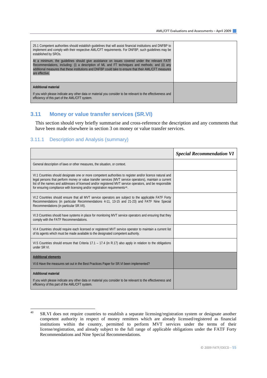| 25.1 Competent authorities should establish guidelines that will assist financial institutions and DNFBP to<br>implement and comply with their respective AML/CFT requirements. For DNFBP, such quidelines may be<br>established by SROs.                                                                                    |  |
|------------------------------------------------------------------------------------------------------------------------------------------------------------------------------------------------------------------------------------------------------------------------------------------------------------------------------|--|
| At a minimum, the quidelines should give assistance on issues covered under the relevant FATF<br>Recommendations, including: (i) a description of ML and FT techniques and methods; and (ii) any<br>additional measures that these institutions and DNFBP could take to ensure that their AML/CFT measures<br>are effective. |  |
| <b>Additional material</b>                                                                                                                                                                                                                                                                                                   |  |
| If you wish please indicate any other data or material you consider to be relevant to the effectiveness and<br>efficiency of this part of the AML/CFT system.                                                                                                                                                                |  |

#### **3.11 Money or value transfer services (SR.VI)**

This section should very briefly summarise and cross-reference the description and any comments that have been made elsewhere in section 3 on money or value transfer services.

#### 3.11.1 Description and Analysis (summary)

|                                                                                                                                                                                                                                                                                                                                                                                                                           | <b>Special Recommendation VI</b> |
|---------------------------------------------------------------------------------------------------------------------------------------------------------------------------------------------------------------------------------------------------------------------------------------------------------------------------------------------------------------------------------------------------------------------------|----------------------------------|
| General description of laws or other measures, the situation, or context.                                                                                                                                                                                                                                                                                                                                                 |                                  |
| VI.1 Countries should designate one or more competent authorities to register and/or licence natural and<br>legal persons that perform money or value transfer services (MVT service operators), maintain a current<br>list of the names and addresses of licensed and/or registered MVT service operators, and be responsible<br>for ensuring compliance with licensing and/or registration requirements <sup>40</sup> . |                                  |
| VI.2 Countries should ensure that all MVT service operators are subject to the applicable FATF Forty<br>Recommendations (in particular Recommendations 4-11, 13-15 and 21-23) and FATF Nine Special<br>Recommendations (in particular SR.VII).                                                                                                                                                                            |                                  |
| VI.3 Countries should have systems in place for monitoring MVT service operators and ensuring that they<br>comply with the FATF Recommendations.                                                                                                                                                                                                                                                                          |                                  |
| VI.4 Countries should require each licensed or registered MVT service operator to maintain a current list<br>of its agents which must be made available to the designated competent authority.                                                                                                                                                                                                                            |                                  |
| VI.5 Countries should ensure that Criteria 17.1 – 17.4 (in R.17) also apply in relation to the obligations<br>under SR VI.                                                                                                                                                                                                                                                                                                |                                  |
| <b>Additional elements</b>                                                                                                                                                                                                                                                                                                                                                                                                |                                  |
| VI.6 Have the measures set out in the Best Practices Paper for SR. VI been implemented?                                                                                                                                                                                                                                                                                                                                   |                                  |
| <b>Additional material</b>                                                                                                                                                                                                                                                                                                                                                                                                |                                  |
| If you wish please indicate any other data or material you consider to be relevant to the effectiveness and<br>efficiency of this part of the AML/CFT system.                                                                                                                                                                                                                                                             |                                  |

<span id="page-54-0"></span> $40^{\circ}$ SR.VI does not require countries to establish a separate licensing/registration system or designate another competent authority in respect of money remitters which are already licensed/registered as financial institutions within the country, permitted to perform MVT services under the terms of their license/registration, and already subject to the full range of applicable obligations under the FATF Forty Recommendations and Nine Special Recommendations.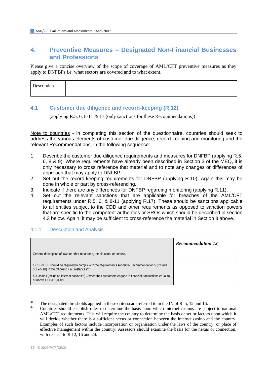### **4. Preventive Measures – Designated Non-Financial Businesses and Professions**

Please give a concise overview of the scope of coverage of AML/CFT preventive measures as they apply to DNFBPs *i.e.* what sectors are covered and to what extent.

| Description<br>$\overline{\phantom{a}}$ |  |
|-----------------------------------------|--|
|                                         |  |

### **4.1 Customer due diligence and record-keeping (R.12)**

(applying R.5, 6, 8-11 & 17 (only sanctions for these Recommendations))

Note to countries - in completing this section of the questionnaire, countries should seek to address the various elements of customer due diligence, record-keeping and monitoring and the relevant Recommendations, in the following sequence:

- 1. Describe the customer due diligence requirements and measures for DNFBP (applying R.5, 6, 8 & 9). Where requirements have already been described in Section 3 of the MEQ, it is only necessary to cross reference that material and to note any changes or differences of approach that may apply to DNFBP.
- 2. Set out the record-keeping requirements for DNFBP (applying R.10). Again this may be done in whole or part by cross-referencing.
- 3. Indicate if there are any differences for DNFBP regarding monitoring (applying R.11).
- 4. Set out the relevant sanctions that are applicable for breaches of the AML/CFT requirements under R.5, 6, & 8-11 (applying R.17). These should be sanctions applicable to all entities subject to the CDD and other requirements as opposed to sanction powers that are specific to the competent authorities or SROs which should be described in section 4.3 below. Again, it may be sufficient to cross-reference the material in Section 3 above.

|                                                                                                                                                                      | <b>Recommendation 12</b> |
|----------------------------------------------------------------------------------------------------------------------------------------------------------------------|--------------------------|
| General description of laws or other measures, the situation, or context.                                                                                            |                          |
| 12.1 DNFBP should be required to comply with the requirements set out in Recommendation 5 (Criteria<br>$5.1 - 5.18$ ) in the following circumstances <sup>41</sup> : |                          |
| a) Casinos (including internet casinos <sup>42</sup> ) – when their customers engage in financial transactions equal to<br>or above USD/ $\in$ 3.000 <sup>43</sup> . |                          |

### 4.1.1 Description and Analysis

<span id="page-55-1"></span><span id="page-55-0"></span> $\overline{41}$ <sup>41</sup> The designated thresholds applied in these criteria are referred to in the IN of R. 5, 12 and 16.<br><sup>42</sup> Countries should establish rules to determine the basis upon which internet casinos are subject to national

AML/CFT requirements. This will require the country to determine the basis or set or factors upon which it will decide whether there is a sufficient nexus or connection between the internet casino and the country. Examples of such factors include incorporation or organisation under the laws of the country, or place of effective management within the country. Assessors should examine the basis for the nexus or connection, with respect to R.12, 16 and 24.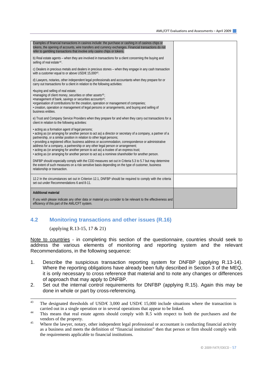| Examples of financial transactions in casinos include: the purchase or cashing in of casinos chips or<br>tokens, the opening of accounts, wire transfers and currency exchanges. Financial transactions do not<br>refer to gambling transactions that involve only casino chips or tokens.                                                                                                                                                                                                                                                                                                                                         |  |
|------------------------------------------------------------------------------------------------------------------------------------------------------------------------------------------------------------------------------------------------------------------------------------------------------------------------------------------------------------------------------------------------------------------------------------------------------------------------------------------------------------------------------------------------------------------------------------------------------------------------------------|--|
| b) Real estate agents – when they are involved in transactions for a client concerning the buying and<br>selling of real estate <sup>44</sup> .                                                                                                                                                                                                                                                                                                                                                                                                                                                                                    |  |
| c) Dealers in precious metals and dealers in precious stones – when they engage in any cash transaction<br>with a customer equal to or above USD/€ 15,00043.                                                                                                                                                                                                                                                                                                                                                                                                                                                                       |  |
| d) Lawyers, notaries, other independent legal professionals and accountants when they prepare for or<br>carry out transactions for a client in relation to the following activities:                                                                                                                                                                                                                                                                                                                                                                                                                                               |  |
| .buying and selling of real estate;<br>•managing of client money, securities or other assets <sup>45</sup> ;<br>•management of bank, savings or securities accounts <sup>45</sup> ;<br>•organisation of contributions for the creation, operation or management of companies;<br>• creation, operation or management of legal persons or arrangements, and buying and selling of<br>business entities.                                                                                                                                                                                                                             |  |
| e) Trust and Company Service Providers when they prepare for and when they carry out transactions for a<br>client in relation to the following activities:                                                                                                                                                                                                                                                                                                                                                                                                                                                                         |  |
| • acting as a formation agent of legal persons;<br>· acting as (or arranging for another person to act as) a director or secretary of a company, a partner of a<br>partnership, or a similar position in relation to other legal persons;<br>· providing a registered office; business address or accommodation, correspondence or administrative<br>address for a company, a partnership or any other legal person or arrangement;<br>• acting as (or arranging for another person to act as) a trustee of an express trust;<br>- acting as (or arranging for another person to act as) a nominee shareholder for another person. |  |
| DNFBP should especially comply with the CDD measures set out in Criteria 5.3 to 5.7 but may determine<br>the extent of such measures on a risk sensitive basis depending on the type of customer, business<br>relationship or transaction.                                                                                                                                                                                                                                                                                                                                                                                         |  |
| 12.2 In the circumstances set out in Criterion 12.1, DNFBP should be required to comply with the criteria<br>set out under Recommendations 6 and 8-11.                                                                                                                                                                                                                                                                                                                                                                                                                                                                             |  |
| <b>Additional material</b>                                                                                                                                                                                                                                                                                                                                                                                                                                                                                                                                                                                                         |  |
| If you wish please indicate any other data or material you consider to be relevant to the effectiveness and<br>efficiency of this part of the AML/CFT system.                                                                                                                                                                                                                                                                                                                                                                                                                                                                      |  |

### **4.2 Monitoring transactions and other issues (R.16)**

(applying R.13-15, 17 & 21)

Note to countries - in completing this section of the questionnaire, countries should seek to address the various elements of monitoring and reporting system and the relevant Recommendations, in the following sequence:

- 1. Describe the suspicious transaction reporting system for DNFBP (applying R.13-14). Where the reporting obligations have already been fully described in Section 3 of the MEQ, it is only necessary to cross reference that material and to note any changes or differences of approach that may apply to DNFBP.
- 2. Set out the internal control requirements for DNFBP (applying R.15). Again this may be done in whole or part by cross-referencing.

 $43$ The designated thresholds of USD/€ 3,000 and USD/€ 15,000 include situations where the transaction is carried out in a single operation or in several operations that appear to be linked.<br><sup>44</sup> This means that real estate agents should comply with R.5 with respect to both the purchasers and the

<span id="page-56-0"></span>vendors of the property.<br>Where the lawyer, notary, other independent legal professional or accountant is conducting financial activity

<span id="page-56-1"></span>as a business and meets the definition of "financial institution" then that person or firm should comply with the requirements applicable to financial institutions.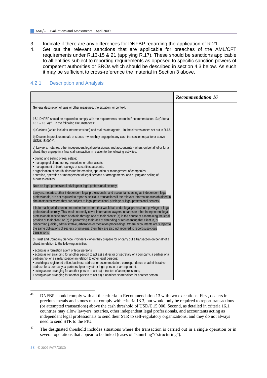- 3. Indicate if there are any differences for DNFBP regarding the application of R.21.
- 4. Set out the relevant sanctions that are applicable for breaches of the AML/CFT requirements under R.13-15 & 21 (applying R.17). These should be sanctions applicable to all entities subject to reporting requirements as opposed to specific sanction powers of competent authorities or SROs which should be described in section 4.3 below. As such it may be sufficient to cross-reference the material in Section 3 above.

#### 4.2.1 Description and Analysis

|                                                                                                                                                                                                                                                                                                                                                                                                                                                                                                                                                                                                                                                                                                   | <b>Recommendation 16</b> |
|---------------------------------------------------------------------------------------------------------------------------------------------------------------------------------------------------------------------------------------------------------------------------------------------------------------------------------------------------------------------------------------------------------------------------------------------------------------------------------------------------------------------------------------------------------------------------------------------------------------------------------------------------------------------------------------------------|--------------------------|
| General description of laws or other measures, the situation, or context.                                                                                                                                                                                                                                                                                                                                                                                                                                                                                                                                                                                                                         |                          |
| 16.1 DNFBP should be required to comply with the requirements set out in Recommendation 13 (Criteria<br>$13.1 - 13.4$ <sup>46</sup> in the following circumstances:                                                                                                                                                                                                                                                                                                                                                                                                                                                                                                                               |                          |
| a) Casinos (which includes internet casinos) and real estate agents – in the circumstances set out in R.13.                                                                                                                                                                                                                                                                                                                                                                                                                                                                                                                                                                                       |                          |
| b) Dealers in precious metals or stones - when they engage in any cash transaction equal to or above<br>USD/€ 15.00047.                                                                                                                                                                                                                                                                                                                                                                                                                                                                                                                                                                           |                          |
| c) Lawyers, notaries, other independent legal professionals and accountants - when, on behalf of or for a<br>client, they engage in a financial transaction in relation to the following activities:                                                                                                                                                                                                                                                                                                                                                                                                                                                                                              |                          |
| • buying and selling of real estate;<br>· managing of client money, securities or other assets;<br>· management of bank, savings or securities accounts;<br>• organisation of contributions for the creation, operation or management of companies;<br>• creation, operation or management of legal persons or arrangements, and buying and selling of<br>business entities.                                                                                                                                                                                                                                                                                                                      |                          |
| Note on legal professional privilege or legal professional secrecy.                                                                                                                                                                                                                                                                                                                                                                                                                                                                                                                                                                                                                               |                          |
| Lawyers, notaries, other independent legal professionals, and accountants acting as independent legal<br>professionals, are not required to report suspicious transactions if the relevant information was obtained in<br>circumstances where they are subject to legal professional privilege or legal professional secrecy.                                                                                                                                                                                                                                                                                                                                                                     |                          |
| It is for each jurisdiction to determine the matters that would fall under legal professional privilege or legal<br>professional secrecy. This would normally cover information lawyers, notaries or other independent legal<br>professionals receive from or obtain through one of their clients: (a) in the course of ascertaining the legal<br>position of their client, or (b) in performing their task of defending or representing that client in, or<br>concerning judicial, administrative, arbitration or mediation proceedings. Where accountants are subject to<br>the same obligations of secrecy or privilege, then they are also not required to report suspicious<br>transactions. |                          |
| d) Trust and Company Service Providers - when they prepare for or carry out a transaction on behalf of a<br>client, in relation to the following activities:                                                                                                                                                                                                                                                                                                                                                                                                                                                                                                                                      |                          |
| · acting as a formation agent of legal persons;<br>· acting as (or arranging for another person to act as) a director or secretary of a company, a partner of a<br>partnership, or a similar position in relation to other legal persons;<br>· providing a registered office; business address or accommodation, correspondence or administrative<br>address for a company, a partnership or any other legal person or arrangement;<br>• acting as (or arranging for another person to act as) a trustee of an express trust;<br>· acting as (or arranging for another person to act as) a nominee shareholder for another person.                                                                |                          |

<span id="page-57-0"></span> $46$ 46 DNFBP should comply with all the criteria in Recommendation 13 with two exceptions. First, dealers in precious metals and stones must comply with criteria 13.3, but would only be required to report transactions (or attempted transactions) above the cash threshold of USD/ $\text{\textsterling}15,000$ . Second, as detailed in criteria 16.1, countries may allow lawyers, notaries, other independent legal professionals, and accountants acting as independent legal professionals to send their STR to self-regulatory organizations, and they do not always need to send STR to the FIU.

<span id="page-57-1"></span><sup>47</sup> The designated threshold includes situations where the transaction is carried out in a single operation or in several operations that appear to be linked (cases of "smurfing"/"structuring").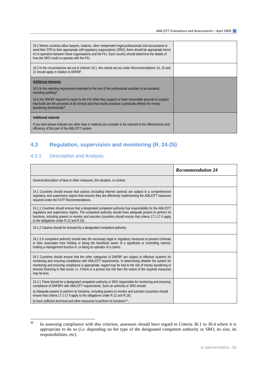| 16.2 Where countries allow lawyers, notaries, other independent legal professionals and accountants to<br>send their STR to their appropriate self-regulatory organisations (SRO), there should be appropriate forms<br>of co-operation between these organisations and the FIU. Each country should determine the details of<br>how the SRO could co-operate with the FIU. |  |
|-----------------------------------------------------------------------------------------------------------------------------------------------------------------------------------------------------------------------------------------------------------------------------------------------------------------------------------------------------------------------------|--|
| 16.3 In the circumstances set out in criterion 16.1, the criteria set out under Recommendations 14, 15 and<br>21 should apply in relation to DNFBP.                                                                                                                                                                                                                         |  |
| <b>Additional elements</b>                                                                                                                                                                                                                                                                                                                                                  |  |
| 16.5 Is the reporting requirement extended to the rest of the professional activities of accountants,<br>including auditing?                                                                                                                                                                                                                                                |  |
| 16.6 Are DNFBP required to report to the FIU when they suspect or have reasonable grounds to suspect<br>that funds are the proceeds of all criminal acts that would constitute a predicate offence for money<br>laundering domestically?                                                                                                                                    |  |
| <b>Additional material</b>                                                                                                                                                                                                                                                                                                                                                  |  |
| If you wish please indicate any other data or material you consider to be relevant to the effectiveness and<br>efficiency of this part of the AML/CFT system.                                                                                                                                                                                                               |  |

### **4.3 Regulation, supervision and monitoring (R. 24-25)**

### 4.3.1 Description and Analysis

|                                                                                                                                                                                                                                                                                                                                                                                                                                                                 | <b>Recommendation 24</b> |
|-----------------------------------------------------------------------------------------------------------------------------------------------------------------------------------------------------------------------------------------------------------------------------------------------------------------------------------------------------------------------------------------------------------------------------------------------------------------|--------------------------|
| General description of laws or other measures, the situation, or context.                                                                                                                                                                                                                                                                                                                                                                                       |                          |
| 24.1 Countries should ensure that casinos (including Internet casinos) are subject to a comprehensive<br>regulatory and supervisory regime that ensures they are effectively implementing the AML/CFT measures<br>required under the FATF Recommendations.                                                                                                                                                                                                      |                          |
| 24.1.1 Countries should ensure that a designated competent authority has responsibility for the AML/CFT<br>regulatory and supervisory regime. The competent authority should have adequate powers to perform its<br>functions, including powers to monitor and sanction (countries should ensure that criteria 17.1-17.4 apply<br>to the obligations under R.12 and R.16).                                                                                      |                          |
| 24.1.2 Casinos should be licensed by a designated competent authority.                                                                                                                                                                                                                                                                                                                                                                                          |                          |
| 24.1.3 A competent authority should take the necessary legal or regulatory measures to prevent criminals<br>or their associates from holding or being the beneficial owner of a significant or controlling interest,<br>holding a management function in, or being an operator of a casino.                                                                                                                                                                     |                          |
| 24.2 Countries should ensure that the other categories of DNFBP are subject to effective systems for<br>monitoring and ensuring compliance with AML/CFT requirements. In determining whether the system for<br>monitoring and ensuring compliance is appropriate, regard may be had to the risk of money laundering or<br>terrorist financing in that sector <i>i.e.</i> if there is a proven low risk then the extent of the required measures<br>may be less. |                          |
| 24.2.1 There should be a designated competent authority or SRO responsible for monitoring and ensuring<br>compliance of DNFBPs with AML/CFT requirements. Such an authority or SRO should:                                                                                                                                                                                                                                                                      |                          |
| a) Adequate powers to perform its functions, including powers to monitor and sanction (countries should<br>ensure that criteria 17.1-17.4 apply to the obligations under R.12 and R.16);                                                                                                                                                                                                                                                                        |                          |
| b) have sufficient technical and other resources to perform its functions <sup>48</sup> .                                                                                                                                                                                                                                                                                                                                                                       |                          |

<span id="page-58-0"></span> $48$ In assessing compliance with this criterion, assessors should have regard to Criteria 30.1 to 30.4 where it is appropriate to do so (*i.e.* depending on the type of the designated competent authority or SRO, its size, its responsibilities, etc).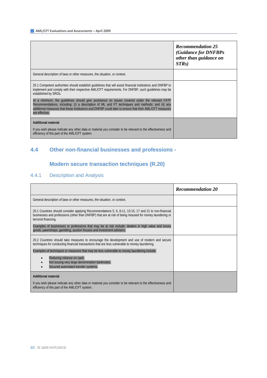|                                                                                                                                                                                                                                                                                                                              | <b>Recommendation 25</b><br>(Guidance for DNFBPs<br>other than guidance on<br>STRs) |
|------------------------------------------------------------------------------------------------------------------------------------------------------------------------------------------------------------------------------------------------------------------------------------------------------------------------------|-------------------------------------------------------------------------------------|
| General description of laws or other measures, the situation, or context.                                                                                                                                                                                                                                                    |                                                                                     |
| 25.1 Competent authorities should establish quidelines that will assist financial institutions and DNFBP to<br>implement and comply with their respective AML/CFT requirements. For DNFBP, such quidelines may be<br>established by SROs.                                                                                    |                                                                                     |
| At a minimum, the quidelines should give assistance on issues covered under the relevant FATF<br>Recommendations, including: (i) a description of ML and FT techniques and methods; and (ii) any<br>additional measures that these institutions and DNFBP could take to ensure that their AML/CFT measures<br>are effective. |                                                                                     |
| <b>Additional material</b>                                                                                                                                                                                                                                                                                                   |                                                                                     |
| If you wish please indicate any other data or material you consider to be relevant to the effectiveness and<br>efficiency of this part of the AML/CFT system.                                                                                                                                                                |                                                                                     |

## **4.4 Other non-financial businesses and professions -**

## **Modern secure transaction techniques (R.20)**

## 4.4.1 Description and Analysis

|                                                                                                                                                                                                                                                                                                                                                                                                                        | <b>Recommendation 20</b> |
|------------------------------------------------------------------------------------------------------------------------------------------------------------------------------------------------------------------------------------------------------------------------------------------------------------------------------------------------------------------------------------------------------------------------|--------------------------|
| General description of laws or other measures, the situation, or context.                                                                                                                                                                                                                                                                                                                                              |                          |
| 20.1 Countries should consider applying Recommendations 5, 6, 8-11, 13-15, 17 and 21 to non-financial<br>businesses and professions (other than DNFBP) that are at risk of being misused for money laundering or<br>terrorist financing.<br>Examples of businesses or professions that may be at risk include: dealers in high value and luxury<br>goods, pawnshops, gambling, auction houses and investment advisers. |                          |
| 20.2 Countries should take measures to encourage the development and use of modern and secure<br>techniques for conducting financial transactions that are less vulnerable to money laundering.                                                                                                                                                                                                                        |                          |
| Examples of techniques or measures that may be less vulnerable to money laundering include:                                                                                                                                                                                                                                                                                                                            |                          |
| Reducing reliance on cash;<br>Not issuing very large denomination banknotes;<br>Secured automated transfer systems.                                                                                                                                                                                                                                                                                                    |                          |
| <b>Additional material</b>                                                                                                                                                                                                                                                                                                                                                                                             |                          |
| If you wish please indicate any other data or material you consider to be relevant to the effectiveness and<br>efficiency of this part of the AML/CFT system.                                                                                                                                                                                                                                                          |                          |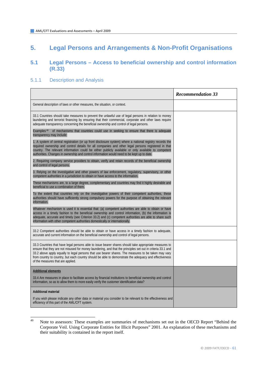# **5. Legal Persons and Arrangements & Non-Profit Organisations**

### **5.1 Legal Persons – Access to beneficial ownership and control information (R.33)**

#### 5.1.1 Description and Analysis

|                                                                                                                                                                                                                                                                                                                                                                                                                                                                             | <b>Recommendation 33</b> |
|-----------------------------------------------------------------------------------------------------------------------------------------------------------------------------------------------------------------------------------------------------------------------------------------------------------------------------------------------------------------------------------------------------------------------------------------------------------------------------|--------------------------|
| General description of laws or other measures, the situation, or context.                                                                                                                                                                                                                                                                                                                                                                                                   |                          |
| 33.1 Countries should take measures to prevent the unlawful use of legal persons in relation to money<br>laundering and terrorist financing by ensuring that their commercial, corporate and other laws require<br>adequate transparency concerning the beneficial ownership and control of legal persons.                                                                                                                                                                  |                          |
| Examples <sup>49</sup><br>of mechanisms that countries could use in seeking to ensure that there is adequate<br>transparency may include:                                                                                                                                                                                                                                                                                                                                   |                          |
| 1. A system of central registration (or up front disclosure system) where a national registry records the<br>required ownership and control details for all companies and other legal persons registered in that<br>country. The relevant information could be either publicly available or only available to competent<br>authorities. Changes in ownership and control information would need to be kept up to date.                                                      |                          |
| 2. Requiring company service providers to obtain, verify and retain records of the beneficial ownership<br>and control of legal persons.                                                                                                                                                                                                                                                                                                                                    |                          |
| 3. Relying on the investigative and other powers of law enforcement, regulatory, supervisory, or other<br>competent authorities in a jurisdiction to obtain or have access to the information.                                                                                                                                                                                                                                                                              |                          |
| These mechanisms are, to a large degree, complementary and countries may find it highly desirable and<br>beneficial to use a combination of them.                                                                                                                                                                                                                                                                                                                           |                          |
| To the extent that countries rely on the investigative powers of their competent authorities, these<br>authorities should have sufficiently strong compulsory powers for the purpose of obtaining the relevant<br>information.                                                                                                                                                                                                                                              |                          |
| Whatever mechanism is used it is essential that: (a) competent authorities are able to obtain or have<br>access in a timely fashion to the beneficial ownership and control information, (b) the information is<br>adequate, accurate and timely (see Criterion 33.2) and (c) competent authorities are able to share such<br>information with other competent authorities domestically or internationally.                                                                 |                          |
| 33.2 Competent authorities should be able to obtain or have access in a timely fashion to adequate,<br>accurate and current information on the beneficial ownership and control of legal persons.                                                                                                                                                                                                                                                                           |                          |
| 33.3 Countries that have legal persons able to issue bearer shares should take appropriate measures to<br>ensure that they are not misused for money laundering, and that the principles set out in criteria 33.1 and<br>33.2 above apply equally to legal persons that use bearer shares. The measures to be taken may vary<br>from country to country, but each country should be able to demonstrate the adequacy and effectiveness<br>of the measures that are applied. |                          |
| <b>Additional elements</b>                                                                                                                                                                                                                                                                                                                                                                                                                                                  |                          |
| 33.4 Are measures in place to facilitate access by financial institutions to beneficial ownership and control<br>information, so as to allow them to more easily verify the customer identification data?                                                                                                                                                                                                                                                                   |                          |
| <b>Additional material</b>                                                                                                                                                                                                                                                                                                                                                                                                                                                  |                          |
| If you wish please indicate any other data or material you consider to be relevant to the effectiveness and<br>efficiency of this part of the AML/CFT system.                                                                                                                                                                                                                                                                                                               |                          |

<span id="page-60-0"></span><sup>49</sup> Note to assessors: These examples are summaries of mechanisms set out in the OECD Report "Behind the Corporate Veil. Using Corporate Entities for Illicit Purposes" 2001. An explanation of these mechanisms and their suitability is contained in the report itself.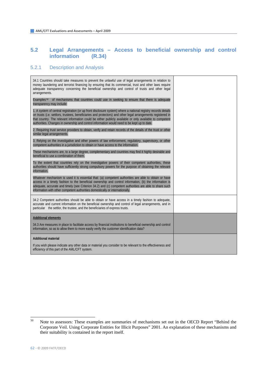### **5.2 Legal Arrangements – Access to beneficial ownership and control information**

### 5.2.1 Description and Analysis

| 34.1 Countries should take measures to prevent the unlawful use of legal arrangements in relation to<br>money laundering and terrorist financing by ensuring that its commercial, trust and other laws require<br>adequate transparency concerning the beneficial ownership and control of trusts and other legal<br>arrangements.                                                                                                       |  |
|------------------------------------------------------------------------------------------------------------------------------------------------------------------------------------------------------------------------------------------------------------------------------------------------------------------------------------------------------------------------------------------------------------------------------------------|--|
| Examples <sup>50</sup> of mechanisms that countries could use in seeking to ensure that there is adequate<br>transparency may include:                                                                                                                                                                                                                                                                                                   |  |
| 1. A system of central registration (or up front disclosure system) where a national registry records details<br>on trusts (i.e. settlors, trustees, beneficiaries and protectors) and other legal arrangements registered in<br>that country. The relevant information could be either publicly available or only available to competent<br>authorities. Changes in ownership and control information would need to be kept up to date. |  |
| 2. Requiring trust service providers to obtain, verify and retain records of the details of the trust or other<br>similar legal arrangements.                                                                                                                                                                                                                                                                                            |  |
| 3. Relying on the investigative and other powers of law enforcement, regulatory, supervisory, or other<br>competent authorities in a jurisdiction to obtain or have access to the information.                                                                                                                                                                                                                                           |  |
| These mechanisms are, to a large degree, complementary and countries may find it highly desirable and<br>beneficial to use a combination of them.                                                                                                                                                                                                                                                                                        |  |
| To the extent that countries rely on the investigative powers of their competent authorities, these<br>authorities should have sufficiently strong compulsory powers for the purpose of obtaining the relevant<br>information.                                                                                                                                                                                                           |  |
| Whatever mechanism is used it is essential that: (a) competent authorities are able to obtain or have<br>access in a timely fashion to the beneficial ownership and control information, (b) the information is<br>adequate, accurate and timely (see Criterion 34.2) and (c) competent authorities are able to share such<br>information with other competent authorities domestically or internationally.                              |  |
| 34.2 Competent authorities should be able to obtain or have access in a timely fashion to adequate,<br>accurate and current information on the beneficial ownership and control of legal arrangements, and in<br>particular the settlor, the trustee, and the beneficiaries of express trusts.                                                                                                                                           |  |
| <b>Additional elements</b>                                                                                                                                                                                                                                                                                                                                                                                                               |  |
| 34.3 Are measures in place to facilitate access by financial institutions to beneficial ownership and control<br>information, so as to allow them to more easily verify the customer identification data?                                                                                                                                                                                                                                |  |
| <b>Additional material</b>                                                                                                                                                                                                                                                                                                                                                                                                               |  |
| If you wish please indicate any other data or material you consider to be relevant to the effectiveness and<br>efficiency of this part of the AML/CFT system.                                                                                                                                                                                                                                                                            |  |

<span id="page-61-0"></span><sup>50</sup> Note to assessors: These examples are summaries of mechanisms set out in the OECD Report "Behind the Corporate Veil. Using Corporate Entities for Illicit Purposes" 2001. An explanation of these mechanisms and their suitability is contained in the report itself.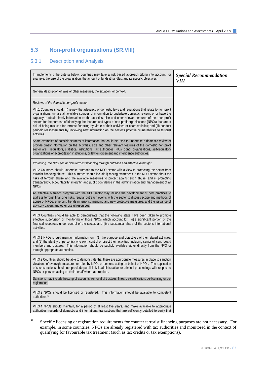## **5.3 Non-profit organisations (SR.VIII)**

#### 5.3.1 Description and Analysis

| In implementing the criteria below, countries may take a risk based approach taking into account, for<br>example, the size of the organisation, the amount of funds it handles, and its specific objectives.                                                                                                                                                                                                                                                                                                                                                                                                                                                                                                                                                                                                                                                                                                                                                                                                                                                                                                                                                                                      | <b>Special Recommendation</b><br>VIII |
|---------------------------------------------------------------------------------------------------------------------------------------------------------------------------------------------------------------------------------------------------------------------------------------------------------------------------------------------------------------------------------------------------------------------------------------------------------------------------------------------------------------------------------------------------------------------------------------------------------------------------------------------------------------------------------------------------------------------------------------------------------------------------------------------------------------------------------------------------------------------------------------------------------------------------------------------------------------------------------------------------------------------------------------------------------------------------------------------------------------------------------------------------------------------------------------------------|---------------------------------------|
| General description of laws or other measures, the situation, or context.                                                                                                                                                                                                                                                                                                                                                                                                                                                                                                                                                                                                                                                                                                                                                                                                                                                                                                                                                                                                                                                                                                                         |                                       |
| Reviews of the domestic non-profit sector:<br>VIII.1 Countries should: (i) review the adequacy of domestic laws and regulations that relate to non-profit<br>organisations; (ii) use all available sources of information to undertake domestic reviews of or have the<br>capacity to obtain timely information on the activities, size and other relevant features of their non-profit<br>sectors for the purpose of identifying the features and types of non-profit organisations (NPOs) that are at<br>risk of being misused for terrorist financing by virtue of their activities or characteristics; and (iii) conduct<br>periodic reassessments by reviewing new information on the sector's potential vulnerabilities to terrorist<br>activities.<br>Some examples of possible sources of information that could be used to undertake a domestic review or<br>provide timely information on the activities, size and other relevant features of the domestic non-profit<br>sector are: regulators, statistical institutions, tax authorities, FIUs, donor organisations, self-regulatory<br>organizations or accreditation institutions, or law enforcement and intelligence authorities. |                                       |
| Protecting the NPO sector from terrorist financing through outreach and effective oversight:<br>VIII.2 Countries should undertake outreach to the NPO sector with a view to protecting the sector from<br>terrorist financing abuse. This outreach should include i) raising awareness in the NPO sector about the<br>risks of terrorist abuse and the available measures to protect against such abuse; and ii) promoting<br>transparency, accountability, integrity, and public confidence in the administration and management of all<br>NPO <sub>S</sub> .<br>An effective outreach program with the NPO sector may include the development of best practices to<br>address terrorist financing risks, regular outreach events with the sector to discuss scope and methods of<br>abuse of NPOs, emerging trends in terrorist financing and new protective measures, and the issuance of<br>advisory papers and other useful resources.                                                                                                                                                                                                                                                       |                                       |
| VIII.3 Countries should be able to demonstrate that the following steps have been taken to promote<br>effective supervision or monitoring of those NPOs which account for: (i) a significant portion of the<br>financial resources under control of the sector; and (ii) a substantial share of the sector's international<br>activities.                                                                                                                                                                                                                                                                                                                                                                                                                                                                                                                                                                                                                                                                                                                                                                                                                                                         |                                       |
| VIII.3.1 NPOs should maintain information on: (1) the purpose and objectives of their stated activities;<br>and (2) the identity of person(s) who own, control or direct their activities, including senior officers, board<br>members and trustees. This information should be publicly available either directly from the NPO or<br>through appropriate authorities.                                                                                                                                                                                                                                                                                                                                                                                                                                                                                                                                                                                                                                                                                                                                                                                                                            |                                       |
| VIII.3.2 Countries should be able to demonstrate that there are appropriate measures in place to sanction<br>violations of oversight measures or rules by NPOs or persons acting on behalf of NPOs. The application<br>of such sanctions should not preclude parallel civil, administrative, or criminal proceedings with respect to<br>NPOs or persons acting on their behalf where appropriate.<br>Sanctions may include freezing of accounts, removal of trustees, fines, de-certification, de-licensing or de-<br>registration.                                                                                                                                                                                                                                                                                                                                                                                                                                                                                                                                                                                                                                                               |                                       |
| VIII.3.3 NPOs should be licensed or registered. This information should be available to competent<br>authorities. <sup>51</sup>                                                                                                                                                                                                                                                                                                                                                                                                                                                                                                                                                                                                                                                                                                                                                                                                                                                                                                                                                                                                                                                                   |                                       |
| VIII.3.4 NPOs should maintain, for a period of at least five years, and make available to appropriate<br>authorities, records of domestic and international transactions that are sufficiently detailed to verify that                                                                                                                                                                                                                                                                                                                                                                                                                                                                                                                                                                                                                                                                                                                                                                                                                                                                                                                                                                            |                                       |

<span id="page-62-0"></span><sup>51</sup> Specific licensing or registration requirements for counter terrorist financing purposes are not necessary. For example, in some countries, NPOs are already registered with tax authorities and monitored in the context of qualifying for favourable tax treatment (such as tax credits or tax exemptions).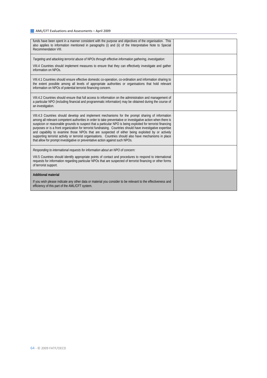| funds have been spent in a manner consistent with the purpose and objectives of the organisation. This<br>also applies to information mentioned in paragraphs (i) and (ii) of the Interpretative Note to Special<br>Recommendation VIII.                                                                                                                                                                                                                                                                                                                                                                                                                                                                                                         |  |
|--------------------------------------------------------------------------------------------------------------------------------------------------------------------------------------------------------------------------------------------------------------------------------------------------------------------------------------------------------------------------------------------------------------------------------------------------------------------------------------------------------------------------------------------------------------------------------------------------------------------------------------------------------------------------------------------------------------------------------------------------|--|
| Targeting and attacking terrorist abuse of NPOs through effective information gathering, investigation:<br>VIII.4 Countries should implement measures to ensure that they can effectively investigate and gather<br>information on NPOs.                                                                                                                                                                                                                                                                                                                                                                                                                                                                                                         |  |
| VIII.4.1 Countries should ensure effective domestic co-operation, co-ordination and information sharing to<br>the extent possible among all levels of appropriate authorities or organisations that hold relevant<br>information on NPOs of potential terrorist financing concern.                                                                                                                                                                                                                                                                                                                                                                                                                                                               |  |
| VIII.4.2 Countries should ensure that full access to information on the administration and management of<br>a particular NPO (including financial and programmatic information) may be obtained during the course of<br>an investigation.                                                                                                                                                                                                                                                                                                                                                                                                                                                                                                        |  |
| VIII.4.3 Countries should develop and implement mechanisms for the prompt sharing of information<br>among all relevant competent authorities in order to take preventative or investigative action when there is<br>suspicion or reasonable grounds to suspect that a particular NPO is being exploited for terrorist financing<br>purposes or is a front organization for terrorist fundraising. Countries should have investigative expertise<br>and capability to examine those NPOs that are suspected of either being exploited by or actively<br>supporting terrorist activity or terrorist organisations. Countries should also have mechanisms in place<br>that allow for prompt investigative or preventative action against such NPOs. |  |
| Responding to international requests for information about an NPO of concern:<br>VIII.5 Countries should identify appropriate points of contact and procedures to respond to international<br>requests for information regarding particular NPOs that are suspected of terrorist financing or other forms<br>of terrorist support.                                                                                                                                                                                                                                                                                                                                                                                                               |  |
| <b>Additional material</b><br>If you wish please indicate any other data or material you consider to be relevant to the effectiveness and<br>efficiency of this part of the AML/CFT system.                                                                                                                                                                                                                                                                                                                                                                                                                                                                                                                                                      |  |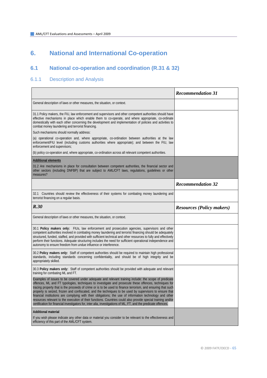# **6. National and International Co-operation**

## **6.1 National co-operation and coordination (R.31 & 32)**

### 6.1.1 Description and Analysis

|                                                                                                                                                                                                                                                                                                                                                                                                                                                                                                                                                                                                                                                                                                                                                                                            | <b>Recommendation 31</b>         |
|--------------------------------------------------------------------------------------------------------------------------------------------------------------------------------------------------------------------------------------------------------------------------------------------------------------------------------------------------------------------------------------------------------------------------------------------------------------------------------------------------------------------------------------------------------------------------------------------------------------------------------------------------------------------------------------------------------------------------------------------------------------------------------------------|----------------------------------|
| General description of laws or other measures, the situation, or context.                                                                                                                                                                                                                                                                                                                                                                                                                                                                                                                                                                                                                                                                                                                  |                                  |
| 31.1 Policy makers, the FIU, law enforcement and supervisors and other competent authorities should have<br>effective mechanisms in place which enable them to co-operate, and where appropriate, co-ordinate<br>domestically with each other concerning the development and implementation of policies and activities to<br>combat money laundering and terrorist financing.                                                                                                                                                                                                                                                                                                                                                                                                              |                                  |
| Such mechanisms should normally address:                                                                                                                                                                                                                                                                                                                                                                                                                                                                                                                                                                                                                                                                                                                                                   |                                  |
| (a) operational co-operation and, where appropriate, co-ordination between authorities at the law<br>enforcement/FIU level (including customs authorities where appropriate); and between the FIU, law<br>enforcement and supervisors;                                                                                                                                                                                                                                                                                                                                                                                                                                                                                                                                                     |                                  |
| (b) policy co-operation and, where appropriate, co-ordination across all relevant competent authorities.                                                                                                                                                                                                                                                                                                                                                                                                                                                                                                                                                                                                                                                                                   |                                  |
| Additional elements                                                                                                                                                                                                                                                                                                                                                                                                                                                                                                                                                                                                                                                                                                                                                                        |                                  |
| 31.2 Are mechanisms in place for consultation between competent authorities, the financial sector and<br>other sectors (including DNFBP) that are subject to AML/CFT laws, regulations, guidelines or other<br>measures?                                                                                                                                                                                                                                                                                                                                                                                                                                                                                                                                                                   |                                  |
|                                                                                                                                                                                                                                                                                                                                                                                                                                                                                                                                                                                                                                                                                                                                                                                            | <b>Recommendation 32</b>         |
| 32.1 Countries should review the effectiveness of their systems for combating money laundering and<br>terrorist financing on a regular basis.                                                                                                                                                                                                                                                                                                                                                                                                                                                                                                                                                                                                                                              |                                  |
| R.30                                                                                                                                                                                                                                                                                                                                                                                                                                                                                                                                                                                                                                                                                                                                                                                       | <b>Resources (Policy makers)</b> |
| General description of laws or other measures, the situation, or context.                                                                                                                                                                                                                                                                                                                                                                                                                                                                                                                                                                                                                                                                                                                  |                                  |
| 30.1 Policy makers only: FIUs, law enforcement and prosecution agencies, supervisors and other<br>competent authorities involved in combating money laundering and terrorist financing should be adequately<br>structured, funded, staffed, and provided with sufficient technical and other resources to fully and effectively<br>perform their functions. Adequate structuring includes the need for sufficient operational independence and<br>autonomy to ensure freedom from undue influence or interference.                                                                                                                                                                                                                                                                         |                                  |
| 30.2 Policy makers only: Staff of competent authorities should be required to maintain high professional<br>standards, including standards concerning confidentiality, and should be of high integrity and be<br>appropriately skilled.                                                                                                                                                                                                                                                                                                                                                                                                                                                                                                                                                    |                                  |
| 30.3 Policy makers only: Staff of competent authorities should be provided with adequate and relevant<br>training for combating ML and FT.                                                                                                                                                                                                                                                                                                                                                                                                                                                                                                                                                                                                                                                 |                                  |
| Examples of issues to be covered under adequate and relevant training include: the scope of predicate<br>offences, ML and FT typologies, techniques to investigate and prosecute these offences, techniques for<br>tracing property that is the proceeds of crime or is to be used to finance terrorism, and ensuring that such<br>property is seized, frozen and confiscated, and the techniques to be used by supervisors to ensure that<br>financial institutions are complying with their obligations; the use of information technology and other<br>resources relevant to the execution of their functions. Countries could also provide special training and/or<br>certification for financial investigators for, inter alia, investigations of ML, FT, and the predicate offences. |                                  |
| <b>Additional material</b>                                                                                                                                                                                                                                                                                                                                                                                                                                                                                                                                                                                                                                                                                                                                                                 |                                  |
| If you wish please indicate any other data or material you consider to be relevant to the effectiveness and<br>efficiency of this part of the AML/CFT system.                                                                                                                                                                                                                                                                                                                                                                                                                                                                                                                                                                                                                              |                                  |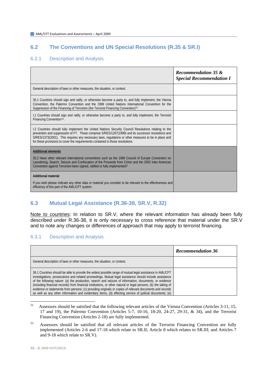### **6.2 The Conventions and UN Special Resolutions (R.35 & SR.I)**

#### 6.2.1 Description and Analysis

|                                                                                                                                                                                                                                                                                                                                                                                                       | <b>Recommendation 35 &amp;</b><br><b>Special Recommendation I</b> |
|-------------------------------------------------------------------------------------------------------------------------------------------------------------------------------------------------------------------------------------------------------------------------------------------------------------------------------------------------------------------------------------------------------|-------------------------------------------------------------------|
| General description of laws or other measures, the situation, or context.                                                                                                                                                                                                                                                                                                                             |                                                                   |
| 35.1 Countries should sign and ratify, or otherwise become a party to, and fully implement, the Vienna<br>Convention, the Palermo Convention and the 1999 United Nations International Convention for the<br>Suppression of the Financing of Terrorism (the Terrorist Financing Convention) <sup>52</sup> .                                                                                           |                                                                   |
| 1.1 Countries should sign and ratify, or otherwise become a party to, and fully implement, the Terrorist<br>Financing Convention <sup>53</sup> .                                                                                                                                                                                                                                                      |                                                                   |
| 1.2 Countries should fully implement the United Nations Security Council Resolutions relating to the<br>prevention and suppression of FT. These comprise S/RES/1267(1999) and its successor resolutions and<br>S/RES/1373(2001). This requires any necessary laws, requlations or other measures to be in place and<br>for these provisions to cover the requirements contained in those resolutions. |                                                                   |
| <b>Additional elements</b><br>35.2 Have other relevant international conventions such as the 1990 Council of Europe Convention on<br>Laundering, Search, Seizure and Confiscation of the Proceeds from Crime and the 2002 Inter-American<br>Convention against Terrorism been signed, ratified or fully implemented?                                                                                  |                                                                   |
| <b>Additional material</b><br>If you wish please indicate any other data or material you consider to be relevant to the effectiveness and<br>efficiency of this part of the AML/CFT system.                                                                                                                                                                                                           |                                                                   |

### **6.3 Mutual Legal Assistance (R.36-38, SR.V, R.32)**

Note to countries: In relation to SR.V, where the relevant information has already been fully described under R.36-38, it is only necessary to cross reference that material under the SR.V and to note any changes or differences of approach that may apply to terrorist financing.

#### 6.3.1 Description and Analysis

|                                                                                                                                                                                                                                                                                                                                                                                                                                                                                                                                                                                                                                                                          | <b>Recommendation 36</b> |
|--------------------------------------------------------------------------------------------------------------------------------------------------------------------------------------------------------------------------------------------------------------------------------------------------------------------------------------------------------------------------------------------------------------------------------------------------------------------------------------------------------------------------------------------------------------------------------------------------------------------------------------------------------------------------|--------------------------|
| General description of laws or other measures, the situation, or context.                                                                                                                                                                                                                                                                                                                                                                                                                                                                                                                                                                                                |                          |
| 36.1 Countries should be able to provide the widest possible range of mutual legal assistance in AML/CFT<br>investigations, prosecutions and related proceedings. Mutual legal assistance should include assistance<br>of the following nature: (a) the production, search and seizure of information, documents, or evidence<br>(including financial records) from financial institutions, or other natural or legal persons; (b) the taking of<br>evidence or statements from persons; (c) providing originals or copies of relevant documents and records<br>as well as any other information and evidentiary items, (d) effecting service of judicial documents; (e) |                          |

<span id="page-65-0"></span><sup>52</sup> Assessors should be satisfied that the following relevant articles of the Vienna Convention (Articles 3-11, 15, 17 and 19), the Palermo Convention (Articles 5-7, 10-16, 18-20, 24-27, 29-31, & 34), and the Terrorist Financing Convention (Articles 2-18) are fully implemented.

<span id="page-65-1"></span><sup>53</sup> Assessors should be satisfied that all relevant articles of the Terrorist Financing Convention are fully implemented (Articles 2-6 and 17-18 which relate to SR.II; Article 8 which relates to SR.III; and Articles 7 and 9-18 which relate to SR.V).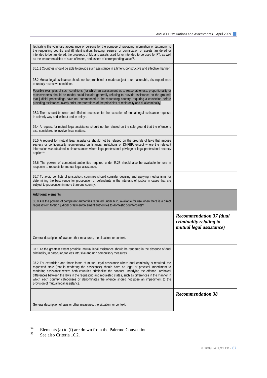| General description of laws or other measures, the situation, or context.                                                                                                                                                                                                                                                                                                                                                                                                                                                                                                    |                                                                                       |
|------------------------------------------------------------------------------------------------------------------------------------------------------------------------------------------------------------------------------------------------------------------------------------------------------------------------------------------------------------------------------------------------------------------------------------------------------------------------------------------------------------------------------------------------------------------------------|---------------------------------------------------------------------------------------|
|                                                                                                                                                                                                                                                                                                                                                                                                                                                                                                                                                                              | <b>Recommendation 38</b>                                                              |
| 37.2 For extradition and those forms of mutual legal assistance where dual criminality is required, the<br>requested state (that is rendering the assistance) should have no legal or practical impediment to<br>rendering assistance where both countries criminalise the conduct underlying the offence. Technical<br>differences between the laws in the requesting and requested states, such as differences in the manner in<br>which each country categorises or denominates the offence should not pose an impediment to the<br>provision of mutual legal assistance. |                                                                                       |
| 37.1 To the greatest extent possible, mutual legal assistance should be rendered in the absence of dual<br>criminality, in particular, for less intrusive and non compulsory measures.                                                                                                                                                                                                                                                                                                                                                                                       |                                                                                       |
| General description of laws or other measures, the situation, or context.                                                                                                                                                                                                                                                                                                                                                                                                                                                                                                    |                                                                                       |
|                                                                                                                                                                                                                                                                                                                                                                                                                                                                                                                                                                              | <b>Recommendation 37 (dual</b><br>criminality relating to<br>mutual legal assistance) |
| <b>Additional elements</b><br>36.8 Are the powers of competent authorities required under R.28 available for use when there is a direct<br>request from foreign judicial or law enforcement authorities to domestic counterparts?                                                                                                                                                                                                                                                                                                                                            |                                                                                       |
| 36.7 To avoid conflicts of jurisdiction, countries should consider devising and applying mechanisms for<br>determining the best venue for prosecution of defendants in the interests of justice in cases that are<br>subject to prosecution in more than one country.                                                                                                                                                                                                                                                                                                        |                                                                                       |
| 36.6 The powers of competent authorities required under R.28 should also be available for use in<br>response to requests for mutual legal assistance.                                                                                                                                                                                                                                                                                                                                                                                                                        |                                                                                       |
| 36.5 A request for mutual legal assistance should not be refused on the grounds of laws that impose<br>secrecy or confidentiality requirements on financial institutions or DNFBP, except where the relevant<br>information was obtained in circumstances where legal professional privilege or legal professional secrecy<br>applies <sup>55</sup> .                                                                                                                                                                                                                        |                                                                                       |
| 36.4 A request for mutual legal assistance should not be refused on the sole ground that the offence is<br>also considered to involve fiscal matters.                                                                                                                                                                                                                                                                                                                                                                                                                        |                                                                                       |
| 36.3 There should be clear and efficient processes for the execution of mutual legal assistance requests<br>in a timely way and without undue delays.                                                                                                                                                                                                                                                                                                                                                                                                                        |                                                                                       |
| Possible examples of such conditions (for which an assessment as to reasonableness, proportionality or<br>restrictiveness should be made) could include: generally refusing to provide assistance on the grounds<br>that judicial proceedings have not commenced in the requesting country; requiring a conviction before<br>providing assistance; overly strict interpretations of the principles of reciprocity and dual criminality.                                                                                                                                      |                                                                                       |
| 36.2 Mutual legal assistance should not be prohibited or made subject to unreasonable, disproportionate<br>or unduly restrictive conditions.                                                                                                                                                                                                                                                                                                                                                                                                                                 |                                                                                       |
| 36.1.1 Countries should be able to provide such assistance in a timely, constructive and effective manner.                                                                                                                                                                                                                                                                                                                                                                                                                                                                   |                                                                                       |
| facilitating the voluntary appearance of persons for the purpose of providing information or testimony to<br>the requesting country and (f) identification, freezing, seizure, or confiscation of assets laundered or<br>intended to be laundered, the proceeds of ML and assets used for or intended to be used for FT, as well<br>as the instrumentalities of such offences, and assets of corresponding value <sup>54</sup> .                                                                                                                                             |                                                                                       |

<span id="page-66-0"></span> $\overline{54}$ <sup>54</sup> Elements (a) to (f) are drawn from the Palermo Convention.<br>See also Criteria 16.2

<span id="page-66-1"></span>See also Criteria 16.2.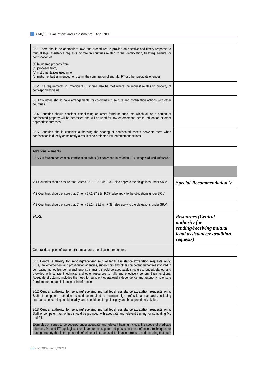| 38.1 There should be appropriate laws and procedures to provide an effective and timely response to<br>mutual legal assistance requests by foreign countries related to the identification, freezing, seizure, or<br>confiscation of:                                                                                                                                                                                                                                                                                                                                                        |                                                                                                                                    |
|----------------------------------------------------------------------------------------------------------------------------------------------------------------------------------------------------------------------------------------------------------------------------------------------------------------------------------------------------------------------------------------------------------------------------------------------------------------------------------------------------------------------------------------------------------------------------------------------|------------------------------------------------------------------------------------------------------------------------------------|
| (a) laundered property from,                                                                                                                                                                                                                                                                                                                                                                                                                                                                                                                                                                 |                                                                                                                                    |
| (b) proceeds from,<br>(c) instrumentalities used in, or                                                                                                                                                                                                                                                                                                                                                                                                                                                                                                                                      |                                                                                                                                    |
| (d) instrumentalities intended for use in, the commission of any ML, FT or other predicate offences.                                                                                                                                                                                                                                                                                                                                                                                                                                                                                         |                                                                                                                                    |
|                                                                                                                                                                                                                                                                                                                                                                                                                                                                                                                                                                                              |                                                                                                                                    |
| 38.2 The requirements in Criterion 38.1 should also be met where the request relates to property of<br>corresponding value.                                                                                                                                                                                                                                                                                                                                                                                                                                                                  |                                                                                                                                    |
| 38.3 Countries should have arrangements for co-ordinating seizure and confiscation actions with other<br>countries.                                                                                                                                                                                                                                                                                                                                                                                                                                                                          |                                                                                                                                    |
| 38.4 Countries should consider establishing an asset forfeiture fund into which all or a portion of<br>confiscated property will be deposited and will be used for law enforcement, health, education or other                                                                                                                                                                                                                                                                                                                                                                               |                                                                                                                                    |
| appropriate purposes.                                                                                                                                                                                                                                                                                                                                                                                                                                                                                                                                                                        |                                                                                                                                    |
| 38.5 Countries should consider authorising the sharing of confiscated assets between them when                                                                                                                                                                                                                                                                                                                                                                                                                                                                                               |                                                                                                                                    |
| confiscation is directly or indirectly a result of co-ordinated law enforcement actions.                                                                                                                                                                                                                                                                                                                                                                                                                                                                                                     |                                                                                                                                    |
|                                                                                                                                                                                                                                                                                                                                                                                                                                                                                                                                                                                              |                                                                                                                                    |
|                                                                                                                                                                                                                                                                                                                                                                                                                                                                                                                                                                                              |                                                                                                                                    |
| <b>Additional elements</b>                                                                                                                                                                                                                                                                                                                                                                                                                                                                                                                                                                   |                                                                                                                                    |
| 38.6 Are foreign non criminal confiscation orders (as described in criterion 3.7) recognised and enforced?                                                                                                                                                                                                                                                                                                                                                                                                                                                                                   |                                                                                                                                    |
|                                                                                                                                                                                                                                                                                                                                                                                                                                                                                                                                                                                              |                                                                                                                                    |
|                                                                                                                                                                                                                                                                                                                                                                                                                                                                                                                                                                                              |                                                                                                                                    |
| V.1 Countries should ensure that Criteria 36.1 - 36.6 (in R.36) also apply to the obligations under SR.V.                                                                                                                                                                                                                                                                                                                                                                                                                                                                                    | <b>Special Recommendation V</b>                                                                                                    |
|                                                                                                                                                                                                                                                                                                                                                                                                                                                                                                                                                                                              |                                                                                                                                    |
| V.2 Countries should ensure that Criteria 37.1-37.2 (in R.37) also apply to the obligations under SR.V.                                                                                                                                                                                                                                                                                                                                                                                                                                                                                      |                                                                                                                                    |
| V.3 Countries should ensure that Criteria 38.1 – 38.3 (in R.38) also apply to the obligations under SR.V.                                                                                                                                                                                                                                                                                                                                                                                                                                                                                    |                                                                                                                                    |
| R.30                                                                                                                                                                                                                                                                                                                                                                                                                                                                                                                                                                                         | <b>Resources</b> (Central<br><i>authority for</i><br>sending/receiving mutual<br>legal assistance/extradition<br><i>requests</i> ) |
| General description of laws or other measures, the situation, or context.                                                                                                                                                                                                                                                                                                                                                                                                                                                                                                                    |                                                                                                                                    |
| 30.1 Central authority for sending/receiving mutual legal assistance/extradition requests only:<br>FIUs, law enforcement and prosecution agencies, supervisors and other competent authorities involved in<br>combating money laundering and terrorist financing should be adequately structured, funded, staffed, and<br>provided with sufficient technical and other resources to fully and effectively perform their functions.<br>Adequate structuring includes the need for sufficient operational independence and autonomy to ensure<br>freedom from undue influence or interference. |                                                                                                                                    |
| 30.2 Central authority for sending/receiving mutual legal assistance/extradition requests only:<br>Staff of competent authorities should be required to maintain high professional standards, including<br>standards concerning confidentiality, and should be of high integrity and be appropriately skilled.                                                                                                                                                                                                                                                                               |                                                                                                                                    |
| 30.3 Central authority for sending/receiving mutual legal assistance/extradition requests only:<br>Staff of competent authorities should be provided with adequate and relevant training for combating ML<br>and FT.                                                                                                                                                                                                                                                                                                                                                                         |                                                                                                                                    |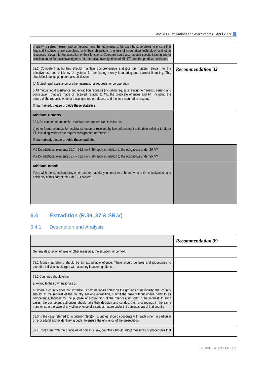| property is seized, frozen and confiscated, and the techniques to be used by supervisors to ensure that<br>financial institutions are complying with their obligations; the use of information technology and other<br>resources relevant to the execution of their functions. Countries could also provide special training and/or<br>certification for financial investigators for, inter alia, investigations of ML, FT, and the predicate offences. |                          |
|---------------------------------------------------------------------------------------------------------------------------------------------------------------------------------------------------------------------------------------------------------------------------------------------------------------------------------------------------------------------------------------------------------------------------------------------------------|--------------------------|
| 32.2 Competent authorities should maintain comprehensive statistics on matters relevant to the<br>effectiveness and efficiency of systems for combating money laundering and terrorist financing. This<br>should include keeping annual statistics on:                                                                                                                                                                                                  | <b>Recommendation 32</b> |
| (c) Mutual legal assistance or other international requests for co-operation                                                                                                                                                                                                                                                                                                                                                                            |                          |
| o All mutual legal assistance and extradition requests (including requests relating to freezing, seizing and<br>confiscation) that are made or received, relating to ML, the predicate offences and FT, including the<br>nature of the request, whether it was granted or refused, and the time required to respond;                                                                                                                                    |                          |
| If maintained, please provide these statistics                                                                                                                                                                                                                                                                                                                                                                                                          |                          |
| <b>Additional elements</b>                                                                                                                                                                                                                                                                                                                                                                                                                              |                          |
| 32.3 Do competent authorities maintain comprehensive statistics on:                                                                                                                                                                                                                                                                                                                                                                                     |                          |
| c) other formal requests for assistance made or received by law enforcement authorities relating to ML or<br>FT, including whether the request was granted or refused?                                                                                                                                                                                                                                                                                  |                          |
| If maintained, please provide these statistics                                                                                                                                                                                                                                                                                                                                                                                                          |                          |
| V.6 Do additional elements 36.7 – 36.8 (in R.36) apply in relation to the obligations under SR.V?                                                                                                                                                                                                                                                                                                                                                       |                          |
| V.7 Do additional elements 38.4 – 38.6 (in R.38) apply in relation to the obligations under SR.V?                                                                                                                                                                                                                                                                                                                                                       |                          |
| <b>Additional material</b>                                                                                                                                                                                                                                                                                                                                                                                                                              |                          |
| If you wish please indicate any other data or material you consider to be relevant to the effectiveness and<br>efficiency of this part of the AML/CFT system.                                                                                                                                                                                                                                                                                           |                          |
|                                                                                                                                                                                                                                                                                                                                                                                                                                                         |                          |
|                                                                                                                                                                                                                                                                                                                                                                                                                                                         |                          |
|                                                                                                                                                                                                                                                                                                                                                                                                                                                         |                          |

# **6.4 Extradition (R.39, 37 & SR.V)**

## 6.4.1 Description and Analysis

|                                                                                                                                                                                                                                                                                                                                                                                                                                                                                                                                                  | <b>Recommendation 39</b> |
|--------------------------------------------------------------------------------------------------------------------------------------------------------------------------------------------------------------------------------------------------------------------------------------------------------------------------------------------------------------------------------------------------------------------------------------------------------------------------------------------------------------------------------------------------|--------------------------|
| General description of laws or other measures, the situation, or context.                                                                                                                                                                                                                                                                                                                                                                                                                                                                        |                          |
| 39.1 Money laundering should be an extraditable offence. There should be laws and procedures to<br>extradite individuals charged with a money laundering offence.                                                                                                                                                                                                                                                                                                                                                                                |                          |
| 39.2 Countries should either:                                                                                                                                                                                                                                                                                                                                                                                                                                                                                                                    |                          |
| a) extradite their own nationals or,                                                                                                                                                                                                                                                                                                                                                                                                                                                                                                             |                          |
| b) where a country does not extradite its own nationals solely on the grounds of nationality, that country<br>should, at the request of the country seeking extradition, submit the case without undue delay to its<br>competent authorities for the purpose of prosecution of the offences set forth in the request. In such<br>cases, the competent authorities should take their decision and conduct their proceedings in the same<br>manner as in the case of any other offence of a serious nature under the domestic law of that country. |                          |
| 39.3 In the case referred to in criterion 39.2(b), countries should cooperate with each other, in particular<br>on procedural and evidentiary aspects, to ensure the efficiency of the prosecution.                                                                                                                                                                                                                                                                                                                                              |                          |
| 39.4 Consistent with the principles of domestic law, countries should adopt measures or procedures that                                                                                                                                                                                                                                                                                                                                                                                                                                          |                          |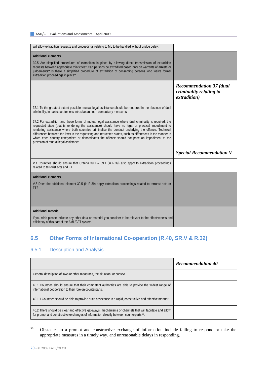| will allow extradition requests and proceedings relating to ML to be handled without undue delay.                                                                                                                                                                                                                                                                                                                                                                                                                                                                            |                                                                           |
|------------------------------------------------------------------------------------------------------------------------------------------------------------------------------------------------------------------------------------------------------------------------------------------------------------------------------------------------------------------------------------------------------------------------------------------------------------------------------------------------------------------------------------------------------------------------------|---------------------------------------------------------------------------|
| <b>Additional elements</b><br>39.5 Are simplified procedures of extradition in place by allowing direct transmission of extradition<br>requests between appropriate ministries? Can persons be extradited based only on warrants of arrests or<br>judgements? Is there a simplified procedure of extradition of consenting persons who waive formal<br>extradition proceedings in place?                                                                                                                                                                                     |                                                                           |
|                                                                                                                                                                                                                                                                                                                                                                                                                                                                                                                                                                              | <b>Recommendation 37 (dual</b><br>criminality relating to<br>extradition) |
| 37.1 To the greatest extent possible, mutual legal assistance should be rendered in the absence of dual<br>criminality, in particular, for less intrusive and non compulsory measures.                                                                                                                                                                                                                                                                                                                                                                                       |                                                                           |
| 37.2 For extradition and those forms of mutual legal assistance where dual criminality is required, the<br>requested state (that is rendering the assistance) should have no legal or practical impediment to<br>rendering assistance where both countries criminalise the conduct underlying the offence. Technical<br>differences between the laws in the requesting and requested states, such as differences in the manner in<br>which each country categorises or denominates the offence should not pose an impediment to the<br>provision of mutual legal assistance. |                                                                           |
|                                                                                                                                                                                                                                                                                                                                                                                                                                                                                                                                                                              | <b>Special Recommendation V</b>                                           |
| V.4 Countries should ensure that Criteria $39.1 - 39.4$ (in R.39) also apply to extradition proceedings<br>related to terrorist acts and FT.                                                                                                                                                                                                                                                                                                                                                                                                                                 |                                                                           |
| <b>Additional elements</b><br>V.8 Does the additional element 39.5 (in R.39) apply extradition proceedings related to terrorist acts or<br>FT?                                                                                                                                                                                                                                                                                                                                                                                                                               |                                                                           |
| <b>Additional material</b>                                                                                                                                                                                                                                                                                                                                                                                                                                                                                                                                                   |                                                                           |
| If you wish please indicate any other data or material you consider to be relevant to the effectiveness and<br>efficiency of this part of the AML/CFT system.                                                                                                                                                                                                                                                                                                                                                                                                                |                                                                           |

## **6.5 Other Forms of International Co-operation (R.40, SR.V & R.32)**

### 6.5.1 Description and Analysis

|                                                                                                                                                                                                                | <b>Recommendation 40</b> |
|----------------------------------------------------------------------------------------------------------------------------------------------------------------------------------------------------------------|--------------------------|
| General description of laws or other measures, the situation, or context.                                                                                                                                      |                          |
| 40.1 Countries should ensure that their competent authorities are able to provide the widest range of<br>international cooperation to their foreign counterparts.                                              |                          |
| 40.1.1 Countries should be able to provide such assistance in a rapid, constructive and effective manner.                                                                                                      |                          |
| 40.2 There should be clear and effective gateways, mechanisms or channels that will facilitate and allow<br>for prompt and constructive exchanges of information directly between counterparts <sup>56</sup> . |                          |

<span id="page-69-0"></span>56 56 Obstacles to a prompt and constructive exchange of information include failing to respond or take the appropriate measures in a timely way, and unreasonable delays in responding.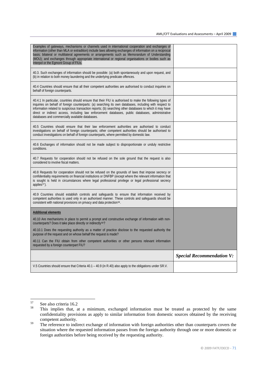| Examples of gateways, mechanisms or channels used in international cooperation and exchanges of<br>information (other than MLA or extradition) include laws allowing exchanges of information on a reciprocal<br>basis; bilateral or multilateral agreements or arrangements such as Memorandum of Understanding<br>(MOU); and exchanges through appropriate international or regional organisations or bodies such as<br>Interpol or the Egmont Group of FIUs.                          |                                  |
|------------------------------------------------------------------------------------------------------------------------------------------------------------------------------------------------------------------------------------------------------------------------------------------------------------------------------------------------------------------------------------------------------------------------------------------------------------------------------------------|----------------------------------|
| 40.3. Such exchanges of information should be possible: (a) both spontaneously and upon request, and<br>(b) in relation to both money laundering and the underlying predicate offences.                                                                                                                                                                                                                                                                                                  |                                  |
| 40.4 Countries should ensure that all their competent authorities are authorised to conduct inquiries on<br>behalf of foreign counterparts.                                                                                                                                                                                                                                                                                                                                              |                                  |
| 40.4.1 In particular, countries should ensure that their FIU is authorised to make the following types of<br>inquiries on behalf of foreign counterparts: (a) searching its own databases, including with respect to<br>information related to suspicious transaction reports; (b) searching other databases to which it may have<br>direct or indirect access, including law enforcement databases, public databases, administrative<br>databases and commercially available databases. |                                  |
| 40.5 Countries should ensure that their law enforcement authorities are authorised to conduct<br>investigations on behalf of foreign counterparts; other competent authorities should be authorised to<br>conduct investigations on behalf of foreign counterparts, where permitted by domestic law.                                                                                                                                                                                     |                                  |
| 40.6 Exchanges of information should not be made subject to disproportionate or unduly restrictive<br>conditions.                                                                                                                                                                                                                                                                                                                                                                        |                                  |
| 40.7 Requests for cooperation should not be refused on the sole ground that the request is also<br>considered to involve fiscal matters.                                                                                                                                                                                                                                                                                                                                                 |                                  |
| 40.8 Requests for cooperation should not be refused on the grounds of laws that impose secrecy or<br>confidentiality requirements on financial institutions or DNFBP (except where the relevant information that<br>is sought is held in circumstances where legal professional privilege or legal professional secrecy<br>applies $57$ ).                                                                                                                                               |                                  |
| 40.9 Countries should establish controls and safeguards to ensure that information received by<br>competent authorities is used only in an authorised manner. These controls and safeguards should be<br>consistent with national provisions on privacy and data protection <sup>58</sup> .                                                                                                                                                                                              |                                  |
| <b>Additional elements</b>                                                                                                                                                                                                                                                                                                                                                                                                                                                               |                                  |
| 40.10 Are mechanisms in place to permit a prompt and constructive exchange of information with non-<br>counterparts? Does it take place directly or indirectly <sup>59</sup> ?                                                                                                                                                                                                                                                                                                           |                                  |
| 40.10.1 Does the requesting authority as a matter of practice disclose to the requested authority the<br>purpose of the request and on whose behalf the request is made?                                                                                                                                                                                                                                                                                                                 |                                  |
| 40.11 Can the FIU obtain from other competent authorities or other persons relevant information<br>requested by a foreign counterpart FIU?                                                                                                                                                                                                                                                                                                                                               |                                  |
|                                                                                                                                                                                                                                                                                                                                                                                                                                                                                          | <b>Special Recommendation V:</b> |
| V.5 Countries should ensure that Criteria 40.1 – 40.9 (in R.40) also apply to the obligations under SR.V.                                                                                                                                                                                                                                                                                                                                                                                |                                  |

<span id="page-70-1"></span><span id="page-70-0"></span><sup>57</sup>  $57$  See also criteria 16.2

This implies that, at a minimum, exchanged information must be treated as protected by the same confidentiality provisions as apply to similar information from domestic sources obtained by the receiving competent authority.

<span id="page-70-2"></span><sup>&</sup>lt;sup>59</sup> The reference to indirect exchange of information with foreign authorities other than counterparts covers the situation where the requested information passes from the foreign authority through one or more domestic or foreign authorities before being received by the requesting authority.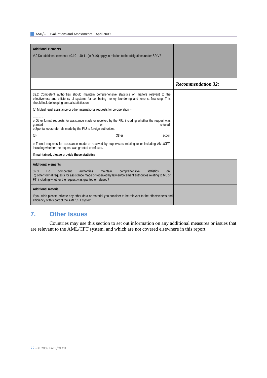| <b>Additional elements</b><br>V.9 Do additional elements 40.10 – 40.11 (in R.40) apply in relation to the obligations under SR.V?                                                                                                                                                                            |                           |
|--------------------------------------------------------------------------------------------------------------------------------------------------------------------------------------------------------------------------------------------------------------------------------------------------------------|---------------------------|
|                                                                                                                                                                                                                                                                                                              |                           |
|                                                                                                                                                                                                                                                                                                              | <b>Recommendation 32:</b> |
| 32.2 Competent authorities should maintain comprehensive statistics on matters relevant to the<br>effectiveness and efficiency of systems for combating money laundering and terrorist financing. This<br>should include keeping annual statistics on:                                                       |                           |
| (c) Mutual legal assistance or other international requests for co-operation -                                                                                                                                                                                                                               |                           |
| o Other formal requests for assistance made or received by the FIU, including whether the request was<br>granted<br>refused:<br>or<br>o Spontaneous referrals made by the FIU to foreign authorities.                                                                                                        |                           |
| Other<br>(d)<br>action                                                                                                                                                                                                                                                                                       |                           |
| o Formal requests for assistance made or received by supervisors relating to or including AML/CFT,<br>including whether the request was granted or refused.                                                                                                                                                  |                           |
| If maintained, please provide these statistics                                                                                                                                                                                                                                                               |                           |
| <b>Additional elements</b><br>32.3<br>authorities<br>maintain<br>comprehensive<br>statistics<br>D <sub>0</sub><br>competent<br>on:<br>c) other formal requests for assistance made or received by law enforcement authorities relating to ML or<br>FT, including whether the request was granted or refused? |                           |
| <b>Additional material</b><br>If you wish please indicate any other data or material you consider to be relevant to the effectiveness and<br>efficiency of this part of the AML/CFT system.                                                                                                                  |                           |

## **7. Other Issues**

 Countries may use this section to set out information on any additional measures or issues that are relevant to the AML/CFT system, and which are not covered elsewhere in this report.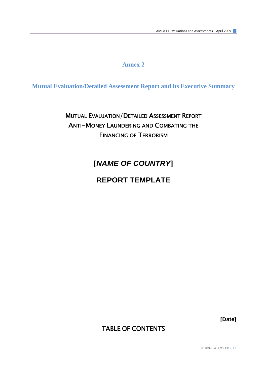# **Annex 2**

**Mutual Evaluation/Detailed Assessment Report and its Executive Summary**

# MUTUAL EVALUATION/DETAILED ASSESSMENT REPORT ANTI-MONEY LAUNDERING AND COMBATING THE FINANCING OF TERRORISM

# **[***NAME OF COUNTRY***]**

# **REPORT TEMPLATE**

**[Date]** 

# TABLE OF CONTENTS

© 2009 FATF/OECD ‐ 73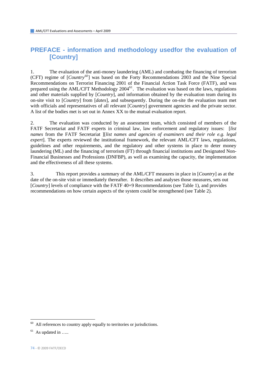# **PREFACE - information and methodology usedfor the evaluation of [Country]**

1. The evaluation of the anti-money laundering (AML) and combating the financing of terrorism (CFT) regime of [*Country[60](#page-73-0)*] was based on the Forty Recommendations 2003 and the Nine Special Recommendations on Terrorist Financing 2001 of the Financial Action Task Force (FATF), and was prepared using the AML/CFT Methodology  $2004^{61}$  $2004^{61}$  $2004^{61}$ . The evaluation was based on the laws, regulations and other materials supplied by [*Country*], and information obtained by the evaluation team during its on-site visit to [*Country*] from [*dates*], and subsequently. During the on-site the evaluation team met with officials and representatives of all relevant [*Country*] government agencies and the private sector. A list of the bodies met is set out in Annex XX to the mutual evaluation report.

2. The evaluation was conducted by an assessment team, which consisted of members of the FATF Secretariat and FATF experts in criminal law, law enforcement and regulatory issues: [*list names* from the FATF Secretariat ][*list names and agencies of examiners and their role e.g. legal expert*]. The experts reviewed the institutional framework, the relevant AML/CFT laws, regulations, guidelines and other requirements, and the regulatory and other systems in place to deter money laundering (ML) and the financing of terrorism (FT) through financial institutions and Designated Non-Financial Businesses and Professions (DNFBP), as well as examining the capacity, the implementation and the effectiveness of all these systems.

3. This report provides a summary of the AML/CFT measures in place in [*Country*] as at the date of the on-site visit or immediately thereafter. It describes and analyses those measures, sets out [*Country*] levels of compliance with the FATF 40+9 Recommendations (see Table 1), and provides recommendations on how certain aspects of the system could be strengthened (see Table 2).

l

<span id="page-73-0"></span> $60$  All references to country apply equally to territories or jurisdictions.

<span id="page-73-1"></span> $61$  As updated in .....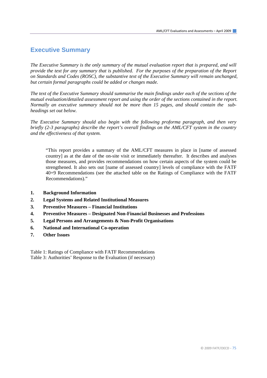# **Executive Summary**

*The Executive Summary is the only summary of the mutual evaluation report that is prepared, and will provide the text for any summary that is published. For the purposes of the preparation of the Report on Standards and Codes (ROSC), the substantive text of the Executive Summary will remain unchanged, but certain formal paragraphs could be added or changes made.* 

*The text of the Executive Summary should summarise the main findings under each of the sections of the mutual evaluation/detailed assessment report and using the order of the sections contained in the report. Normally an executive summary should not be more than 15 pages, and should contain the subheadings set out below.* 

*The Executive Summary should also begin with the following proforma paragraph, and then very briefly (2-3 paragraphs) describe the report's overall findings on the AML/CFT system in the country and the effectiveness of that system.* 

"This report provides a summary of the AML/CFT measures in place in [name of assessed country] as at the date of the on-site visit or immediately thereafter. It describes and analyses those measures, and provides recommendations on how certain aspects of the system could be strengthened. It also sets out [name of assessed country] levels of compliance with the FATF 40+9 Recommendations (see the attached table on the Ratings of Compliance with the FATF Recommendations)."

- **1. Background Information**
- **2. Legal Systems and Related Institutional Measures**
- **3. Preventive Measures Financial Institutions**
- **4. Preventive Measures Designated Non-Financial Businesses and Professions**
- **5. Legal Persons and Arrangements & Non-Profit Organisations**
- **6. National and International Co-operation**
- **7. Other Issues**

Table 1: Ratings of Compliance with FATF Recommendations Table 3: Authorities' Response to the Evaluation (if necessary)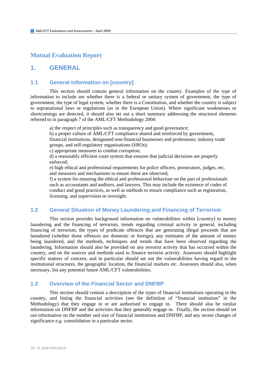# **Mutual Evaluation Report**

## **1. GENERAL**

### **1.1 General information on [***country***]**

 This section should contain general information on the country. Examples of the type of information to include are whether there is a federal or unitary system of government, the type of government, the type of legal system, whether there is a Constitution, and whether the country is subject to supranational laws or regulations (as in the European Union). Where significant weaknesses or shortcomings are detected, it should also set out a short summary addressing the structural elements referred to in paragraph 7 of the AML/CFT Methodology 2004:

a) the respect of principles such as transparency and good governance;

b) a proper culture of AML/CFT compliance shared and reinforced by government, financial institutions, designated non-financial businesses and professions; industry trade groups, and self-regulatory organisations (SROs);

c) appropriate measures to combat corruption;

d) a reasonably efficient court system that ensures that judicial decisions are properly enforced;

e) high ethical and professional requirements for police officers, prosecutors, judges, etc. and measures and mechanisms to ensure these are observed;

f) a system for ensuring the ethical and professional behaviour on the part of professionals such as accountants and auditors, and lawyers. This may include the existence of codes of conduct and good practices, as well as methods to ensure compliance such as registration, licensing, and supervision or oversight.

### **1.2 General Situation of Money Laundering and Financing of Terrorism**

This section provides background information on vulnerabilities within [*country*] to money laundering and the financing of terrorism, trends regarding criminal activity in general, including financing of terrorism, the types of predicate offences that are generating illegal proceeds that are laundered (whether those offences are domestic or foreign), any estimates of the amount of money being laundered, and the methods, techniques and trends that have been observed regarding the laundering. Information should also be provided on any terrorist activity that has occurred within the country, and on the sources and methods used to finance terrorist activity. Assessors should highlight specific matters of concern, and in particular should set out the vulnerabilities having regard to the institutional structures, the geographic location, the financial markets etc. Assessors should also, when necessary, list any potential future AML/CFT vulnerabilities.

### **1.3 Overview of the Financial Sector and DNFBP**

 This section should contain a description of the types of financial institutions operating in the country, and listing the financial activities (see the definition of "financial institution" in the Methodology) that they engage in or are authorised to engage in. There should also be similar information on DNFBP and the activities that they generally engage in. Finally, the section should set out information on the number and size of financial institutions and DNFBP, and any recent changes of significance *e.g.* consolidation in a particular sector.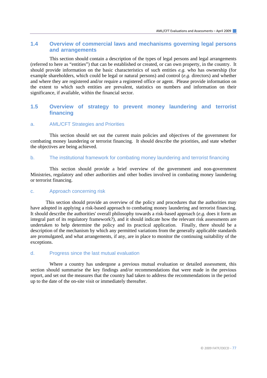### **1.4 Overview of commercial laws and mechanisms governing legal persons and arrangements**

 This section should contain a description of the types of legal persons and legal arrangements (referred to here as "entities") that can be established or created, or can own property, in the country. It should provide information on the basic characteristics of such entities *e.g.* who has ownership (for example shareholders, which could be legal or natural persons) and control (*e.g.* directors) and whether and where they are registered and/or require a registered office or agent. Please provide information on the extent to which such entities are prevalent, statistics on numbers and information on their significance, if available, within the financial sector.

### **1.5 Overview of strategy to prevent money laundering and terrorist financing**

#### a. AML/CFT Strategies and Priorities

This section should set out the current main policies and objectives of the government for combating money laundering or terrorist financing. It should describe the priorities, and state whether the objectives are being achieved.

#### b. The institutional framework for combating money laundering and terrorist financing

 This section should provide a brief overview of the government and non-government Ministries, regulatory and other authorities and other bodies involved in combating money laundering or terrorist financing.

#### c. Approach concerning risk

 This section should provide an overview of the policy and procedures that the authorities may have adopted in applying a risk-based approach to combating money laundering and terrorist financing. It should describe the authorities' overall philosophy towards a risk-based approach (*e.g.* does it form an integral part of its regulatory framework?), and it should indicate how the relevant risk assessments are undertaken to help determine the policy and its practical application. Finally, there should be a description of the mechanism by which any permitted variations from the generally applicable standards are promulgated, and what arrangements, if any, are in place to monitor the continuing suitability of the exceptions.

#### d. Progress since the last mutual evaluation

 Where a country has undergone a previous mutual evaluation or detailed assessment, this section should summarise the key findings and/or recommendations that were made in the previous report, and set out the measures that the country had taken to address the recommendations in the period up to the date of the on-site visit or immediately thereafter.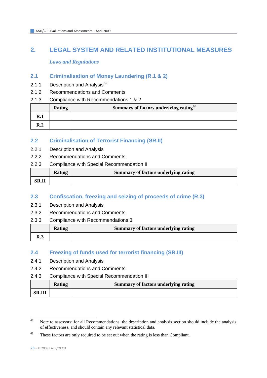# **2. LEGAL SYSTEM AND RELATED INSTITUTIONAL MEASURES**

 *Laws and Regulations* 

# **2.1 Criminalisation of Money Laundering (R.1 & 2)**

- 2.1.1 Description and Analysis $62$
- 2.1.2 Recommendations and Comments
- 2.1.3 Compliance with Recommendations 1 & 2

| <b>Rating</b> | Summary of factors underlying rating <sup>63</sup> |
|---------------|----------------------------------------------------|
|               |                                                    |
|               |                                                    |

## **2.2 Criminalisation of Terrorist Financing (SR.II)**

- 2.2.1 Description and Analysis
- 2.2.2 Recommendations and Comments
- 2.2.3 Compliance with Special Recommendation II

|       | Rating | <b>Summary of factors underlying rating</b> |
|-------|--------|---------------------------------------------|
| SR.II |        |                                             |

# **2.3 Confiscation, freezing and seizing of proceeds of crime (R.3)**

- 2.3.1 Description and Analysis
- 2.3.2 Recommendations and Comments
- 2.3.3 Compliance with Recommendations 3

|     | Rating | Summary of factors underlying rating |
|-----|--------|--------------------------------------|
| R.3 |        |                                      |

### **2.4 Freezing of funds used for terrorist financing (SR.III)**

- 2.4.1 Description and Analysis
- 2.4.2 Recommendations and Comments
- 2.4.3 Compliance with Special Recommendation III

|               | Rating | Summary of factors underlying rating |
|---------------|--------|--------------------------------------|
| <b>SR.III</b> |        |                                      |

<span id="page-77-0"></span> $62$ Note to assessors: for all Recommendations, the description and analysis section should include the analysis of effectiveness, and should contain any relevant statistical data.

<span id="page-77-1"></span> $63$  These factors are only required to be set out when the rating is less than Compliant.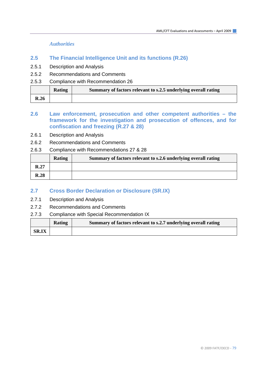*Authorities* 

- **2.5 The Financial Intelligence Unit and its functions (R.26)**
- 2.5.1 Description and Analysis
- 2.5.2 Recommendations and Comments
- 2.5.3 Compliance with Recommendation 26

|      | Rating | Summary of factors relevant to s.2.5 underlying overall rating |
|------|--------|----------------------------------------------------------------|
| R.26 |        |                                                                |

### **2.6 Law enforcement, prosecution and other competent authorities – the framework for the investigation and prosecution of offences, and for confiscation and freezing (R.27 & 28)**

- 2.6.1 Description and Analysis
- 2.6.2 Recommendations and Comments
- 2.6.3 Compliance with Recommendations 27 & 28

|             | Rating | Summary of factors relevant to s.2.6 underlying overall rating |
|-------------|--------|----------------------------------------------------------------|
| R.27        |        |                                                                |
| <b>R.28</b> |        |                                                                |

### **2.7 Cross Border Declaration or Disclosure (SR.IX)**

- 2.7.1 Description and Analysis
- 2.7.2 Recommendations and Comments
- 2.7.3 Compliance with Special Recommendation IX

|              | Rating | Summary of factors relevant to s.2.7 underlying overall rating |
|--------------|--------|----------------------------------------------------------------|
| <b>SR.IX</b> |        |                                                                |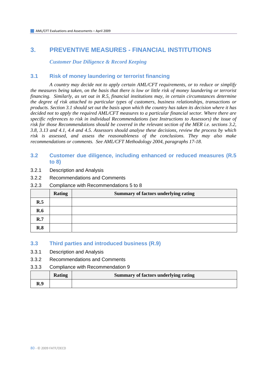# **3. PREVENTIVE MEASURES - FINANCIAL INSTITUTIONS**

 *Customer Due Diligence & Record Keeping* 

### **3.1 Risk of money laundering or terrorist financing**

 *A country may decide not to apply certain AML/CFT requirements, or to reduce or simplify the measures being taken, on the basis that there is low or little risk of money laundering or terrorist financing. Similarly, as set out in R.5, financial institutions may, in certain circumstances determine the degree of risk attached to particular types of customers, business relationships, transactions or products. Section 3.1 should set out the basis upon which the country has taken its decision where it has decided not to apply the required AML/CFT measures to a particular financial sector. Where there are specific references to risk in individual Recommendations (see Instructions to Assessors) the issue of risk for those Recommendations should be covered in the relevant section of the MER i.e. sections 3.2, 3.8, 3.13 and 4.1, 4.4 and 4.5. Assessors should analyse these decisions, review the process by which risk is assessed, and assess the reasonableness of the conclusions. They may also make recommendations or comments. See AML/CFT Methodology 2004, paragraphs 17-18.* 

### **3.2 Customer due diligence, including enhanced or reduced measures (R.5 to 8)**

- 3.2.1 Description and Analysis
- 3.2.2 Recommendations and Comments
- 3.2.3 Compliance with Recommendations 5 to 8

|     | <b>Rating</b> | <b>Summary of factors underlying rating</b> |
|-----|---------------|---------------------------------------------|
| R.5 |               |                                             |
| R.6 |               |                                             |
| R.7 |               |                                             |
| R.8 |               |                                             |

### **3.3 Third parties and introduced business (R.9)**

- 3.3.1 Description and Analysis
- 3.3.2 Recommendations and Comments
- 3.3.3 Compliance with Recommendation 9

|     | Rating | Summary of factors underlying rating |
|-----|--------|--------------------------------------|
| R.9 |        |                                      |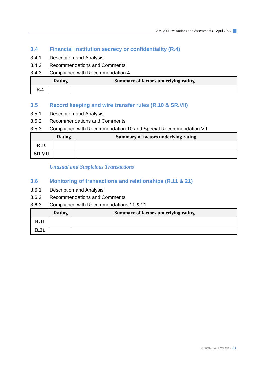### **3.4 Financial institution secrecy or confidentiality (R.4)**

- 3.4.1 Description and Analysis
- 3.4.2 Recommendations and Comments
- 3.4.3 Compliance with Recommendation 4

|     | <b>Rating</b> | <b>Summary of factors underlying rating</b> |
|-----|---------------|---------------------------------------------|
| R.4 |               |                                             |

### **3.5 Record keeping and wire transfer rules (R.10 & SR.VII)**

- 3.5.1 Description and Analysis
- 3.5.2 Recommendations and Comments

### 3.5.3 Compliance with Recommendation 10 and Special Recommendation VII

|               | <b>Rating</b> | <b>Summary of factors underlying rating</b> |
|---------------|---------------|---------------------------------------------|
| R.10          |               |                                             |
| <b>SR.VII</b> |               |                                             |

### *Unusual and Suspicious Transactions*

### **3.6 Monitoring of transactions and relationships (R.11 & 21)**

- 3.6.1 Description and Analysis
- 3.6.2 Recommendations and Comments

#### 3.6.3 Compliance with Recommendations 11 & 21

|      | <b>Rating</b> | <b>Summary of factors underlying rating</b> |
|------|---------------|---------------------------------------------|
| R.11 |               |                                             |
| R.21 |               |                                             |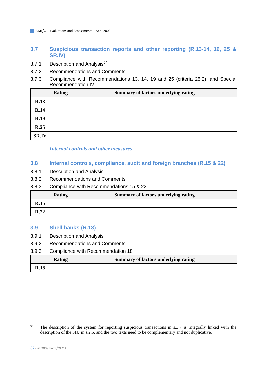## **3.7 Suspicious transaction reports and other reporting (R.13-14, 19, 25 & SR.IV)**

- 3.7.1 Description and Analysis<sup>[64](#page-81-0)</sup>
- 3.7.2 Recommendations and Comments
- 3.7.3 Compliance with Recommendations 13, 14, 19 and 25 (criteria 25.2), and Special Recommendation IV

|              | <b>Rating</b> | Summary of factors underlying rating |
|--------------|---------------|--------------------------------------|
| R.13         |               |                                      |
| R.14         |               |                                      |
| R.19         |               |                                      |
| R.25         |               |                                      |
| <b>SR.IV</b> |               |                                      |

### *Internal controls and other measures*

### **3.8 Internal controls, compliance, audit and foreign branches (R.15 & 22)**

- 3.8.1 Description and Analysis
- 3.8.2 Recommendations and Comments
- 3.8.3 Compliance with Recommendations 15 & 22

|      | <b>Rating</b> | <b>Summary of factors underlying rating</b> |
|------|---------------|---------------------------------------------|
| R.15 |               |                                             |
| R.22 |               |                                             |

### **3.9 Shell banks (R.18)**

- 3.9.1 Description and Analysis
- 3.9.2 Recommendations and Comments
- 3.9.3 Compliance with Recommendation 18

|             | Rating | Summary of factors underlying rating |
|-------------|--------|--------------------------------------|
| <b>R.18</b> |        |                                      |

<span id="page-81-0"></span><sup>64</sup> The description of the system for reporting suspicious transactions in s.3.7 is integrally linked with the description of the FIU in s.2.5, and the two texts need to be complementary and not duplicative.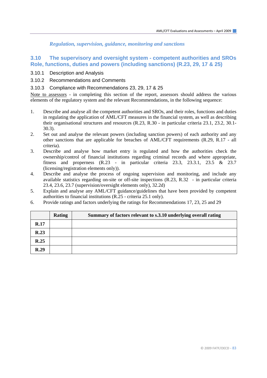*Regulation, supervision, guidance, monitoring and sanctions* 

### **3.10 The supervisory and oversight system - competent authorities and SROs Role, functions, duties and powers (including sanctions) (R.23, 29, 17 & 25)**

- 3.10.1 Description and Analysis
- 3.10.2 Recommendations and Comments
- 3.10.3 Compliance with Recommendations 23, 29, 17 & 25

Note to assessors - in completing this section of the report, assessors should address the various elements of the regulatory system and the relevant Recommendations, in the following sequence:

- 1. Describe and analyse all the competent authorities and SROs, and their roles, functions and duties in regulating the application of AML/CFT measures in the financial system, as well as describing their organisational structures and resources (R.23, R.30 - in particular criteria 23.1, 23.2, 30.1- 30.3).
- 2. Set out and analyse the relevant powers (including sanction powers) of each authority and any other sanctions that are applicable for breaches of AML/CFT requirements (R.29, R.17 - all criteria).
- 3. Describe and analyse how market entry is regulated and how the authorities check the ownership/control of financial institutions regarding criminal records and where appropriate, fitness and properness  $(R.23 - in)$  particular criteria 23.3, 23.3.1, 23.5 & 23.7 (licensing/registration elements only)).
- 4. Describe and analyse the process of ongoing supervision and monitoring, and include any available statistics regarding on-site or off-site inspections (R.23, R.32 - in particular criteria 23.4, 23.6, 23.7 (supervision/oversight elements only), 32.2d)
- 5. Explain and analyse any AML/CFT guidance/guidelines that have been provided by competent authorities to financial institutions (R.25 - criteria 25.1 only).
- 6. Provide ratings and factors underlying the ratings for Recommendations 17, 23, 25 and 29

|             | <b>Rating</b> | Summary of factors relevant to s.3.10 underlying overall rating |
|-------------|---------------|-----------------------------------------------------------------|
| <b>R.17</b> |               |                                                                 |
| R.23        |               |                                                                 |
| R.25        |               |                                                                 |
| R.29        |               |                                                                 |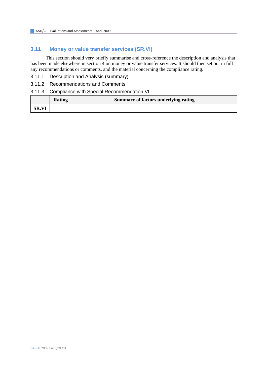# **3.11 Money or value transfer services (SR.VI)**

This section should very briefly summarise and cross-reference the description and analysis that has been made elsewhere in section 4 on money or value transfer services. It should then set out in full any recommendations or comments, and the material concerning the compliance rating.

- 3.11.1 Description and Analysis (summary)
- 3.11.2 Recommendations and Comments

#### 3.11.3 Compliance with Special Recommendation VI

|              | <b>Rating</b> | Summary of factors underlying rating |
|--------------|---------------|--------------------------------------|
| <b>SR.VI</b> |               |                                      |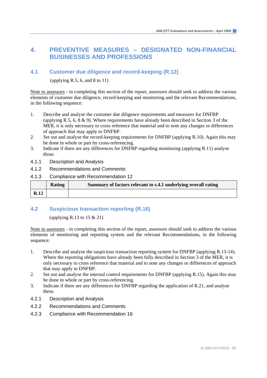# **4. PREVENTIVE MEASURES – DESIGNATED NON-FINANCIAL BUSINESSES AND PROFESSIONS**

### **4.1 Customer due diligence and record-keeping (R.12)**

(applying R.5, 6, and 8 to  $11$ )

Note to assessors - in completing this section of the report, assessors should seek to address the various elements of customer due diligence, record-keeping and monitoring and the relevant Recommendations, in the following sequence:

- 1. Describe and analyse the customer due diligence requirements and measures for DNFBP (applying R.5, 6, 8 & 9). Where requirements have already been described in Section 3 of the MER, it is only necessary to cross reference that material and to note any changes or differences of approach that may apply to DNFBP.
- 2. Set out and analyse the record-keeping requirements for DNFBP (applying R.10). Again this may be done in whole or part by cross-referencing.
- 3. Indicate if there are any differences for DNFBP regarding monitoring (applying R.11) analyse those.
- 4.1.1 Description and Analysis
- 4.1.2 Recommendations and Comments
- 4.1.3 Compliance with Recommendation 12

|      | <b>Rating</b> | Summary of factors relevant to s.4.1 underlying overall rating |
|------|---------------|----------------------------------------------------------------|
| R.12 |               |                                                                |

### **4.2 Suspicious transaction reporting (R.16)**

(applying R.13 to 15 & 21)

Note to assessors - in completing this section of the report, assessors should seek to address the various elements of monitoring and reporting system and the relevant Recommendations, in the following sequence:

- 1. Describe and analyse the suspicious transaction reporting system for DNFBP (applying R.13-14). Where the reporting obligations have already been fully described in Section 3 of the MER, it is only necessary to cross reference that material and to note any changes or differences of approach that may apply to DNFBP.
- 2. Set out and analyse the internal control requirements for DNFBP (applying R.15). Again this may be done in whole or part by cross-referencing.
- 3. Indicate if there are any differences for DNFBP regarding the application of R.21, and analyse these.
- 4.2.1 Description and Analysis
- 4.2.2 Recommendations and Comments
- 4.2.3 Compliance with Recommendation 16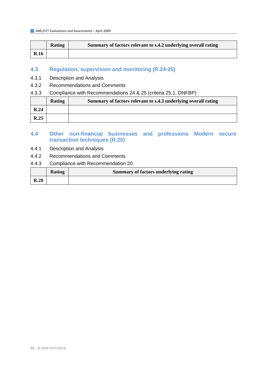|             | <b>Rating</b> | Summary of factors relevant to s.4.2 underlying overall rating |
|-------------|---------------|----------------------------------------------------------------|
| <b>R.16</b> |               |                                                                |

### **4.3 Regulation, supervision and monitoring (R.24-25)**

- 4.3.1 Description and Analysis
- 4.3.2 Recommendations and Comments
- 4.3.3 Compliance with Recommendations 24 & 25 (criteria 25.1, DNFBP)

|      | <b>Rating</b> | Summary of factors relevant to s.4.3 underlying overall rating |
|------|---------------|----------------------------------------------------------------|
| R.24 |               |                                                                |
| R.25 |               |                                                                |

### **4.4 Other non-financial businesses and professions Modern secure transaction techniques (R.20)**

- 4.4.1 Description and Analysis
- 4.4.2 Recommendations and Comments
- 4.4.3 Compliance with Recommendation 20

|      | Rating | Summary of factors underlying rating |
|------|--------|--------------------------------------|
| R.20 |        |                                      |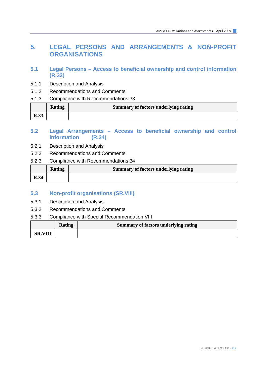# **5. LEGAL PERSONS AND ARRANGEMENTS & NON-PROFIT ORGANISATIONS**

- **5.1 Legal Persons Access to beneficial ownership and control information (R.33)**
- 5.1.1 Description and Analysis
- 5.1.2 Recommendations and Comments
- 5.1.3 Compliance with Recommendations 33

|             | <b>Rating</b> | Summary of factors underlying rating |
|-------------|---------------|--------------------------------------|
| <b>R.33</b> |               |                                      |

### **5.2 Legal Arrangements – Access to beneficial ownership and control information (R.34)**

- 5.2.1 Description and Analysis
- 5.2.2 Recommendations and Comments
- 5.2.3 Compliance with Recommendations 34

|      | <b>Rating</b> | Summary of factors underlying rating |
|------|---------------|--------------------------------------|
| R.34 |               |                                      |

### **5.3 Non-profit organisations (SR.VIII)**

- 5.3.1 Description and Analysis
- 5.3.2 Recommendations and Comments
- 5.3.3 Compliance with Special Recommendation VIII

|                | Rating | Summary of factors underlying rating |
|----------------|--------|--------------------------------------|
| <b>SR.VIII</b> |        |                                      |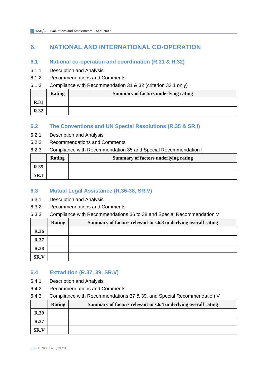# **6. NATIONAL AND INTERNATIONAL CO-OPERATION**

# **6.1 National co-operation and coordination (R.31 & R.32)**

- 6.1.1 Description and Analysis
- 6.1.2 Recommendations and Comments
- 6.1.3 Compliance with Recommendation 31 & 32 (criterion 32.1 only)

|             | <b>Rating</b> | <b>Summary of factors underlying rating</b> |
|-------------|---------------|---------------------------------------------|
| <b>R.31</b> |               |                                             |
| R.32        |               |                                             |

## **6.2 The Conventions and UN Special Resolutions (R.35 & SR.I)**

- 6.2.1 Description and Analysis
- 6.2.2 Recommendations and Comments
- 6.2.3 Compliance with Recommendation 35 and Special Recommendation I

|             | <b>Rating</b> | <b>Summary of factors underlying rating</b> |
|-------------|---------------|---------------------------------------------|
| <b>R.35</b> |               |                                             |
| SR.I        |               |                                             |

# **6.3 Mutual Legal Assistance (R.36-38, SR.V)**

- 6.3.1 Description and Analysis
- 6.3.2 Recommendations and Comments
- 6.3.3 Compliance with Recommendations 36 to 38 and Special Recommendation V

|             | <b>Rating</b> | Summary of factors relevant to s.6.3 underlying overall rating |
|-------------|---------------|----------------------------------------------------------------|
| <b>R.36</b> |               |                                                                |
| R.37        |               |                                                                |
| <b>R.38</b> |               |                                                                |
| SR.V        |               |                                                                |

# **6.4 Extradition (R.37, 39, SR.V)**

- 6.4.1 Description and Analysis
- 6.4.2 Recommendations and Comments
- 6.4.3 Compliance with Recommendations 37 & 39, and Special Recommendation V

|      | Rating | Summary of factors relevant to s.6.4 underlying overall rating |
|------|--------|----------------------------------------------------------------|
| R.39 |        |                                                                |
| R.37 |        |                                                                |
| SR.V |        |                                                                |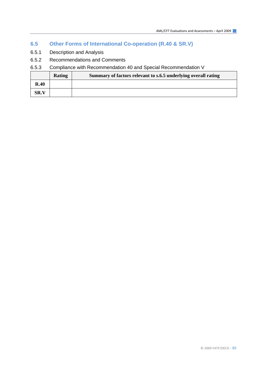# **6.5 Other Forms of International Co-operation (R.40 & SR.V)**

- 6.5.1 Description and Analysis
- 6.5.2 Recommendations and Comments

## 6.5.3 Compliance with Recommendation 40 and Special Recommendation V

|             | <b>Rating</b> | Summary of factors relevant to s.6.5 underlying overall rating |
|-------------|---------------|----------------------------------------------------------------|
| R.40        |               |                                                                |
| <b>SR.V</b> |               |                                                                |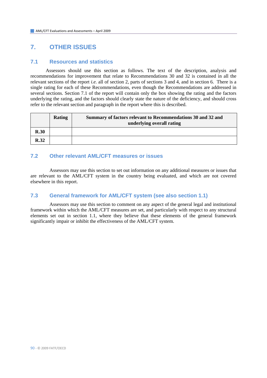# **7. OTHER ISSUES**

#### **7.1 Resources and statistics**

Assessors should use this section as follows. The text of the description, analysis and recommendations for improvement that relate to Recommendations 30 and 32 is contained in all the relevant sections of the report *i.e.* all of section 2, parts of sections 3 and 4, and in section 6. There is a single rating for each of these Recommendations, even though the Recommendations are addressed in several sections. Section 7.1 of the report will contain only the box showing the rating and the factors underlying the rating, and the factors should clearly state the nature of the deficiency, and should cross refer to the relevant section and paragraph in the report where this is described.

|      | Rating | Summary of factors relevant to Recommendations 30 and 32 and<br>underlying overall rating |
|------|--------|-------------------------------------------------------------------------------------------|
| R.30 |        |                                                                                           |
| R.32 |        |                                                                                           |

# **7.2 Other relevant AML/CFT measures or issues**

 Assessors may use this section to set out information on any additional measures or issues that are relevant to the AML/CFT system in the country being evaluated, and which are not covered elsewhere in this report.

### **7.3 General framework for AML/CFT system (see also section 1.1)**

 Assessors may use this section to comment on any aspect of the general legal and institutional framework within which the AML/CFT measures are set, and particularly with respect to any structural elements set out in section 1.1, where they believe that these elements of the general framework significantly impair or inhibit the effectiveness of the AML/CFT system.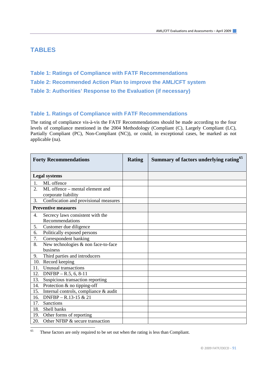# **TABLES**

- **Table 1: Ratings of Compliance with FATF Recommendations**
- **Table 2: Recommended Action Plan to improve the AML/CFT system**
- **Table 3: Authorities' Response to the Evaluation (if necessary)**

### **Table 1. Ratings of Compliance with FATF Recommendations**

The rating of compliance vis-à-vis the FATF Recommendations should be made according to the four levels of compliance mentioned in the 2004 Methodology (Compliant (C), Largely Compliant (LC), Partially Compliant (PC), Non-Compliant (NC)), or could, in exceptional cases, be marked as not applicable (na).

|     | <b>Forty Recommendations</b>                           | <b>Rating</b> | Summary of factors underlying rating <sup>65</sup> |
|-----|--------------------------------------------------------|---------------|----------------------------------------------------|
|     | <b>Legal systems</b>                                   |               |                                                    |
| 1.  | ML offence                                             |               |                                                    |
| 2.  | ML offence – mental element and<br>corporate liability |               |                                                    |
| 3.  | Confiscation and provisional measures                  |               |                                                    |
|     | <b>Preventive measures</b>                             |               |                                                    |
| 4.  | Secrecy laws consistent with the<br>Recommendations    |               |                                                    |
| 5.  | Customer due diligence                                 |               |                                                    |
| 6.  | Politically exposed persons                            |               |                                                    |
| 7.  | Correspondent banking                                  |               |                                                    |
| 8.  | New technologies & non face-to-face                    |               |                                                    |
|     | business                                               |               |                                                    |
| 9.  | Third parties and introducers                          |               |                                                    |
|     | 10. Record keeping                                     |               |                                                    |
| 11. | Unusual transactions                                   |               |                                                    |
| 12. | $DNFBP - R.5, 6, 8-11$                                 |               |                                                    |
| 13. | Suspicious transaction reporting                       |               |                                                    |
| 14. | Protection & no tipping-off                            |               |                                                    |
| 15. | Internal controls, compliance & audit                  |               |                                                    |
| 16. | $DNFBP - R.13-15 & 21$                                 |               |                                                    |
| 17. | <b>Sanctions</b>                                       |               |                                                    |
| 18. | Shell banks                                            |               |                                                    |
| 19. | Other forms of reporting                               |               |                                                    |
| 20. | Other NFBP & secure transaction                        |               |                                                    |

<span id="page-90-0"></span><sup>65</sup> These factors are only required to be set out when the rating is less than Compliant.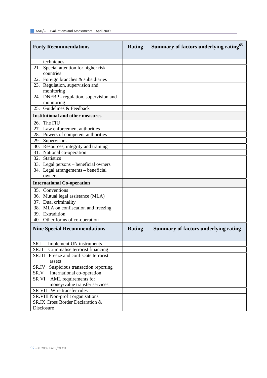| <b>Forty Recommendations</b>                                                 | <b>Rating</b> | Summary of factors underlying rating <sup>65</sup> |
|------------------------------------------------------------------------------|---------------|----------------------------------------------------|
| techniques                                                                   |               |                                                    |
| 21. Special attention for higher risk                                        |               |                                                    |
| countries                                                                    |               |                                                    |
| 22. Foreign branches & subsidiaries                                          |               |                                                    |
| 23. Regulation, supervision and                                              |               |                                                    |
| monitoring                                                                   |               |                                                    |
| 24. DNFBP - regulation, supervision and                                      |               |                                                    |
| monitoring<br>25. Guidelines & Feedback                                      |               |                                                    |
|                                                                              |               |                                                    |
| <b>Institutional and other measures</b>                                      |               |                                                    |
| 26. The FIU                                                                  |               |                                                    |
| 27. Law enforcement authorities                                              |               |                                                    |
| 28. Powers of competent authorities                                          |               |                                                    |
| 29. Supervisors                                                              |               |                                                    |
| 30. Resources, integrity and training                                        |               |                                                    |
| 31. National co-operation<br>32. Statistics                                  |               |                                                    |
|                                                                              |               |                                                    |
| 33. Legal persons - beneficial owners<br>34. Legal arrangements - beneficial |               |                                                    |
| owners                                                                       |               |                                                    |
| <b>International Co-operation</b>                                            |               |                                                    |
| 35. Conventions                                                              |               |                                                    |
| 36. Mutual legal assistance (MLA)                                            |               |                                                    |
| 37. Dual criminality                                                         |               |                                                    |
| 38. MLA on confiscation and freezing                                         |               |                                                    |
| 39. Extradition                                                              |               |                                                    |
| 40. Other forms of co-operation                                              |               |                                                    |
| <b>Nine Special Recommendations</b>                                          | <b>Rating</b> | <b>Summary of factors underlying rating</b>        |
| SR.I<br>Implement UN instruments                                             |               |                                                    |
| SR.II<br>Criminalise terrorist financing                                     |               |                                                    |
| Freeze and confiscate terrorist<br>SR.III                                    |               |                                                    |
| assets                                                                       |               |                                                    |
| Suspicious transaction reporting<br>SR.IV                                    |               |                                                    |
| International co-operation<br>SR.V<br>SR VI<br>AML requirements for          |               |                                                    |
| money/value transfer services                                                |               |                                                    |
| SR VII Wire transfer rules                                                   |               |                                                    |
| SR. VIII Non-profit organisations                                            |               |                                                    |
| SR.IX Cross Border Declaration &                                             |               |                                                    |
| Disclosure                                                                   |               |                                                    |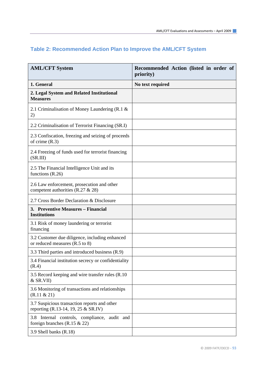| <b>AML/CFT System</b>                                                               | Recommended Action (listed in order of<br>priority) |
|-------------------------------------------------------------------------------------|-----------------------------------------------------|
| 1. General                                                                          | No text required                                    |
| 2. Legal System and Related Institutional<br><b>Measures</b>                        |                                                     |
| 2.1 Criminalisation of Money Laundering (R.1 $\&$<br>2)                             |                                                     |
| 2.2 Criminalisation of Terrorist Financing (SR.I)                                   |                                                     |
| 2.3 Confiscation, freezing and seizing of proceeds<br>of crime $(R.3)$              |                                                     |
| 2.4 Freezing of funds used for terrorist financing<br>(SR.III)                      |                                                     |
| 2.5 The Financial Intelligence Unit and its<br>functions $(R.26)$                   |                                                     |
| 2.6 Law enforcement, prosecution and other<br>competent authorities (R.27 & 28)     |                                                     |
| 2.7 Cross Border Declaration & Disclosure                                           |                                                     |
| 3. Preventive Measures – Financial<br><b>Institutions</b>                           |                                                     |
| 3.1 Risk of money laundering or terrorist<br>financing                              |                                                     |
| 3.2 Customer due diligence, including enhanced<br>or reduced measures (R.5 to 8)    |                                                     |
| 3.3 Third parties and introduced business (R.9)                                     |                                                     |
| 3.4 Financial institution secrecy or confidentiality<br>(R.4)                       |                                                     |
| 3.5 Record keeping and wire transfer rules (R.10)<br>$&$ SR.VII)                    |                                                     |
| 3.6 Monitoring of transactions and relationships<br>(R.11 & 21)                     |                                                     |
| 3.7 Suspicious transaction reports and other<br>reporting (R.13-14, 19, 25 & SR.IV) |                                                     |
| 3.8 Internal controls, compliance, audit and<br>foreign branches $(R.15 \& 22)$     |                                                     |
| 3.9 Shell banks (R.18)                                                              |                                                     |

# **Table 2: Recommended Action Plan to Improve the AML/CFT System**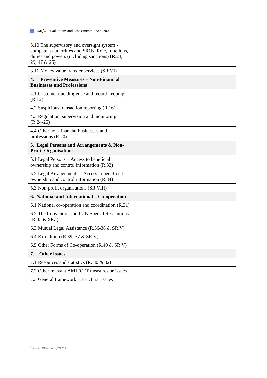| 3.10 The supervisory and oversight system -<br>competent authorities and SROs. Role, functions,<br>duties and powers (including sanctions) (R.23,<br>29, 17 & 25) |  |
|-------------------------------------------------------------------------------------------------------------------------------------------------------------------|--|
| 3.11 Money value transfer services (SR.VI)                                                                                                                        |  |
| <b>Preventive Measures - Non-Financial</b><br>4.<br><b>Businesses and Professions</b>                                                                             |  |
| 4.1 Customer due diligence and record-keeping<br>(R.12)                                                                                                           |  |
| 4.2 Suspicious transaction reporting (R.16)                                                                                                                       |  |
| 4.3 Regulation, supervision and monitoring<br>$(R.24-25)$                                                                                                         |  |
| 4.4 Other non-financial businesses and<br>professions $(R.20)$                                                                                                    |  |
| 5. Legal Persons and Arrangements & Non-<br><b>Profit Organisations</b>                                                                                           |  |
| 5.1 Legal Persons – Access to beneficial<br>ownership and control information (R.33)                                                                              |  |
| 5.2 Legal Arrangements – Access to beneficial<br>ownership and control information (R.34)                                                                         |  |
| 5.3 Non-profit organisations (SR.VIII)                                                                                                                            |  |
| 6. National and International<br>Co-operation                                                                                                                     |  |
| 6.1 National co-operation and coordination (R.31)                                                                                                                 |  |
| 6.2 The Conventions and UN Special Resolutions<br>(R.35 & SR.I)                                                                                                   |  |
| 6.3 Mutual Legal Assistance (R.36-38 & SR.V)                                                                                                                      |  |
| 6.4 Extradition (R.39, 37 & SR.V)                                                                                                                                 |  |
| 6.5 Other Forms of Co-operation (R.40 & SR.V)                                                                                                                     |  |
| <b>Other Issues</b><br>7.                                                                                                                                         |  |
| 7.1 Resources and statistics $(R. 30 \& 32)$                                                                                                                      |  |
| 7.2 Other relevant AML/CFT measures or issues                                                                                                                     |  |
| 7.3 General framework – structural issues                                                                                                                         |  |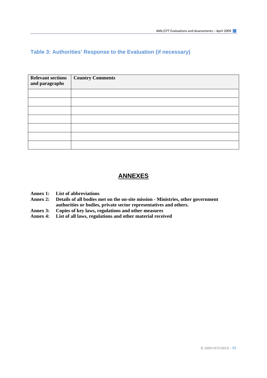## **Table 3: Authorities' Response to the Evaluation (if necessary)**

| <b>Relevant sections</b><br>and paragraphs | <b>Country Comments</b> |
|--------------------------------------------|-------------------------|
|                                            |                         |
|                                            |                         |
|                                            |                         |
|                                            |                         |
|                                            |                         |
|                                            |                         |
|                                            |                         |

# **ANNEXES**

- **Annex 1: List of abbreviations**
- **Annex 2: Details of all bodies met on the on-site mission Ministries, other government authorities or bodies, private sector representatives and others.**
- Annex 3: Copies of key laws, regulations and other measures<br>Annex 4: List of all laws, regulations and other material recei
- List of all laws, regulations and other material received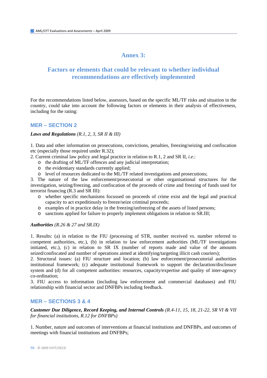# **Annex 3:**

# **Factors or elements that could be relevant to whether individual recommendations are effectively implemented**

For the recommendations listed below, assessors, based on the specific ML/TF risks and situation in the country, could take into account the following factors or elements in their analysis of effectiveness, including for the rating:

### **MER – SECTION 2**

#### *Laws and Regulations (R.1, 2, 3, SR II & III)*

1. Data and other information on prosecutions, convictions, penalties, freezing/seizing and confiscation etc (especially those required under R.32);

2. Current criminal law policy and legal practice in relation to R.1, 2 and SR II, *i.e.*:

- o the drafting of ML/TF offences and any judicial interpretation;
- o the evidentiary standards currently applied;
- o level of resources dedicated to the ML/TF related investigations and prosecutions;

3. The nature of the law enforcement/prosecutorial or other organisational structures for the investigation, seizing/freezing, and confiscation of the proceeds of crime and freezing of funds used for terrorist financing (R.3 and SR III):

- o whether specific mechanisms focussed on proceeds of crime exist and the legal and practical capacity to act expeditiously to freeze/seize criminal proceeds;
- o examples of in practice delay in the freezing/unfreezing of the assets of listed persons;
- o sanctions applied for failure to properly implement obligations in relation to SR.III;

#### *Authorities (R.26 & 27 and SR.IX)*

1. Results: (a) in relation to the FIU (processing of STR, number received vs. number referred to competent authorities, etc.), (b) in relation to law enforcement authorities (ML/TF investigations initiated, etc.), (c) in relation to SR IX (number of reports made and value of the amounts seized/confiscated and number of operations aimed at identifying/targeting illicit cash couriers);

2. Structural issues: (a) FIU structure and location; (b) law enforcement/prosecutorial authorities institutional framework; (c) adequate institutional framework to support the declaration/disclosure system and (d) for all competent authorities: resources, capacity/expertise and quality of inter-agency co-ordination;

3. FIU access to information (including law enforcement and commercial databases) and FIU relationship with financial sector and DNFBPs including feedback.

### **MER – SECTIONS 3 & 4**

*Customer Due Diligence, Record Keeping, and Internal Controls (R.4-11, 15, 18, 21-22, SR VI & VII for financial institutions, R.12 for DNFBPs)* 

1. Number, nature and outcomes of interventions at financial institutions and DNFBPs, and outcomes of meetings with financial institutions and DNFBPs;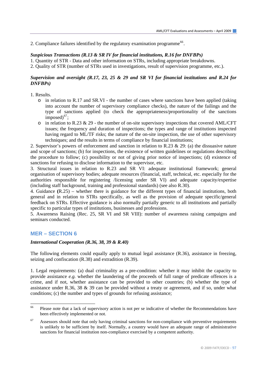2. Compliance failures identified by the regulatory examination programme<sup>[66](#page-96-0)</sup>.

#### *Suspicious Transactions (R.13 & SR IV for financial institutions, R.16 for DNFBPs)*

1. Quantity of STR - Data and other information on STRs, including appropriate breakdowns.

2. Quality of STR (number of STRs used in investigations, result of supervision programme, etc.).

#### *Supervision and oversight (R.17, 23, 25 & 29 and SR VI for financial institutions and R.24 for DNFBPs)*

#### 1. Results.

- o in relation to R.17 and SR.VI the number of cases where sanctions have been applied (taking into account the number of supervisory compliance checks), the nature of the failings and the type of sanctions applied (to check the appropriateness/proportionality of the sanctions imposed) $^{67}$  $^{67}$  $^{67}$ ;
- $\circ$  in relation to R.23 & 29 the number of on-site supervisory inspections that covered AML/CFT issues; the frequency and duration of inspections; the types and range of institutions inspected having regard to ML/TF risks; the nature of the on-site inspection, the use of other supervisory techniques; and the results in terms of compliance by financial institutions;

2. Supervisor's powers of enforcement and sanction in relation to R.23 & 29: (a) the dissuasive nature and scope of sanctions; (b) for inspections, the existence of written guidelines or regulations describing the procedure to follow; (c) possibility or not of giving prior notice of inspections; (d) existence of sanctions for refusing to disclose information to the supervisor, etc.

3. Structural issues in relation to R.23 and SR VI: adequate institutional framework; general organisation of supervisory bodies; adequate resources (financial, staff, technical, etc. especially for the authorities responsible for registering /licensing under SR VI) and adequate capacity/expertise (including staff background, training and professional standards) (see also R.30).

4. Guidance **(**R.25) – whether there is guidance for the different types of financial institutions, both general and in relation to STRs specifically, as well as the provision of adequate specific/general feedback on STRs. Effective guidance is also normally partially generic to all institutions and partially specific to particular types of institutions, businesses and professions.

5. Awareness Raising (Rec. 25, SR VI and SR VIII): number of awareness raising campaigns and seminars conducted.

### **MER – SECTION 6**

### *International Cooperation (R.36, 38, 39 & R.40)*

The following elements could equally apply to mutual legal assistance (R.36), assistance in freezing, seizing and confiscation (R.38) and extradition (R.39).

1. Legal requirements: (a) dual criminality as a pre-condition: whether it may inhibit the capacity to provide assistance *e.g.* whether the laundering of the proceeds of full range of predicate offences is a crime, and if not, whether assistance can be provided to other countries; (b) whether the type of assistance under R.36, 38 & 39 can be provided without a treaty or agreement, and if so, under what conditions; (c) the number and types of grounds for refusing assistance;

<span id="page-96-0"></span><sup>66</sup> Please note that a lack of supervisory action is not per se indicative of whether the Recommendations have been effectively implemented or not.

<span id="page-96-1"></span><sup>&</sup>lt;sup>67</sup> Assessors should note that only having criminal sanctions for non-compliance with preventive requirements is unlikely to be sufficient by itself. Normally, a country would have an adequate range of administrative sanctions for financial institution non-compliance exercised by a competent authority.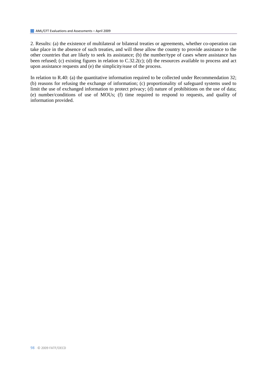2. Results: (a) the existence of multilateral or bilateral treaties or agreements, whether co-operation can take place in the absence of such treaties, and will these allow the country to provide assistance to the other countries that are likely to seek its assistance; (b) the number/type of cases where assistance has been refused; (c) existing figures in relation to C.32.2(c); (d) the resources available to process and act upon assistance requests and (e) the simplicity/ease of the process.

In relation to R.40: (a) the quantitative information required to be collected under Recommendation 32; (b) reasons for refusing the exchange of information; (c) proportionality of safeguard systems used to limit the use of exchanged information to protect privacy; (d) nature of prohibitions on the use of data; (e) number/conditions of use of MOUs; (f) time required to respond to requests, and quality of information provided.